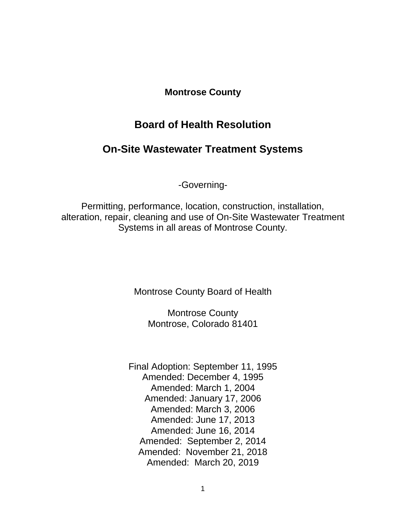# **Montrose County**

# **Board of Health Resolution**

# **On-Site Wastewater Treatment Systems**

-Governing-

Permitting, performance, location, construction, installation, alteration, repair, cleaning and use of On-Site Wastewater Treatment Systems in all areas of Montrose County.

Montrose County Board of Health

Montrose County Montrose, Colorado 81401

Final Adoption: September 11, 1995 Amended: December 4, 1995 Amended: March 1, 2004 Amended: January 17, 2006 Amended: March 3, 2006 Amended: June 17, 2013 Amended: June 16, 2014 Amended: September 2, 2014 Amended: November 21, 2018 Amended: March 20, 2019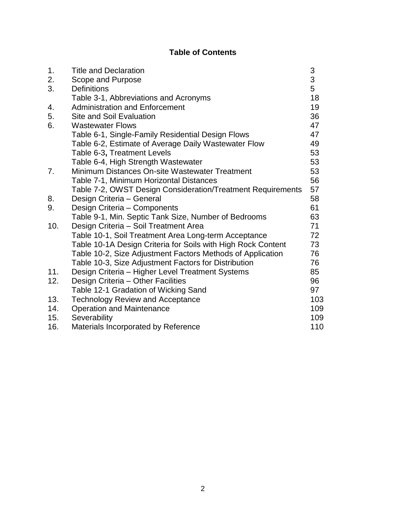# **Table of Contents**

| 1.  | <b>Title and Declaration</b>                                 | 3   |
|-----|--------------------------------------------------------------|-----|
| 2.  | Scope and Purpose                                            | 3   |
| 3.  | <b>Definitions</b>                                           | 5   |
|     | Table 3-1, Abbreviations and Acronyms                        | 18  |
| 4.  | <b>Administration and Enforcement</b>                        | 19  |
| 5.  | <b>Site and Soil Evaluation</b>                              | 36  |
| 6.  | <b>Wastewater Flows</b>                                      | 47  |
|     | Table 6-1, Single-Family Residential Design Flows            | 47  |
|     | Table 6-2, Estimate of Average Daily Wastewater Flow         | 49  |
|     | Table 6-3, Treatment Levels                                  | 53  |
|     | Table 6-4, High Strength Wastewater                          | 53  |
| 7.  | Minimum Distances On-site Wastewater Treatment               | 53  |
|     | Table 7-1, Minimum Horizontal Distances                      | 56  |
|     | Table 7-2, OWST Design Consideration/Treatment Requirements  | 57  |
| 8.  | Design Criteria - General                                    | 58  |
| 9.  | Design Criteria - Components                                 | 61  |
|     | Table 9-1, Min. Septic Tank Size, Number of Bedrooms         | 63  |
| 10. | Design Criteria - Soil Treatment Area                        | 71  |
|     | Table 10-1, Soil Treatment Area Long-term Acceptance         | 72  |
|     | Table 10-1A Design Criteria for Soils with High Rock Content | 73  |
|     | Table 10-2, Size Adjustment Factors Methods of Application   | 76  |
|     | Table 10-3, Size Adjustment Factors for Distribution         | 76  |
| 11. | Design Criteria - Higher Level Treatment Systems             | 85  |
| 12. | Design Criteria - Other Facilities                           | 96  |
|     | Table 12-1 Gradation of Wicking Sand                         | 97  |
| 13. | <b>Technology Review and Acceptance</b>                      | 103 |
| 14. | <b>Operation and Maintenance</b>                             | 109 |
| 15. | Severability                                                 | 109 |
| 16. | Materials Incorporated by Reference                          | 110 |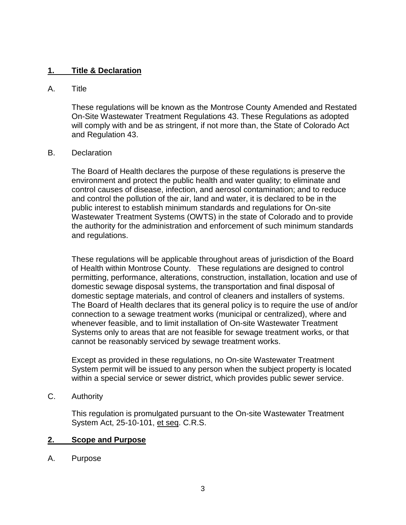### **1. Title & Declaration**

#### A. Title

These regulations will be known as the Montrose County Amended and Restated On-Site Wastewater Treatment Regulations 43. These Regulations as adopted will comply with and be as stringent, if not more than, the State of Colorado Act and Regulation 43.

#### B. Declaration

The Board of Health declares the purpose of these regulations is preserve the environment and protect the public health and water quality; to eliminate and control causes of disease, infection, and aerosol contamination; and to reduce and control the pollution of the air, land and water, it is declared to be in the public interest to establish minimum standards and regulations for On-site Wastewater Treatment Systems (OWTS) in the state of Colorado and to provide the authority for the administration and enforcement of such minimum standards and regulations.

These regulations will be applicable throughout areas of jurisdiction of the Board of Health within Montrose County. These regulations are designed to control permitting, performance, alterations, construction, installation, location and use of domestic sewage disposal systems, the transportation and final disposal of domestic septage materials, and control of cleaners and installers of systems. The Board of Health declares that its general policy is to require the use of and/or connection to a sewage treatment works (municipal or centralized), where and whenever feasible, and to limit installation of On-site Wastewater Treatment Systems only to areas that are not feasible for sewage treatment works, or that cannot be reasonably serviced by sewage treatment works.

Except as provided in these regulations, no On-site Wastewater Treatment System permit will be issued to any person when the subject property is located within a special service or sewer district, which provides public sewer service.

C. Authority

This regulation is promulgated pursuant to the On-site Wastewater Treatment System Act, 25-10-101, et seq. C.R.S.

#### **2. Scope and Purpose**

A. Purpose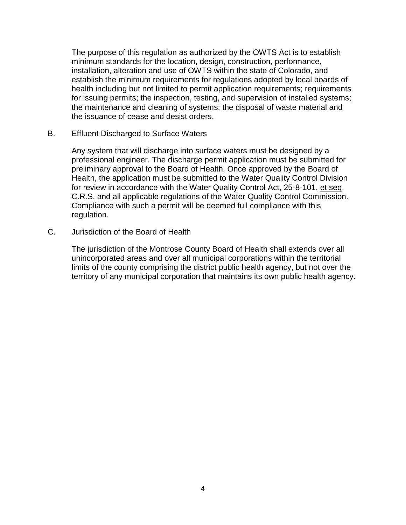The purpose of this regulation as authorized by the OWTS Act is to establish minimum standards for the location, design, construction, performance, installation, alteration and use of OWTS within the state of Colorado, and establish the minimum requirements for regulations adopted by local boards of health including but not limited to permit application requirements; requirements for issuing permits; the inspection, testing, and supervision of installed systems; the maintenance and cleaning of systems; the disposal of waste material and the issuance of cease and desist orders.

B. Effluent Discharged to Surface Waters

Any system that will discharge into surface waters must be designed by a professional engineer. The discharge permit application must be submitted for preliminary approval to the Board of Health. Once approved by the Board of Health, the application must be submitted to the Water Quality Control Division for review in accordance with the Water Quality Control Act, 25-8-101, et seq. C.R.S, and all applicable regulations of the Water Quality Control Commission. Compliance with such a permit will be deemed full compliance with this regulation.

C. Jurisdiction of the Board of Health

The jurisdiction of the Montrose County Board of Health shall extends over all unincorporated areas and over all municipal corporations within the territorial limits of the county comprising the district public health agency, but not over the territory of any municipal corporation that maintains its own public health agency.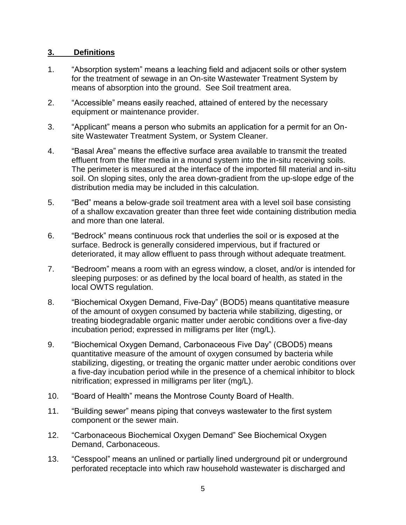# **3. Definitions**

- 1. "Absorption system" means a leaching field and adjacent soils or other system for the treatment of sewage in an On-site Wastewater Treatment System by means of absorption into the ground. See Soil treatment area.
- 2. "Accessible" means easily reached, attained of entered by the necessary equipment or maintenance provider.
- 3. "Applicant" means a person who submits an application for a permit for an Onsite Wastewater Treatment System, or System Cleaner.
- 4. "Basal Area" means the effective surface area available to transmit the treated effluent from the filter media in a mound system into the in-situ receiving soils. The perimeter is measured at the interface of the imported fill material and in-situ soil. On sloping sites, only the area down-gradient from the up-slope edge of the distribution media may be included in this calculation.
- 5. "Bed" means a below-grade soil treatment area with a level soil base consisting of a shallow excavation greater than three feet wide containing distribution media and more than one lateral.
- 6. "Bedrock" means continuous rock that underlies the soil or is exposed at the surface. Bedrock is generally considered impervious, but if fractured or deteriorated, it may allow effluent to pass through without adequate treatment.
- 7. "Bedroom" means a room with an egress window, a closet, and/or is intended for sleeping purposes: or as defined by the local board of health, as stated in the local OWTS regulation.
- 8. "Biochemical Oxygen Demand, Five-Day" (BOD5) means quantitative measure of the amount of oxygen consumed by bacteria while stabilizing, digesting, or treating biodegradable organic matter under aerobic conditions over a five-day incubation period; expressed in milligrams per liter (mg/L).
- 9. "Biochemical Oxygen Demand, Carbonaceous Five Day" (CBOD5) means quantitative measure of the amount of oxygen consumed by bacteria while stabilizing, digesting, or treating the organic matter under aerobic conditions over a five-day incubation period while in the presence of a chemical inhibitor to block nitrification; expressed in milligrams per liter (mg/L).
- 10. "Board of Health" means the Montrose County Board of Health.
- 11. "Building sewer" means piping that conveys wastewater to the first system component or the sewer main.
- 12. "Carbonaceous Biochemical Oxygen Demand" See Biochemical Oxygen Demand, Carbonaceous.
- 13. "Cesspool" means an unlined or partially lined underground pit or underground perforated receptacle into which raw household wastewater is discharged and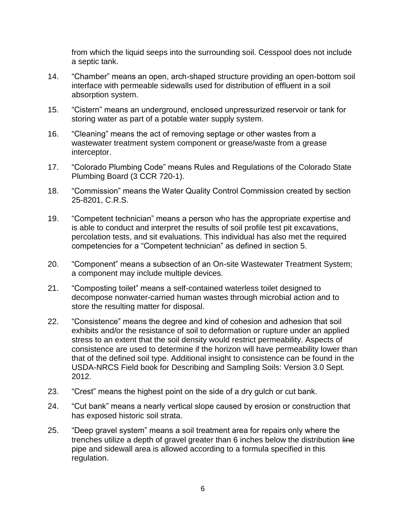from which the liquid seeps into the surrounding soil. Cesspool does not include a septic tank.

- 14. "Chamber" means an open, arch-shaped structure providing an open-bottom soil interface with permeable sidewalls used for distribution of effluent in a soil absorption system.
- 15. "Cistern" means an underground, enclosed unpressurized reservoir or tank for storing water as part of a potable water supply system.
- 16. "Cleaning" means the act of removing septage or other wastes from a wastewater treatment system component or grease/waste from a grease interceptor.
- 17. "Colorado Plumbing Code" means Rules and Regulations of the Colorado State Plumbing Board (3 CCR 720-1).
- 18. "Commission" means the Water Quality Control Commission created by section 25-8201, C.R.S.
- 19. "Competent technician" means a person who has the appropriate expertise and is able to conduct and interpret the results of soil profile test pit excavations, percolation tests, and sit evaluations. This individual has also met the required competencies for a "Competent technician" as defined in section 5.
- 20. "Component" means a subsection of an On-site Wastewater Treatment System; a component may include multiple devices.
- 21. "Composting toilet" means a self-contained waterless toilet designed to decompose nonwater-carried human wastes through microbial action and to store the resulting matter for disposal.
- 22. "Consistence" means the degree and kind of cohesion and adhesion that soil exhibits and/or the resistance of soil to deformation or rupture under an applied stress to an extent that the soil density would restrict permeability. Aspects of consistence are used to determine if the horizon will have permeability lower than that of the defined soil type. Additional insight to consistence can be found in the USDA-NRCS Field book for Describing and Sampling Soils: Version 3.0 Sept. 2012.
- 23. "Crest" means the highest point on the side of a dry gulch or cut bank.
- 24. "Cut bank" means a nearly vertical slope caused by erosion or construction that has exposed historic soil strata.
- 25. "Deep gravel system" means a soil treatment area for repairs only where the trenches utilize a depth of gravel greater than 6 inches below the distribution line pipe and sidewall area is allowed according to a formula specified in this regulation.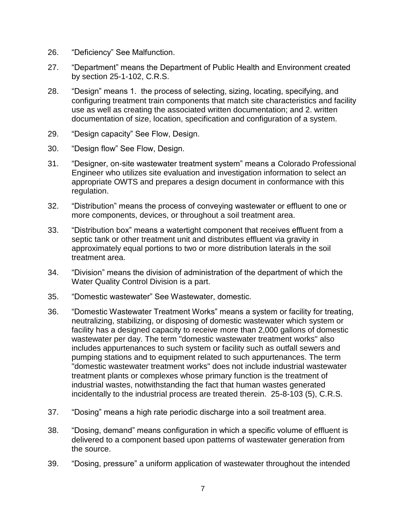- 26. "Deficiency" See Malfunction.
- 27. "Department" means the Department of Public Health and Environment created by section 25-1-102, C.R.S.
- 28. "Design" means 1. the process of selecting, sizing, locating, specifying, and configuring treatment train components that match site characteristics and facility use as well as creating the associated written documentation; and 2. written documentation of size, location, specification and configuration of a system.
- 29. "Design capacity" See Flow, Design.
- 30. "Design flow" See Flow, Design.
- 31. "Designer, on-site wastewater treatment system" means a Colorado Professional Engineer who utilizes site evaluation and investigation information to select an appropriate OWTS and prepares a design document in conformance with this regulation.
- 32. "Distribution" means the process of conveying wastewater or effluent to one or more components, devices, or throughout a soil treatment area.
- 33. "Distribution box" means a watertight component that receives effluent from a septic tank or other treatment unit and distributes effluent via gravity in approximately equal portions to two or more distribution laterals in the soil treatment area.
- 34. "Division" means the division of administration of the department of which the Water Quality Control Division is a part.
- 35. "Domestic wastewater" See Wastewater, domestic.
- 36. "Domestic Wastewater Treatment Works" means a system or facility for treating, neutralizing, stabilizing, or disposing of domestic wastewater which system or facility has a designed capacity to receive more than 2,000 gallons of domestic wastewater per day. The term "domestic wastewater treatment works" also includes appurtenances to such system or facility such as outfall sewers and pumping stations and to equipment related to such appurtenances. The term "domestic wastewater treatment works" does not include industrial wastewater treatment plants or complexes whose primary function is the treatment of industrial wastes, notwithstanding the fact that human wastes generated incidentally to the industrial process are treated therein. 25-8-103 (5), C.R.S.
- 37. "Dosing" means a high rate periodic discharge into a soil treatment area.
- 38. "Dosing, demand" means configuration in which a specific volume of effluent is delivered to a component based upon patterns of wastewater generation from the source.
- 39. "Dosing, pressure" a uniform application of wastewater throughout the intended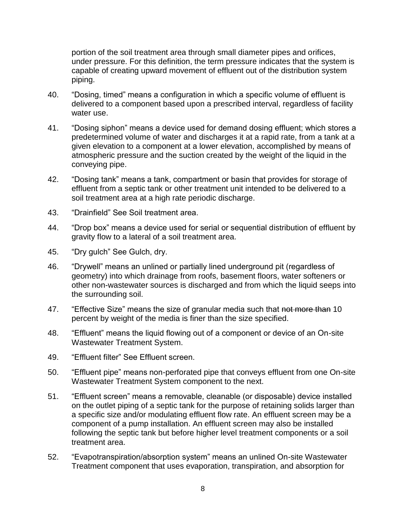portion of the soil treatment area through small diameter pipes and orifices, under pressure. For this definition, the term pressure indicates that the system is capable of creating upward movement of effluent out of the distribution system piping.

- 40. "Dosing, timed" means a configuration in which a specific volume of effluent is delivered to a component based upon a prescribed interval, regardless of facility water use.
- 41. "Dosing siphon" means a device used for demand dosing effluent; which stores a predetermined volume of water and discharges it at a rapid rate, from a tank at a given elevation to a component at a lower elevation, accomplished by means of atmospheric pressure and the suction created by the weight of the liquid in the conveying pipe.
- 42. "Dosing tank" means a tank, compartment or basin that provides for storage of effluent from a septic tank or other treatment unit intended to be delivered to a soil treatment area at a high rate periodic discharge.
- 43. "Drainfield" See Soil treatment area.
- 44. "Drop box" means a device used for serial or sequential distribution of effluent by gravity flow to a lateral of a soil treatment area.
- 45. "Dry gulch" See Gulch, dry.
- 46. "Drywell" means an unlined or partially lined underground pit (regardless of geometry) into which drainage from roofs, basement floors, water softeners or other non-wastewater sources is discharged and from which the liquid seeps into the surrounding soil.
- 47. "Effective Size" means the size of granular media such that not more than 10 percent by weight of the media is finer than the size specified.
- 48. "Effluent" means the liquid flowing out of a component or device of an On-site Wastewater Treatment System.
- 49. "Effluent filter" See Effluent screen.
- 50. "Effluent pipe" means non-perforated pipe that conveys effluent from one On-site Wastewater Treatment System component to the next.
- 51. "Effluent screen" means a removable, cleanable (or disposable) device installed on the outlet piping of a septic tank for the purpose of retaining solids larger than a specific size and/or modulating effluent flow rate. An effluent screen may be a component of a pump installation. An effluent screen may also be installed following the septic tank but before higher level treatment components or a soil treatment area.
- 52. "Evapotranspiration/absorption system" means an unlined On-site Wastewater Treatment component that uses evaporation, transpiration, and absorption for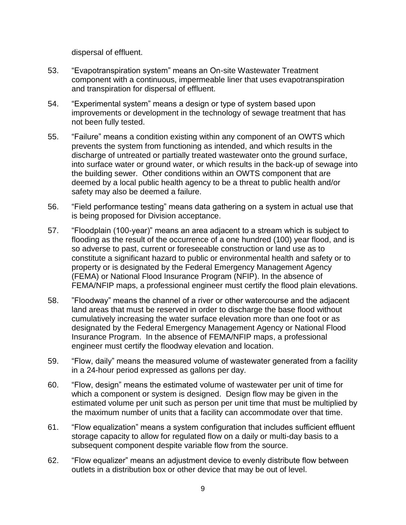dispersal of effluent.

- 53. "Evapotranspiration system" means an On-site Wastewater Treatment component with a continuous, impermeable liner that uses evapotranspiration and transpiration for dispersal of effluent.
- 54. "Experimental system" means a design or type of system based upon improvements or development in the technology of sewage treatment that has not been fully tested.
- 55. "Failure" means a condition existing within any component of an OWTS which prevents the system from functioning as intended, and which results in the discharge of untreated or partially treated wastewater onto the ground surface, into surface water or ground water, or which results in the back-up of sewage into the building sewer. Other conditions within an OWTS component that are deemed by a local public health agency to be a threat to public health and/or safety may also be deemed a failure.
- 56. "Field performance testing" means data gathering on a system in actual use that is being proposed for Division acceptance.
- 57. "Floodplain (100-year)" means an area adjacent to a stream which is subject to flooding as the result of the occurrence of a one hundred (100) year flood, and is so adverse to past, current or foreseeable construction or land use as to constitute a significant hazard to public or environmental health and safety or to property or is designated by the Federal Emergency Management Agency (FEMA) or National Flood Insurance Program (NFIP). In the absence of FEMA/NFIP maps, a professional engineer must certify the flood plain elevations.
- 58. "Floodway" means the channel of a river or other watercourse and the adjacent land areas that must be reserved in order to discharge the base flood without cumulatively increasing the water surface elevation more than one foot or as designated by the Federal Emergency Management Agency or National Flood Insurance Program. In the absence of FEMA/NFIP maps, a professional engineer must certify the floodway elevation and location.
- 59. "Flow, daily" means the measured volume of wastewater generated from a facility in a 24-hour period expressed as gallons per day.
- 60. "Flow, design" means the estimated volume of wastewater per unit of time for which a component or system is designed. Design flow may be given in the estimated volume per unit such as person per unit time that must be multiplied by the maximum number of units that a facility can accommodate over that time.
- 61. "Flow equalization" means a system configuration that includes sufficient effluent storage capacity to allow for regulated flow on a daily or multi-day basis to a subsequent component despite variable flow from the source.
- 62. "Flow equalizer" means an adjustment device to evenly distribute flow between outlets in a distribution box or other device that may be out of level.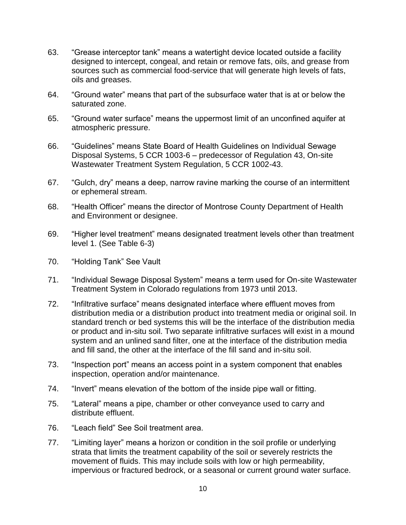- 63. "Grease interceptor tank" means a watertight device located outside a facility designed to intercept, congeal, and retain or remove fats, oils, and grease from sources such as commercial food-service that will generate high levels of fats, oils and greases.
- 64. "Ground water" means that part of the subsurface water that is at or below the saturated zone.
- 65. "Ground water surface" means the uppermost limit of an unconfined aquifer at atmospheric pressure.
- 66. "Guidelines" means State Board of Health Guidelines on Individual Sewage Disposal Systems, 5 CCR 1003-6 – predecessor of Regulation 43, On-site Wastewater Treatment System Regulation, 5 CCR 1002-43.
- 67. "Gulch, dry" means a deep, narrow ravine marking the course of an intermittent or ephemeral stream.
- 68. "Health Officer" means the director of Montrose County Department of Health and Environment or designee.
- 69. "Higher level treatment" means designated treatment levels other than treatment level 1. (See Table 6-3)
- 70. "Holding Tank" See Vault
- 71. "Individual Sewage Disposal System" means a term used for On-site Wastewater Treatment System in Colorado regulations from 1973 until 2013.
- 72. "Infiltrative surface" means designated interface where effluent moves from distribution media or a distribution product into treatment media or original soil. In standard trench or bed systems this will be the interface of the distribution media or product and in-situ soil. Two separate infiltrative surfaces will exist in a mound system and an unlined sand filter, one at the interface of the distribution media and fill sand, the other at the interface of the fill sand and in-situ soil.
- 73. "Inspection port" means an access point in a system component that enables inspection, operation and/or maintenance.
- 74. "Invert" means elevation of the bottom of the inside pipe wall or fitting.
- 75. "Lateral" means a pipe, chamber or other conveyance used to carry and distribute effluent.
- 76. "Leach field" See Soil treatment area.
- 77. "Limiting layer" means a horizon or condition in the soil profile or underlying strata that limits the treatment capability of the soil or severely restricts the movement of fluids. This may include soils with low or high permeability, impervious or fractured bedrock, or a seasonal or current ground water surface.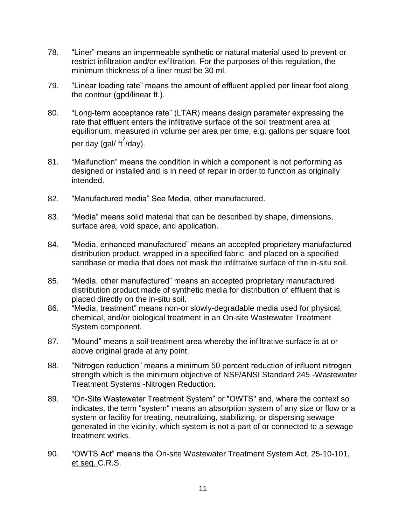- 78. "Liner" means an impermeable synthetic or natural material used to prevent or restrict infiltration and/or exfiltration. For the purposes of this regulation, the minimum thickness of a liner must be 30 ml.
- 79. "Linear loading rate" means the amount of effluent applied per linear foot along the contour (gpd/linear ft.).
- 80. "Long-term acceptance rate" (LTAR) means design parameter expressing the rate that effluent enters the infiltrative surface of the soil treatment area at equilibrium, measured in volume per area per time, e.g. gallons per square foot per day (gal/ ft $^2$ /day).
- 81. "Malfunction" means the condition in which a component is not performing as designed or installed and is in need of repair in order to function as originally intended.
- 82. "Manufactured media" See Media, other manufactured.
- 83. "Media" means solid material that can be described by shape, dimensions, surface area, void space, and application.
- 84. "Media, enhanced manufactured" means an accepted proprietary manufactured distribution product, wrapped in a specified fabric, and placed on a specified sandbase or media that does not mask the infiltrative surface of the in-situ soil.
- 85. "Media, other manufactured" means an accepted proprietary manufactured distribution product made of synthetic media for distribution of effluent that is placed directly on the in-situ soil.
- 86. "Media, treatment" means non-or slowly-degradable media used for physical, chemical, and/or biological treatment in an On-site Wastewater Treatment System component.
- 87. "Mound" means a soil treatment area whereby the infiltrative surface is at or above original grade at any point.
- 88. "Nitrogen reduction" means a minimum 50 percent reduction of influent nitrogen strength which is the minimum objective of NSF/ANSI Standard 245 -Wastewater Treatment Systems -Nitrogen Reduction.
- 89. "On-Site Wastewater Treatment System" or "OWTS" and, where the context so indicates, the term "system" means an absorption system of any size or flow or a system or facility for treating, neutralizing, stabilizing, or dispersing sewage generated in the vicinity, which system is not a part of or connected to a sewage treatment works.
- 90. "OWTS Act" means the On-site Wastewater Treatment System Act, 25-10-101, et seq. C.R.S.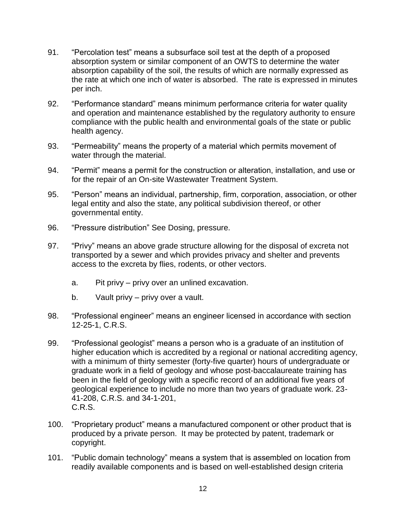- 91. "Percolation test" means a subsurface soil test at the depth of a proposed absorption system or similar component of an OWTS to determine the water absorption capability of the soil, the results of which are normally expressed as the rate at which one inch of water is absorbed. The rate is expressed in minutes per inch.
- 92. "Performance standard" means minimum performance criteria for water quality and operation and maintenance established by the regulatory authority to ensure compliance with the public health and environmental goals of the state or public health agency.
- 93. "Permeability" means the property of a material which permits movement of water through the material.
- 94. "Permit" means a permit for the construction or alteration, installation, and use or for the repair of an On-site Wastewater Treatment System.
- 95. "Person" means an individual, partnership, firm, corporation, association, or other legal entity and also the state, any political subdivision thereof, or other governmental entity.
- 96. "Pressure distribution" See Dosing, pressure.
- 97. "Privy" means an above grade structure allowing for the disposal of excreta not transported by a sewer and which provides privacy and shelter and prevents access to the excreta by flies, rodents, or other vectors.
	- a. Pit privy privy over an unlined excavation.
	- b. Vault privy privy over a vault.
- 98. "Professional engineer" means an engineer licensed in accordance with section 12-25-1, C.R.S.
- 99. "Professional geologist" means a person who is a graduate of an institution of higher education which is accredited by a regional or national accrediting agency, with a minimum of thirty semester (forty-five quarter) hours of undergraduate or graduate work in a field of geology and whose post-baccalaureate training has been in the field of geology with a specific record of an additional five years of geological experience to include no more than two years of graduate work. 23- 41-208, C.R.S. and 34-1-201, C.R.S.
- 100. "Proprietary product" means a manufactured component or other product that is produced by a private person. It may be protected by patent, trademark or copyright.
- 101. "Public domain technology" means a system that is assembled on location from readily available components and is based on well-established design criteria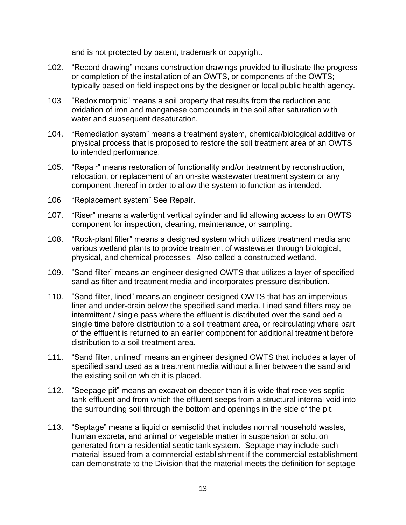and is not protected by patent, trademark or copyright.

- 102. "Record drawing" means construction drawings provided to illustrate the progress or completion of the installation of an OWTS, or components of the OWTS; typically based on field inspections by the designer or local public health agency.
- 103 "Redoximorphic" means a soil property that results from the reduction and oxidation of iron and manganese compounds in the soil after saturation with water and subsequent desaturation.
- 104. "Remediation system" means a treatment system, chemical/biological additive or physical process that is proposed to restore the soil treatment area of an OWTS to intended performance.
- 105. "Repair" means restoration of functionality and/or treatment by reconstruction, relocation, or replacement of an on-site wastewater treatment system or any component thereof in order to allow the system to function as intended.
- 106 "Replacement system" See Repair.
- 107. "Riser" means a watertight vertical cylinder and lid allowing access to an OWTS component for inspection, cleaning, maintenance, or sampling.
- 108. "Rock-plant filter" means a designed system which utilizes treatment media and various wetland plants to provide treatment of wastewater through biological, physical, and chemical processes. Also called a constructed wetland.
- 109. "Sand filter" means an engineer designed OWTS that utilizes a layer of specified sand as filter and treatment media and incorporates pressure distribution.
- 110. "Sand filter, lined" means an engineer designed OWTS that has an impervious liner and under-drain below the specified sand media. Lined sand filters may be intermittent / single pass where the effluent is distributed over the sand bed a single time before distribution to a soil treatment area, or recirculating where part of the effluent is returned to an earlier component for additional treatment before distribution to a soil treatment area.
- 111. "Sand filter, unlined" means an engineer designed OWTS that includes a layer of specified sand used as a treatment media without a liner between the sand and the existing soil on which it is placed.
- 112. "Seepage pit" means an excavation deeper than it is wide that receives septic tank effluent and from which the effluent seeps from a structural internal void into the surrounding soil through the bottom and openings in the side of the pit.
- 113. "Septage" means a liquid or semisolid that includes normal household wastes, human excreta, and animal or vegetable matter in suspension or solution generated from a residential septic tank system. Septage may include such material issued from a commercial establishment if the commercial establishment can demonstrate to the Division that the material meets the definition for septage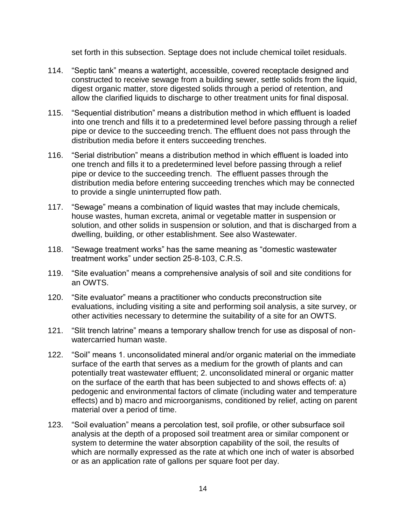set forth in this subsection. Septage does not include chemical toilet residuals.

- 114. "Septic tank" means a watertight, accessible, covered receptacle designed and constructed to receive sewage from a building sewer, settle solids from the liquid, digest organic matter, store digested solids through a period of retention, and allow the clarified liquids to discharge to other treatment units for final disposal.
- 115. "Sequential distribution" means a distribution method in which effluent is loaded into one trench and fills it to a predetermined level before passing through a relief pipe or device to the succeeding trench. The effluent does not pass through the distribution media before it enters succeeding trenches.
- 116. "Serial distribution" means a distribution method in which effluent is loaded into one trench and fills it to a predetermined level before passing through a relief pipe or device to the succeeding trench. The effluent passes through the distribution media before entering succeeding trenches which may be connected to provide a single uninterrupted flow path.
- 117. "Sewage" means a combination of liquid wastes that may include chemicals, house wastes, human excreta, animal or vegetable matter in suspension or solution, and other solids in suspension or solution, and that is discharged from a dwelling, building, or other establishment. See also Wastewater.
- 118. "Sewage treatment works" has the same meaning as "domestic wastewater treatment works" under section 25-8-103, C.R.S.
- 119. "Site evaluation" means a comprehensive analysis of soil and site conditions for an OWTS.
- 120. "Site evaluator" means a practitioner who conducts preconstruction site evaluations, including visiting a site and performing soil analysis, a site survey, or other activities necessary to determine the suitability of a site for an OWTS.
- 121. "Slit trench latrine" means a temporary shallow trench for use as disposal of nonwatercarried human waste.
- 122. "Soil" means 1. unconsolidated mineral and/or organic material on the immediate surface of the earth that serves as a medium for the growth of plants and can potentially treat wastewater effluent; 2. unconsolidated mineral or organic matter on the surface of the earth that has been subjected to and shows effects of: a) pedogenic and environmental factors of climate (including water and temperature effects) and b) macro and microorganisms, conditioned by relief, acting on parent material over a period of time.
- 123. "Soil evaluation" means a percolation test, soil profile, or other subsurface soil analysis at the depth of a proposed soil treatment area or similar component or system to determine the water absorption capability of the soil, the results of which are normally expressed as the rate at which one inch of water is absorbed or as an application rate of gallons per square foot per day.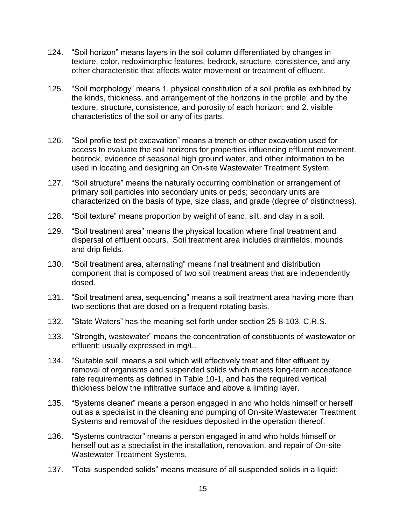- 124. "Soil horizon" means layers in the soil column differentiated by changes in texture, color, redoximorphic features, bedrock, structure, consistence, and any other characteristic that affects water movement or treatment of effluent.
- 125. "Soil morphology" means 1. physical constitution of a soil profile as exhibited by the kinds, thickness, and arrangement of the horizons in the profile; and by the texture, structure, consistence, and porosity of each horizon; and 2. visible characteristics of the soil or any of its parts.
- 126. "Soil profile test pit excavation" means a trench or other excavation used for access to evaluate the soil horizons for properties influencing effluent movement, bedrock, evidence of seasonal high ground water, and other information to be used in locating and designing an On-site Wastewater Treatment System.
- 127. "Soil structure" means the naturally occurring combination or arrangement of primary soil particles into secondary units or peds; secondary units are characterized on the basis of type, size class, and grade (degree of distinctness).
- 128. "Soil texture" means proportion by weight of sand, silt, and clay in a soil.
- 129. "Soil treatment area" means the physical location where final treatment and dispersal of effluent occurs. Soil treatment area includes drainfields, mounds and drip fields.
- 130. "Soil treatment area, alternating" means final treatment and distribution component that is composed of two soil treatment areas that are independently dosed.
- 131. "Soil treatment area, sequencing" means a soil treatment area having more than two sections that are dosed on a frequent rotating basis.
- 132. "State Waters" has the meaning set forth under section 25-8-103. C.R.S.
- 133. "Strength, wastewater" means the concentration of constituents of wastewater or effluent; usually expressed in mg/L.
- 134. "Suitable soil" means a soil which will effectively treat and filter effluent by removal of organisms and suspended solids which meets long-term acceptance rate requirements as defined in Table 10-1, and has the required vertical thickness below the infiltrative surface and above a limiting layer.
- 135. "Systems cleaner" means a person engaged in and who holds himself or herself out as a specialist in the cleaning and pumping of On-site Wastewater Treatment Systems and removal of the residues deposited in the operation thereof.
- 136. "Systems contractor" means a person engaged in and who holds himself or herself out as a specialist in the installation, renovation, and repair of On-site Wastewater Treatment Systems.
- 137. "Total suspended solids" means measure of all suspended solids in a liquid;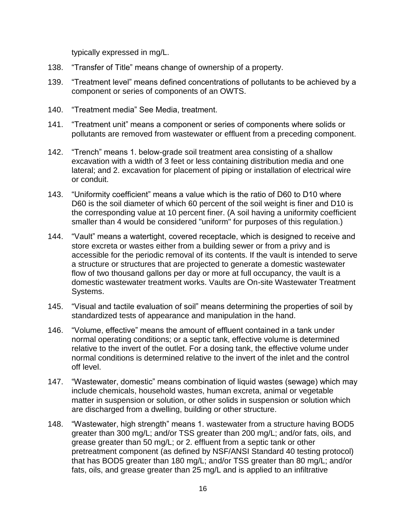typically expressed in mg/L.

- 138. "Transfer of Title" means change of ownership of a property.
- 139. "Treatment level" means defined concentrations of pollutants to be achieved by a component or series of components of an OWTS.
- 140. "Treatment media" See Media, treatment.
- 141. "Treatment unit" means a component or series of components where solids or pollutants are removed from wastewater or effluent from a preceding component.
- 142. "Trench" means 1. below-grade soil treatment area consisting of a shallow excavation with a width of 3 feet or less containing distribution media and one lateral; and 2. excavation for placement of piping or installation of electrical wire or conduit.
- 143. "Uniformity coefficient" means a value which is the ratio of D60 to D10 where D60 is the soil diameter of which 60 percent of the soil weight is finer and D10 is the corresponding value at 10 percent finer. (A soil having a uniformity coefficient smaller than 4 would be considered "uniform" for purposes of this regulation.)
- 144. "Vault" means a watertight, covered receptacle, which is designed to receive and store excreta or wastes either from a building sewer or from a privy and is accessible for the periodic removal of its contents. If the vault is intended to serve a structure or structures that are projected to generate a domestic wastewater flow of two thousand gallons per day or more at full occupancy, the vault is a domestic wastewater treatment works. Vaults are On-site Wastewater Treatment Systems.
- 145. "Visual and tactile evaluation of soil" means determining the properties of soil by standardized tests of appearance and manipulation in the hand.
- 146. "Volume, effective" means the amount of effluent contained in a tank under normal operating conditions; or a septic tank, effective volume is determined relative to the invert of the outlet. For a dosing tank, the effective volume under normal conditions is determined relative to the invert of the inlet and the control off level.
- 147. "Wastewater, domestic" means combination of liquid wastes (sewage) which may include chemicals, household wastes, human excreta, animal or vegetable matter in suspension or solution, or other solids in suspension or solution which are discharged from a dwelling, building or other structure.
- 148. "Wastewater, high strength" means 1. wastewater from a structure having BOD5 greater than 300 mg/L; and/or TSS greater than 200 mg/L; and/or fats, oils, and grease greater than 50 mg/L; or 2. effluent from a septic tank or other pretreatment component (as defined by NSF/ANSI Standard 40 testing protocol) that has BOD5 greater than 180 mg/L; and/or TSS greater than 80 mg/L; and/or fats, oils, and grease greater than 25 mg/L and is applied to an infiltrative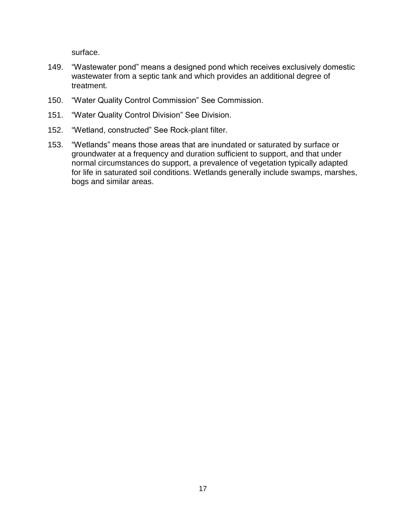surface.

- 149. "Wastewater pond" means a designed pond which receives exclusively domestic wastewater from a septic tank and which provides an additional degree of treatment.
- 150. "Water Quality Control Commission" See Commission.
- 151. "Water Quality Control Division" See Division.
- 152. "Wetland, constructed" See Rock-plant filter.
- 153. "Wetlands" means those areas that are inundated or saturated by surface or groundwater at a frequency and duration sufficient to support, and that under normal circumstances do support, a prevalence of vegetation typically adapted for life in saturated soil conditions. Wetlands generally include swamps, marshes, bogs and similar areas.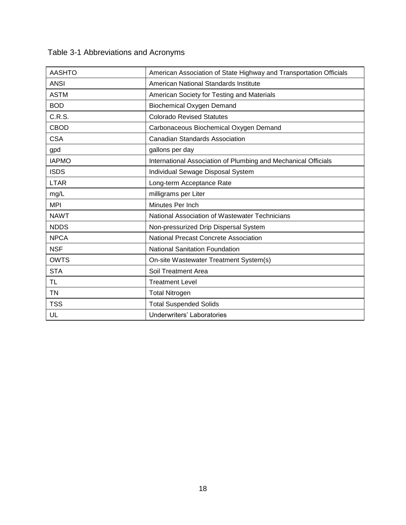|  | Table 3-1 Abbreviations and Acronyms |  |  |
|--|--------------------------------------|--|--|
|--|--------------------------------------|--|--|

| <b>AASHTO</b> | American Association of State Highway and Transportation Officials |  |  |
|---------------|--------------------------------------------------------------------|--|--|
| <b>ANSI</b>   | American National Standards Institute                              |  |  |
| <b>ASTM</b>   | American Society for Testing and Materials                         |  |  |
| <b>BOD</b>    | <b>Biochemical Oxygen Demand</b>                                   |  |  |
| C.R.S.        | <b>Colorado Revised Statutes</b>                                   |  |  |
| <b>CBOD</b>   | Carbonaceous Biochemical Oxygen Demand                             |  |  |
| <b>CSA</b>    | <b>Canadian Standards Association</b>                              |  |  |
| gpd           | gallons per day                                                    |  |  |
| <b>IAPMO</b>  | International Association of Plumbing and Mechanical Officials     |  |  |
| <b>ISDS</b>   | Individual Sewage Disposal System                                  |  |  |
| <b>LTAR</b>   | Long-term Acceptance Rate                                          |  |  |
| mg/L          | milligrams per Liter                                               |  |  |
| <b>MPI</b>    | Minutes Per Inch                                                   |  |  |
| <b>NAWT</b>   | National Association of Wastewater Technicians                     |  |  |
| <b>NDDS</b>   | Non-pressurized Drip Dispersal System                              |  |  |
| <b>NPCA</b>   | National Precast Concrete Association                              |  |  |
| <b>NSF</b>    | <b>National Sanitation Foundation</b>                              |  |  |
| <b>OWTS</b>   | On-site Wastewater Treatment System(s)                             |  |  |
| <b>STA</b>    | Soil Treatment Area                                                |  |  |
| <b>TL</b>     | <b>Treatment Level</b>                                             |  |  |
| <b>TN</b>     | <b>Total Nitrogen</b>                                              |  |  |
| <b>TSS</b>    | <b>Total Suspended Solids</b>                                      |  |  |
| UL            | <b>Underwriters' Laboratories</b>                                  |  |  |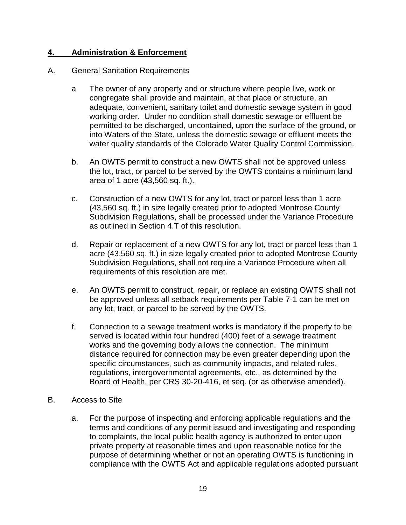# **4. Administration & Enforcement**

#### A. General Sanitation Requirements

- a The owner of any property and or structure where people live, work or congregate shall provide and maintain, at that place or structure, an adequate, convenient, sanitary toilet and domestic sewage system in good working order. Under no condition shall domestic sewage or effluent be permitted to be discharged, uncontained, upon the surface of the ground, or into Waters of the State, unless the domestic sewage or effluent meets the water quality standards of the Colorado Water Quality Control Commission.
- b. An OWTS permit to construct a new OWTS shall not be approved unless the lot, tract, or parcel to be served by the OWTS contains a minimum land area of 1 acre (43,560 sq. ft.).
- c. Construction of a new OWTS for any lot, tract or parcel less than 1 acre (43,560 sq. ft.) in size legally created prior to adopted Montrose County Subdivision Regulations, shall be processed under the Variance Procedure as outlined in Section 4.T of this resolution.
- d. Repair or replacement of a new OWTS for any lot, tract or parcel less than 1 acre (43,560 sq. ft.) in size legally created prior to adopted Montrose County Subdivision Regulations, shall not require a Variance Procedure when all requirements of this resolution are met.
- e. An OWTS permit to construct, repair, or replace an existing OWTS shall not be approved unless all setback requirements per Table 7-1 can be met on any lot, tract, or parcel to be served by the OWTS.
- f. Connection to a sewage treatment works is mandatory if the property to be served is located within four hundred (400) feet of a sewage treatment works and the governing body allows the connection. The minimum distance required for connection may be even greater depending upon the specific circumstances, such as community impacts, and related rules, regulations, intergovernmental agreements, etc., as determined by the Board of Health, per CRS 30-20-416, et seq. (or as otherwise amended).
- B. Access to Site
	- a. For the purpose of inspecting and enforcing applicable regulations and the terms and conditions of any permit issued and investigating and responding to complaints, the local public health agency is authorized to enter upon private property at reasonable times and upon reasonable notice for the purpose of determining whether or not an operating OWTS is functioning in compliance with the OWTS Act and applicable regulations adopted pursuant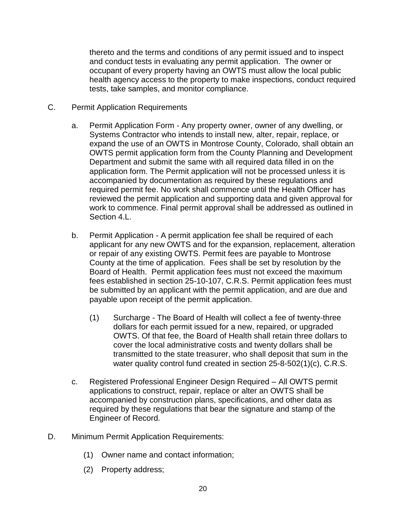thereto and the terms and conditions of any permit issued and to inspect and conduct tests in evaluating any permit application. The owner or occupant of every property having an OWTS must allow the local public health agency access to the property to make inspections, conduct required tests, take samples, and monitor compliance.

- C. Permit Application Requirements
	- a. Permit Application Form Any property owner, owner of any dwelling, or Systems Contractor who intends to install new, alter, repair, replace, or expand the use of an OWTS in Montrose County, Colorado, shall obtain an OWTS permit application form from the County Planning and Development Department and submit the same with all required data filled in on the application form. The Permit application will not be processed unless it is accompanied by documentation as required by these regulations and required permit fee. No work shall commence until the Health Officer has reviewed the permit application and supporting data and given approval for work to commence. Final permit approval shall be addressed as outlined in Section 4.L.
	- b. Permit Application A permit application fee shall be required of each applicant for any new OWTS and for the expansion, replacement, alteration or repair of any existing OWTS. Permit fees are payable to Montrose County at the time of application. Fees shall be set by resolution by the Board of Health. Permit application fees must not exceed the maximum fees established in section 25-10-107, C.R.S. Permit application fees must be submitted by an applicant with the permit application, and are due and payable upon receipt of the permit application.
		- (1) Surcharge The Board of Health will collect a fee of twenty-three dollars for each permit issued for a new, repaired, or upgraded OWTS. Of that fee, the Board of Health shall retain three dollars to cover the local administrative costs and twenty dollars shall be transmitted to the state treasurer, who shall deposit that sum in the water quality control fund created in section 25-8-502(1)(c), C.R.S.
	- c. Registered Professional Engineer Design Required All OWTS permit applications to construct, repair, replace or alter an OWTS shall be accompanied by construction plans, specifications, and other data as required by these regulations that bear the signature and stamp of the Engineer of Record.
- D. Minimum Permit Application Requirements:
	- (1) Owner name and contact information;
	- (2) Property address;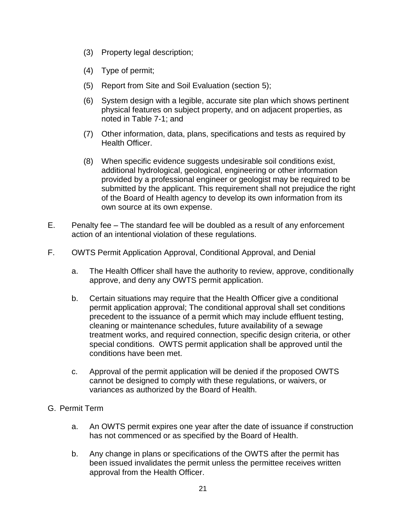- (3) Property legal description;
- (4) Type of permit;
- (5) Report from Site and Soil Evaluation (section 5);
- (6) System design with a legible, accurate site plan which shows pertinent physical features on subject property, and on adjacent properties, as noted in Table 7-1; and
- (7) Other information, data, plans, specifications and tests as required by Health Officer.
- (8) When specific evidence suggests undesirable soil conditions exist, additional hydrological, geological, engineering or other information provided by a professional engineer or geologist may be required to be submitted by the applicant. This requirement shall not prejudice the right of the Board of Health agency to develop its own information from its own source at its own expense.
- E. Penalty fee The standard fee will be doubled as a result of any enforcement action of an intentional violation of these regulations.
- F. OWTS Permit Application Approval, Conditional Approval, and Denial
	- a. The Health Officer shall have the authority to review, approve, conditionally approve, and deny any OWTS permit application.
	- b. Certain situations may require that the Health Officer give a conditional permit application approval; The conditional approval shall set conditions precedent to the issuance of a permit which may include effluent testing, cleaning or maintenance schedules, future availability of a sewage treatment works, and required connection, specific design criteria, or other special conditions. OWTS permit application shall be approved until the conditions have been met.
	- c. Approval of the permit application will be denied if the proposed OWTS cannot be designed to comply with these regulations, or waivers, or variances as authorized by the Board of Health.
- G. Permit Term
	- a. An OWTS permit expires one year after the date of issuance if construction has not commenced or as specified by the Board of Health.
	- b. Any change in plans or specifications of the OWTS after the permit has been issued invalidates the permit unless the permittee receives written approval from the Health Officer.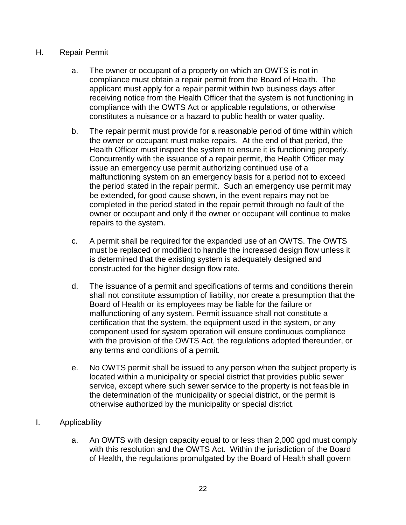### H. Repair Permit

- a. The owner or occupant of a property on which an OWTS is not in compliance must obtain a repair permit from the Board of Health. The applicant must apply for a repair permit within two business days after receiving notice from the Health Officer that the system is not functioning in compliance with the OWTS Act or applicable regulations, or otherwise constitutes a nuisance or a hazard to public health or water quality.
- b. The repair permit must provide for a reasonable period of time within which the owner or occupant must make repairs. At the end of that period, the Health Officer must inspect the system to ensure it is functioning properly. Concurrently with the issuance of a repair permit, the Health Officer may issue an emergency use permit authorizing continued use of a malfunctioning system on an emergency basis for a period not to exceed the period stated in the repair permit. Such an emergency use permit may be extended, for good cause shown, in the event repairs may not be completed in the period stated in the repair permit through no fault of the owner or occupant and only if the owner or occupant will continue to make repairs to the system.
- c. A permit shall be required for the expanded use of an OWTS. The OWTS must be replaced or modified to handle the increased design flow unless it is determined that the existing system is adequately designed and constructed for the higher design flow rate.
- d. The issuance of a permit and specifications of terms and conditions therein shall not constitute assumption of liability, nor create a presumption that the Board of Health or its employees may be liable for the failure or malfunctioning of any system. Permit issuance shall not constitute a certification that the system, the equipment used in the system, or any component used for system operation will ensure continuous compliance with the provision of the OWTS Act, the regulations adopted thereunder, or any terms and conditions of a permit.
- e. No OWTS permit shall be issued to any person when the subject property is located within a municipality or special district that provides public sewer service, except where such sewer service to the property is not feasible in the determination of the municipality or special district, or the permit is otherwise authorized by the municipality or special district.
- I. Applicability
	- a. An OWTS with design capacity equal to or less than 2,000 gpd must comply with this resolution and the OWTS Act. Within the jurisdiction of the Board of Health, the regulations promulgated by the Board of Health shall govern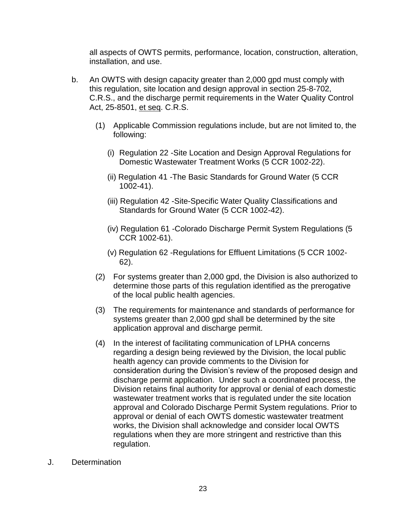all aspects of OWTS permits, performance, location, construction, alteration, installation, and use.

- b. An OWTS with design capacity greater than 2,000 gpd must comply with this regulation, site location and design approval in section 25-8-702, C.R.S., and the discharge permit requirements in the Water Quality Control Act, 25-8501, et seq. C.R.S.
	- (1) Applicable Commission regulations include, but are not limited to, the following:
		- (i) Regulation 22 -Site Location and Design Approval Regulations for Domestic Wastewater Treatment Works (5 CCR 1002-22).
		- (ii) Regulation 41 -The Basic Standards for Ground Water (5 CCR 1002-41).
		- (iii) Regulation 42 -Site-Specific Water Quality Classifications and Standards for Ground Water (5 CCR 1002-42).
		- (iv) Regulation 61 -Colorado Discharge Permit System Regulations (5 CCR 1002-61).
		- (v) Regulation 62 -Regulations for Effluent Limitations (5 CCR 1002- 62).
	- (2) For systems greater than 2,000 gpd, the Division is also authorized to determine those parts of this regulation identified as the prerogative of the local public health agencies.
	- (3) The requirements for maintenance and standards of performance for systems greater than 2,000 gpd shall be determined by the site application approval and discharge permit.
	- (4) In the interest of facilitating communication of LPHA concerns regarding a design being reviewed by the Division, the local public health agency can provide comments to the Division for consideration during the Division's review of the proposed design and discharge permit application. Under such a coordinated process, the Division retains final authority for approval or denial of each domestic wastewater treatment works that is regulated under the site location approval and Colorado Discharge Permit System regulations. Prior to approval or denial of each OWTS domestic wastewater treatment works, the Division shall acknowledge and consider local OWTS regulations when they are more stringent and restrictive than this regulation.
- J. Determination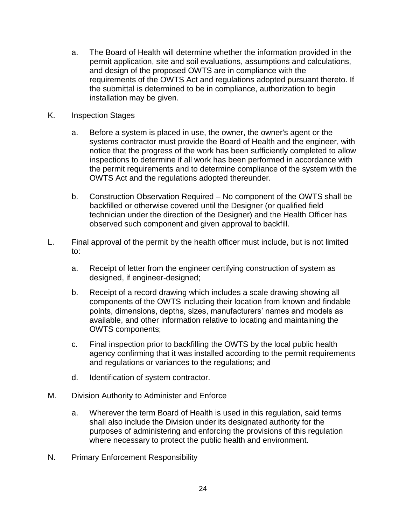- a. The Board of Health will determine whether the information provided in the permit application, site and soil evaluations, assumptions and calculations, and design of the proposed OWTS are in compliance with the requirements of the OWTS Act and regulations adopted pursuant thereto. If the submittal is determined to be in compliance, authorization to begin installation may be given.
- K. Inspection Stages
	- a. Before a system is placed in use, the owner, the owner's agent or the systems contractor must provide the Board of Health and the engineer, with notice that the progress of the work has been sufficiently completed to allow inspections to determine if all work has been performed in accordance with the permit requirements and to determine compliance of the system with the OWTS Act and the regulations adopted thereunder.
	- b. Construction Observation Required No component of the OWTS shall be backfilled or otherwise covered until the Designer (or qualified field technician under the direction of the Designer) and the Health Officer has observed such component and given approval to backfill.
- L. Final approval of the permit by the health officer must include, but is not limited to:
	- a. Receipt of letter from the engineer certifying construction of system as designed, if engineer-designed;
	- b. Receipt of a record drawing which includes a scale drawing showing all components of the OWTS including their location from known and findable points, dimensions, depths, sizes, manufacturers' names and models as available, and other information relative to locating and maintaining the OWTS components;
	- c. Final inspection prior to backfilling the OWTS by the local public health agency confirming that it was installed according to the permit requirements and regulations or variances to the regulations; and
	- d. Identification of system contractor.
- M. Division Authority to Administer and Enforce
	- a. Wherever the term Board of Health is used in this regulation, said terms shall also include the Division under its designated authority for the purposes of administering and enforcing the provisions of this regulation where necessary to protect the public health and environment.
- N. Primary Enforcement Responsibility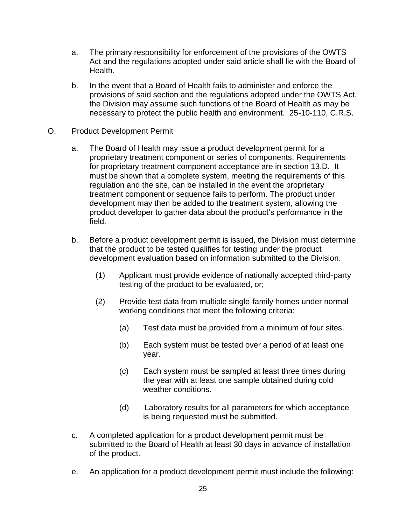- a. The primary responsibility for enforcement of the provisions of the OWTS Act and the regulations adopted under said article shall lie with the Board of Health.
- b. In the event that a Board of Health fails to administer and enforce the provisions of said section and the regulations adopted under the OWTS Act, the Division may assume such functions of the Board of Health as may be necessary to protect the public health and environment. 25-10-110, C.R.S.
- O. Product Development Permit
	- a. The Board of Health may issue a product development permit for a proprietary treatment component or series of components. Requirements for proprietary treatment component acceptance are in section 13.D. It must be shown that a complete system, meeting the requirements of this regulation and the site, can be installed in the event the proprietary treatment component or sequence fails to perform. The product under development may then be added to the treatment system, allowing the product developer to gather data about the product's performance in the field.
	- b. Before a product development permit is issued, the Division must determine that the product to be tested qualifies for testing under the product development evaluation based on information submitted to the Division.
		- (1) Applicant must provide evidence of nationally accepted third-party testing of the product to be evaluated, or;
		- (2) Provide test data from multiple single-family homes under normal working conditions that meet the following criteria:
			- (a) Test data must be provided from a minimum of four sites.
			- (b) Each system must be tested over a period of at least one year.
			- (c) Each system must be sampled at least three times during the year with at least one sample obtained during cold weather conditions.
			- (d) Laboratory results for all parameters for which acceptance is being requested must be submitted.
	- c. A completed application for a product development permit must be submitted to the Board of Health at least 30 days in advance of installation of the product.
	- e. An application for a product development permit must include the following: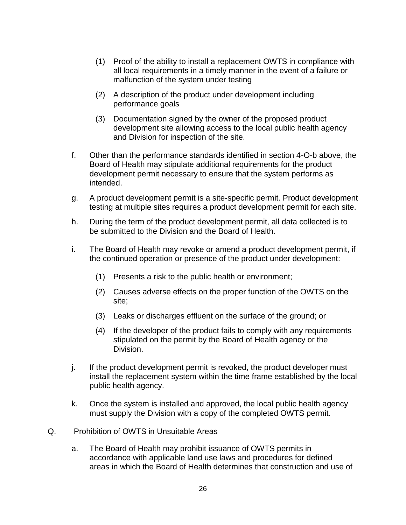- (1) Proof of the ability to install a replacement OWTS in compliance with all local requirements in a timely manner in the event of a failure or malfunction of the system under testing
- (2) A description of the product under development including performance goals
- (3) Documentation signed by the owner of the proposed product development site allowing access to the local public health agency and Division for inspection of the site.
- f. Other than the performance standards identified in section 4-O-b above, the Board of Health may stipulate additional requirements for the product development permit necessary to ensure that the system performs as intended.
- g. A product development permit is a site-specific permit. Product development testing at multiple sites requires a product development permit for each site.
- h. During the term of the product development permit, all data collected is to be submitted to the Division and the Board of Health.
- i. The Board of Health may revoke or amend a product development permit, if the continued operation or presence of the product under development:
	- (1) Presents a risk to the public health or environment;
	- (2) Causes adverse effects on the proper function of the OWTS on the site;
	- (3) Leaks or discharges effluent on the surface of the ground; or
	- (4) If the developer of the product fails to comply with any requirements stipulated on the permit by the Board of Health agency or the Division.
- j. If the product development permit is revoked, the product developer must install the replacement system within the time frame established by the local public health agency.
- k. Once the system is installed and approved, the local public health agency must supply the Division with a copy of the completed OWTS permit.
- Q. Prohibition of OWTS in Unsuitable Areas
	- a. The Board of Health may prohibit issuance of OWTS permits in accordance with applicable land use laws and procedures for defined areas in which the Board of Health determines that construction and use of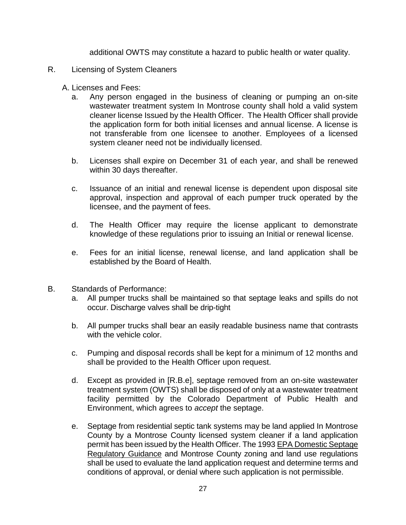additional OWTS may constitute a hazard to public health or water quality.

- R. Licensing of System Cleaners
	- A. Licenses and Fees:
		- a. Any person engaged in the business of cleaning or pumping an on-site wastewater treatment system In Montrose county shall hold a valid system cleaner license Issued by the Health Officer. The Health Officer shall provide the application form for both initial licenses and annual license. A license is not transferable from one licensee to another. Employees of a licensed system cleaner need not be individually licensed.
		- b. Licenses shall expire on December 31 of each year, and shall be renewed within 30 days thereafter.
		- c. Issuance of an initial and renewal license is dependent upon disposal site approval, inspection and approval of each pumper truck operated by the licensee, and the payment of fees.
		- d. The Health Officer may require the license applicant to demonstrate knowledge of these regulations prior to issuing an Initial or renewal license.
		- e. Fees for an initial license, renewal license, and land application shall be established by the Board of Health.
- B. Standards of Performance:
	- a. All pumper trucks shall be maintained so that septage leaks and spills do not occur. Discharge valves shall be drip-tight
	- b. All pumper trucks shall bear an easily readable business name that contrasts with the vehicle color.
	- c. Pumping and disposal records shall be kept for a minimum of 12 months and shall be provided to the Health Officer upon request.
	- d. Except as provided in [R.B.e], septage removed from an on-site wastewater treatment system (OWTS) shall be disposed of only at a wastewater treatment facility permitted by the Colorado Department of Public Health and Environment, which agrees to *accept* the septage.
	- e. Septage from residential septic tank systems may be land applied In Montrose County by a Montrose County licensed system cleaner if a land application permit has been issued by the Health Officer. The 1993 EPA Domestic Septage Regulatory Guidance and Montrose County zoning and land use regulations shall be used to evaluate the land application request and determine terms and conditions of approval, or denial where such application is not permissible.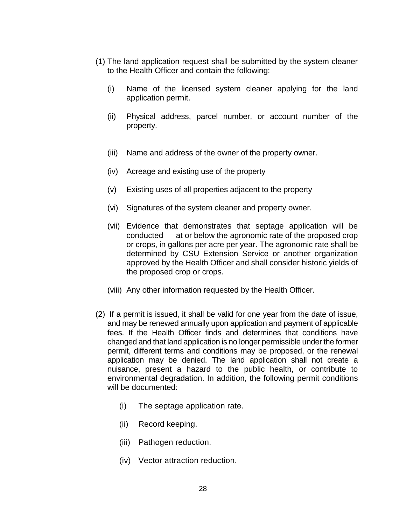- (1) The land application request shall be submitted by the system cleaner to the Health Officer and contain the following:
	- (i) Name of the licensed system cleaner applying for the land application permit.
	- (ii) Physical address, parcel number, or account number of the property.
	- (iii) Name and address of the owner of the property owner.
	- (iv) Acreage and existing use of the property
	- (v) Existing uses of all properties adjacent to the property
	- (vi) Signatures of the system cleaner and property owner.
	- (vii) Evidence that demonstrates that septage application will be conducted at or below the agronomic rate of the proposed crop or crops, in gallons per acre per year. The agronomic rate shall be determined by CSU Extension Service or another organization approved by the Health Officer and shall consider historic yields of the proposed crop or crops.
	- (viii) Any other information requested by the Health Officer.
- (2) If a permit is issued, it shall be valid for one year from the date of issue, and may be renewed annually upon application and payment of applicable fees. If the Health Officer finds and determines that conditions have changed and that land application is no longer permissible under the former permit, different terms and conditions may be proposed, or the renewal application may be denied. The land application shall not create a nuisance, present a hazard to the public health, or contribute to environmental degradation. In addition, the following permit conditions will be documented:
	- (i) The septage application rate.
	- (ii) Record keeping.
	- (iii) Pathogen reduction.
	- (iv) Vector attraction reduction.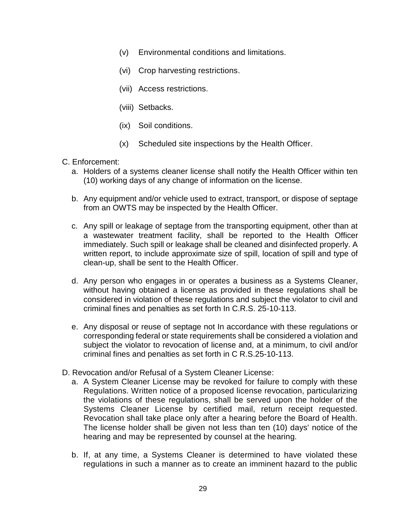- (v) Environmental conditions and limitations.
- (vi) Crop harvesting restrictions.
- (vii) Access restrictions.
- (viii) Setbacks.
- (ix) Soil conditions.
- (x) Scheduled site inspections by the Health Officer.
- C. Enforcement:
	- a. Holders of a systems cleaner license shall notify the Health Officer within ten (10) working days of any change of information on the license.
	- b. Any equipment and/or vehicle used to extract, transport, or dispose of septage from an OWTS may be inspected by the Health Officer.
	- c. Any spill or leakage of septage from the transporting equipment, other than at a wastewater treatment facility, shall be reported to the Health Officer immediately. Such spill or leakage shall be cleaned and disinfected properly. A written report, to include approximate size of spill, location of spill and type of clean-up, shall be sent to the Health Officer.
	- d. Any person who engages in or operates a business as a Systems Cleaner, without having obtained a license as provided in these regulations shall be considered in violation of these regulations and subject the violator to civil and criminal fines and penalties as set forth In C.R.S. 25-10-113.
	- e. Any disposal or reuse of septage not In accordance with these regulations or corresponding federal or state requirements shall be considered a violation and subject the violator to revocation of license and, at a minimum, to civil and/or criminal fines and penalties as set forth in C R.S.25-10-113.
- D. Revocation and/or Refusal of a System Cleaner License:
	- a. A System Cleaner License may be revoked for failure to comply with these Regulations. Written notice of a proposed license revocation, particularizing the violations of these regulations, shall be served upon the holder of the Systems Cleaner License by certified mail, return receipt requested. Revocation shall take place only after a hearing before the Board of Health. The license holder shall be given not less than ten (10) days' notice of the hearing and may be represented by counsel at the hearing.
	- b. If, at any time, a Systems Cleaner is determined to have violated these regulations in such a manner as to create an imminent hazard to the public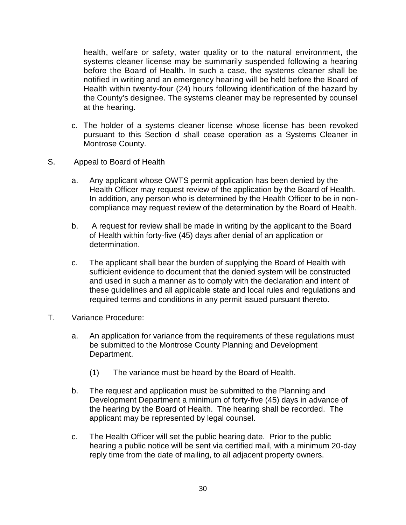health, welfare or safety, water quality or to the natural environment, the systems cleaner license may be summarily suspended following a hearing before the Board of Health. In such a case, the systems cleaner shall be notified in writing and an emergency hearing will be held before the Board of Health within twenty-four (24) hours following identification of the hazard by the County's designee. The systems cleaner may be represented by counsel at the hearing.

- c. The holder of a systems cleaner license whose license has been revoked pursuant to this Section d shall cease operation as a Systems Cleaner in Montrose County.
- S. Appeal to Board of Health
	- a. Any applicant whose OWTS permit application has been denied by the Health Officer may request review of the application by the Board of Health. In addition, any person who is determined by the Health Officer to be in noncompliance may request review of the determination by the Board of Health.
	- b. A request for review shall be made in writing by the applicant to the Board of Health within forty-five (45) days after denial of an application or determination.
	- c. The applicant shall bear the burden of supplying the Board of Health with sufficient evidence to document that the denied system will be constructed and used in such a manner as to comply with the declaration and intent of these guidelines and all applicable state and local rules and regulations and required terms and conditions in any permit issued pursuant thereto.
- T. Variance Procedure:
	- a. An application for variance from the requirements of these regulations must be submitted to the Montrose County Planning and Development Department.
		- (1) The variance must be heard by the Board of Health.
	- b. The request and application must be submitted to the Planning and Development Department a minimum of forty-five (45) days in advance of the hearing by the Board of Health. The hearing shall be recorded. The applicant may be represented by legal counsel.
	- c. The Health Officer will set the public hearing date. Prior to the public hearing a public notice will be sent via certified mail, with a minimum 20-day reply time from the date of mailing, to all adjacent property owners.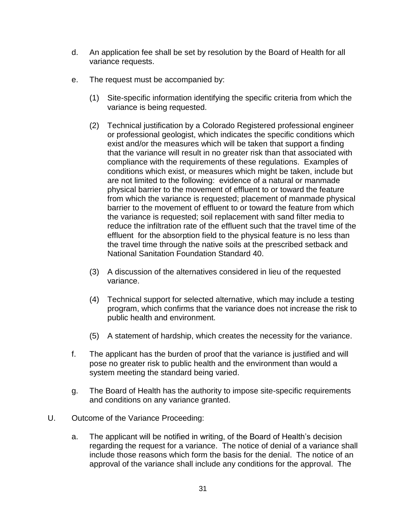- d. An application fee shall be set by resolution by the Board of Health for all variance requests.
- e. The request must be accompanied by:
	- (1) Site-specific information identifying the specific criteria from which the variance is being requested.
	- (2) Technical justification by a Colorado Registered professional engineer or professional geologist, which indicates the specific conditions which exist and/or the measures which will be taken that support a finding that the variance will result in no greater risk than that associated with compliance with the requirements of these regulations. Examples of conditions which exist, or measures which might be taken, include but are not limited to the following: evidence of a natural or manmade physical barrier to the movement of effluent to or toward the feature from which the variance is requested; placement of manmade physical barrier to the movement of effluent to or toward the feature from which the variance is requested; soil replacement with sand filter media to reduce the infiltration rate of the effluent such that the travel time of the effluent for the absorption field to the physical feature is no less than the travel time through the native soils at the prescribed setback and National Sanitation Foundation Standard 40.
	- (3) A discussion of the alternatives considered in lieu of the requested variance.
	- (4) Technical support for selected alternative, which may include a testing program, which confirms that the variance does not increase the risk to public health and environment.
	- (5) A statement of hardship, which creates the necessity for the variance.
- f. The applicant has the burden of proof that the variance is justified and will pose no greater risk to public health and the environment than would a system meeting the standard being varied.
- g. The Board of Health has the authority to impose site-specific requirements and conditions on any variance granted.
- U. Outcome of the Variance Proceeding:
	- a. The applicant will be notified in writing, of the Board of Health's decision regarding the request for a variance. The notice of denial of a variance shall include those reasons which form the basis for the denial. The notice of an approval of the variance shall include any conditions for the approval. The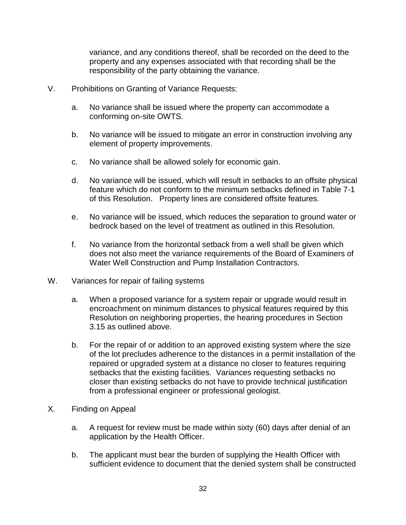variance, and any conditions thereof, shall be recorded on the deed to the property and any expenses associated with that recording shall be the responsibility of the party obtaining the variance.

- V. Prohibitions on Granting of Variance Requests:
	- a. No variance shall be issued where the property can accommodate a conforming on-site OWTS.
	- b. No variance will be issued to mitigate an error in construction involving any element of property improvements.
	- c. No variance shall be allowed solely for economic gain.
	- d. No variance will be issued, which will result in setbacks to an offsite physical feature which do not conform to the minimum setbacks defined in Table 7-1 of this Resolution. Property lines are considered offsite features.
	- e. No variance will be issued, which reduces the separation to ground water or bedrock based on the level of treatment as outlined in this Resolution.
	- f. No variance from the horizontal setback from a well shall be given which does not also meet the variance requirements of the Board of Examiners of Water Well Construction and Pump Installation Contractors.
- W. Variances for repair of failing systems
	- a. When a proposed variance for a system repair or upgrade would result in encroachment on minimum distances to physical features required by this Resolution on neighboring properties, the hearing procedures in Section 3.15 as outlined above.
	- b. For the repair of or addition to an approved existing system where the size of the lot precludes adherence to the distances in a permit installation of the repaired or upgraded system at a distance no closer to features requiring setbacks that the existing facilities. Variances requesting setbacks no closer than existing setbacks do not have to provide technical justification from a professional engineer or professional geologist.
- X. Finding on Appeal
	- a. A request for review must be made within sixty (60) days after denial of an application by the Health Officer.
	- b. The applicant must bear the burden of supplying the Health Officer with sufficient evidence to document that the denied system shall be constructed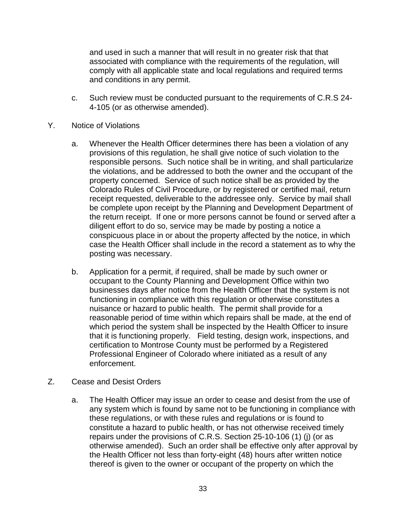and used in such a manner that will result in no greater risk that that associated with compliance with the requirements of the regulation, will comply with all applicable state and local regulations and required terms and conditions in any permit.

- c. Such review must be conducted pursuant to the requirements of C.R.S 24- 4-105 (or as otherwise amended).
- Y. Notice of Violations
	- a. Whenever the Health Officer determines there has been a violation of any provisions of this regulation, he shall give notice of such violation to the responsible persons. Such notice shall be in writing, and shall particularize the violations, and be addressed to both the owner and the occupant of the property concerned. Service of such notice shall be as provided by the Colorado Rules of Civil Procedure, or by registered or certified mail, return receipt requested, deliverable to the addressee only. Service by mail shall be complete upon receipt by the Planning and Development Department of the return receipt. If one or more persons cannot be found or served after a diligent effort to do so, service may be made by posting a notice a conspicuous place in or about the property affected by the notice, in which case the Health Officer shall include in the record a statement as to why the posting was necessary.
	- b. Application for a permit, if required, shall be made by such owner or occupant to the County Planning and Development Office within two businesses days after notice from the Health Officer that the system is not functioning in compliance with this regulation or otherwise constitutes a nuisance or hazard to public health. The permit shall provide for a reasonable period of time within which repairs shall be made, at the end of which period the system shall be inspected by the Health Officer to insure that it is functioning properly. Field testing, design work, inspections, and certification to Montrose County must be performed by a Registered Professional Engineer of Colorado where initiated as a result of any enforcement.
- Z. Cease and Desist Orders
	- a. The Health Officer may issue an order to cease and desist from the use of any system which is found by same not to be functioning in compliance with these regulations, or with these rules and regulations or is found to constitute a hazard to public health, or has not otherwise received timely repairs under the provisions of C.R.S. Section 25-10-106 (1) (j) (or as otherwise amended). Such an order shall be effective only after approval by the Health Officer not less than forty-eight (48) hours after written notice thereof is given to the owner or occupant of the property on which the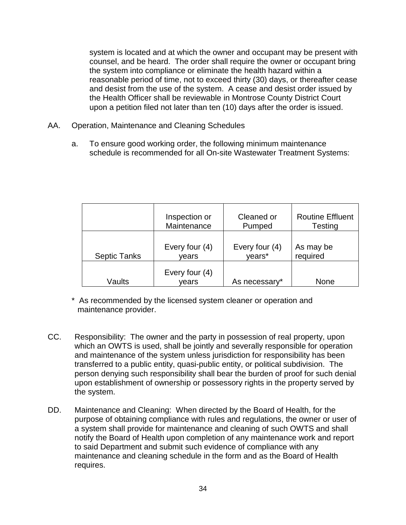system is located and at which the owner and occupant may be present with counsel, and be heard. The order shall require the owner or occupant bring the system into compliance or eliminate the health hazard within a reasonable period of time, not to exceed thirty (30) days, or thereafter cease and desist from the use of the system. A cease and desist order issued by the Health Officer shall be reviewable in Montrose County District Court upon a petition filed not later than ten (10) days after the order is issued.

- AA. Operation, Maintenance and Cleaning Schedules
	- a. To ensure good working order, the following minimum maintenance schedule is recommended for all On-site Wastewater Treatment Systems:

|                     | Inspection or           | Cleaned or     | <b>Routine Effluent</b> |
|---------------------|-------------------------|----------------|-------------------------|
|                     | Maintenance             | Pumped         | <b>Testing</b>          |
| <b>Septic Tanks</b> | Every four (4)          | Every four (4) | As may be               |
|                     | vears                   | years*         | required                |
| Vaults              | Every four (4)<br>vears | As necessary*  | None                    |

- \* As recommended by the licensed system cleaner or operation and maintenance provider.
- CC. Responsibility: The owner and the party in possession of real property, upon which an OWTS is used, shall be jointly and severally responsible for operation and maintenance of the system unless jurisdiction for responsibility has been transferred to a public entity, quasi-public entity, or political subdivision. The person denying such responsibility shall bear the burden of proof for such denial upon establishment of ownership or possessory rights in the property served by the system.
- DD. Maintenance and Cleaning: When directed by the Board of Health, for the purpose of obtaining compliance with rules and regulations, the owner or user of a system shall provide for maintenance and cleaning of such OWTS and shall notify the Board of Health upon completion of any maintenance work and report to said Department and submit such evidence of compliance with any maintenance and cleaning schedule in the form and as the Board of Health requires.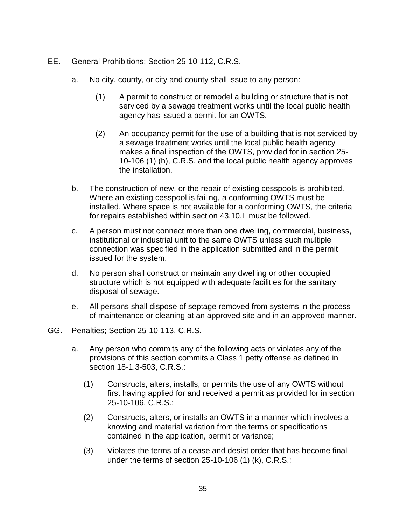- EE. General Prohibitions; Section 25-10-112, C.R.S.
	- a. No city, county, or city and county shall issue to any person:
		- (1) A permit to construct or remodel a building or structure that is not serviced by a sewage treatment works until the local public health agency has issued a permit for an OWTS.
		- (2) An occupancy permit for the use of a building that is not serviced by a sewage treatment works until the local public health agency makes a final inspection of the OWTS, provided for in section 25- 10-106 (1) (h), C.R.S. and the local public health agency approves the installation.
	- b. The construction of new, or the repair of existing cesspools is prohibited. Where an existing cesspool is failing, a conforming OWTS must be installed. Where space is not available for a conforming OWTS, the criteria for repairs established within section 43.10.L must be followed.
	- c. A person must not connect more than one dwelling, commercial, business, institutional or industrial unit to the same OWTS unless such multiple connection was specified in the application submitted and in the permit issued for the system.
	- d. No person shall construct or maintain any dwelling or other occupied structure which is not equipped with adequate facilities for the sanitary disposal of sewage.
	- e. All persons shall dispose of septage removed from systems in the process of maintenance or cleaning at an approved site and in an approved manner.
- GG. Penalties; Section 25-10-113, C.R.S.
	- a. Any person who commits any of the following acts or violates any of the provisions of this section commits a Class 1 petty offense as defined in section 18-1.3-503, C.R.S.:
		- (1) Constructs, alters, installs, or permits the use of any OWTS without first having applied for and received a permit as provided for in section 25-10-106, C.R.S.;
		- (2) Constructs, alters, or installs an OWTS in a manner which involves a knowing and material variation from the terms or specifications contained in the application, permit or variance;
		- (3) Violates the terms of a cease and desist order that has become final under the terms of section 25-10-106 (1) (k), C.R.S.;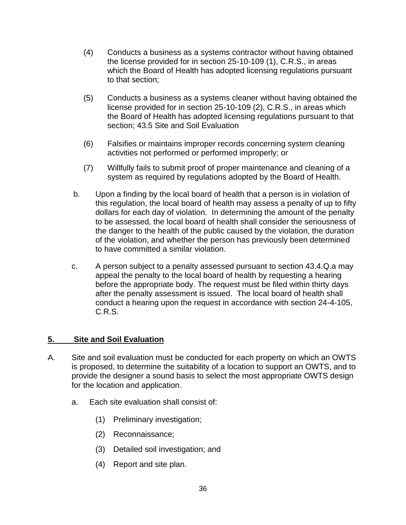- (4) Conducts a business as a systems contractor without having obtained the license provided for in section 25-10-109 (1), C.R.S., in areas which the Board of Health has adopted licensing regulations pursuant to that section;
- (5) Conducts a business as a systems cleaner without having obtained the license provided for in section 25-10-109 (2), C.R.S., in areas which the Board of Health has adopted licensing regulations pursuant to that section; 43.5 Site and Soil Evaluation
- (6) Falsifies or maintains improper records concerning system cleaning activities not performed or performed improperly; or
- (7) Willfully fails to submit proof of proper maintenance and cleaning of a system as required by regulations adopted by the Board of Health.
- b. Upon a finding by the local board of health that a person is in violation of this regulation, the local board of health may assess a penalty of up to fifty dollars for each day of violation. In determining the amount of the penalty to be assessed, the local board of health shall consider the seriousness of the danger to the health of the public caused by the violation, the duration of the violation, and whether the person has previously been determined to have committed a similar violation.
- c. A person subject to a penalty assessed pursuant to section 43.4.Q.a may appeal the penalty to the local board of health by requesting a hearing before the appropriate body. The request must be filed within thirty days after the penalty assessment is issued. The local board of health shall conduct a hearing upon the request in accordance with section 24-4-105, C.R.S.

# **5. Site and Soil Evaluation**

- A. Site and soil evaluation must be conducted for each property on which an OWTS is proposed, to determine the suitability of a location to support an OWTS, and to provide the designer a sound basis to select the most appropriate OWTS design for the location and application.
	- a. Each site evaluation shall consist of:
		- (1) Preliminary investigation;
		- (2) Reconnaissance;
		- (3) Detailed soil investigation; and
		- (4) Report and site plan.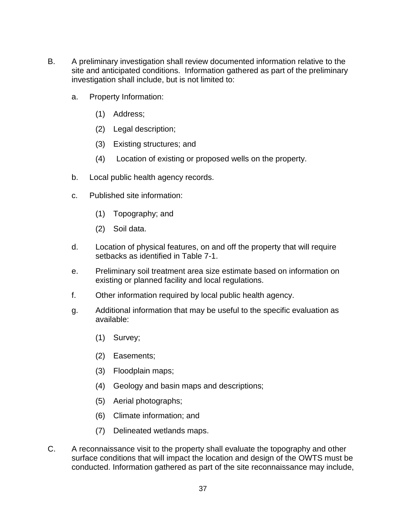- B. A preliminary investigation shall review documented information relative to the site and anticipated conditions. Information gathered as part of the preliminary investigation shall include, but is not limited to:
	- a. Property Information:
		- (1) Address;
		- (2) Legal description;
		- (3) Existing structures; and
		- (4) Location of existing or proposed wells on the property.
	- b. Local public health agency records.
	- c. Published site information:
		- (1) Topography; and
		- (2) Soil data.
	- d. Location of physical features, on and off the property that will require setbacks as identified in Table 7-1.
	- e. Preliminary soil treatment area size estimate based on information on existing or planned facility and local regulations.
	- f. Other information required by local public health agency.
	- g. Additional information that may be useful to the specific evaluation as available:
		- (1) Survey;
		- (2) Easements;
		- (3) Floodplain maps;
		- (4) Geology and basin maps and descriptions;
		- (5) Aerial photographs;
		- (6) Climate information; and
		- (7) Delineated wetlands maps.
- C. A reconnaissance visit to the property shall evaluate the topography and other surface conditions that will impact the location and design of the OWTS must be conducted. Information gathered as part of the site reconnaissance may include,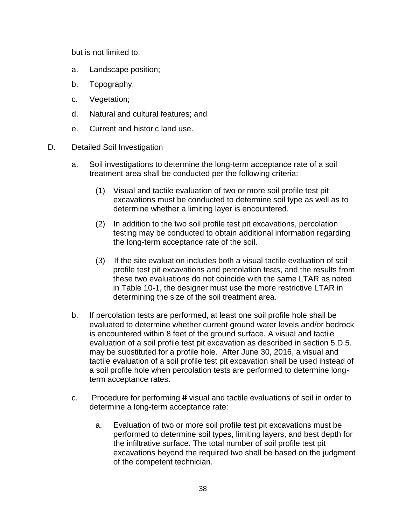but is not limited to:

- a. Landscape position;
- b. Topography;
- c. Vegetation;
- d. Natural and cultural features; and
- e. Current and historic land use.
- D. Detailed Soil Investigation
	- a. Soil investigations to determine the long-term acceptance rate of a soil treatment area shall be conducted per the following criteria:
		- (1) Visual and tactile evaluation of two or more soil profile test pit excavations must be conducted to determine soil type as well as to determine whether a limiting layer is encountered.
		- (2) In addition to the two soil profile test pit excavations, percolation testing may be conducted to obtain additional information regarding the long-term acceptance rate of the soil.
		- (3) If the site evaluation includes both a visual tactile evaluation of soil profile test pit excavations and percolation tests, and the results from these two evaluations do not coincide with the same LTAR as noted in Table 10-1, the designer must use the more restrictive LTAR in determining the size of the soil treatment area.
	- b. If percolation tests are performed, at least one soil profile hole shall be evaluated to determine whether current ground water levels and/or bedrock is encountered within 8 feet of the ground surface. A visual and tactile evaluation of a soil profile test pit excavation as described in section 5.D.5. may be substituted for a profile hole. After June 30, 2016, a visual and tactile evaluation of a soil profile test pit excavation shall be used instead of a soil profile hole when percolation tests are performed to determine longterm acceptance rates.
	- c. Procedure for performing If visual and tactile evaluations of soil in order to determine a long-term acceptance rate:
		- a. Evaluation of two or more soil profile test pit excavations must be performed to determine soil types, limiting layers, and best depth for the infiltrative surface. The total number of soil profile test pit excavations beyond the required two shall be based on the judgment of the competent technician.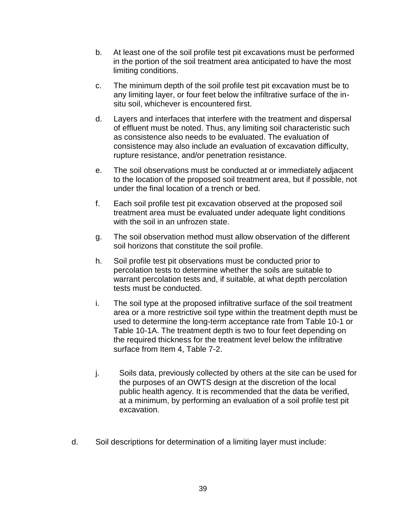- b. At least one of the soil profile test pit excavations must be performed in the portion of the soil treatment area anticipated to have the most limiting conditions.
- c. The minimum depth of the soil profile test pit excavation must be to any limiting layer, or four feet below the infiltrative surface of the insitu soil, whichever is encountered first.
- d. Layers and interfaces that interfere with the treatment and dispersal of effluent must be noted. Thus, any limiting soil characteristic such as consistence also needs to be evaluated. The evaluation of consistence may also include an evaluation of excavation difficulty, rupture resistance, and/or penetration resistance.
- e. The soil observations must be conducted at or immediately adjacent to the location of the proposed soil treatment area, but if possible, not under the final location of a trench or bed.
- f. Each soil profile test pit excavation observed at the proposed soil treatment area must be evaluated under adequate light conditions with the soil in an unfrozen state.
- g. The soil observation method must allow observation of the different soil horizons that constitute the soil profile.
- h. Soil profile test pit observations must be conducted prior to percolation tests to determine whether the soils are suitable to warrant percolation tests and, if suitable, at what depth percolation tests must be conducted.
- i. The soil type at the proposed infiltrative surface of the soil treatment area or a more restrictive soil type within the treatment depth must be used to determine the long-term acceptance rate from Table 10-1 or Table 10-1A. The treatment depth is two to four feet depending on the required thickness for the treatment level below the infiltrative surface from Item 4, Table 7-2.
- j. Soils data, previously collected by others at the site can be used for the purposes of an OWTS design at the discretion of the local public health agency. It is recommended that the data be verified, at a minimum, by performing an evaluation of a soil profile test pit excavation.
- d. Soil descriptions for determination of a limiting layer must include: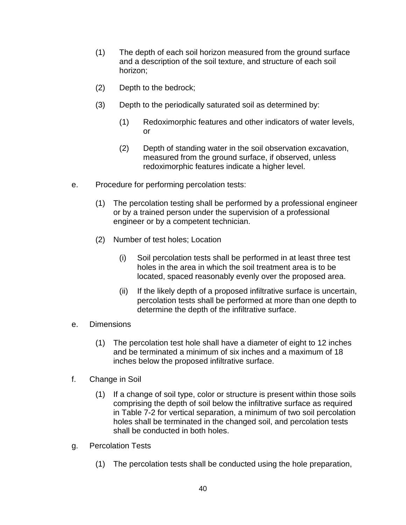- (1) The depth of each soil horizon measured from the ground surface and a description of the soil texture, and structure of each soil horizon;
- (2) Depth to the bedrock;
- (3) Depth to the periodically saturated soil as determined by:
	- (1) Redoximorphic features and other indicators of water levels, or
	- (2) Depth of standing water in the soil observation excavation, measured from the ground surface, if observed, unless redoximorphic features indicate a higher level.
- e. Procedure for performing percolation tests:
	- (1) The percolation testing shall be performed by a professional engineer or by a trained person under the supervision of a professional engineer or by a competent technician.
	- (2) Number of test holes; Location
		- (i) Soil percolation tests shall be performed in at least three test holes in the area in which the soil treatment area is to be located, spaced reasonably evenly over the proposed area.
		- (ii) If the likely depth of a proposed infiltrative surface is uncertain, percolation tests shall be performed at more than one depth to determine the depth of the infiltrative surface.
- e. Dimensions
	- (1) The percolation test hole shall have a diameter of eight to 12 inches and be terminated a minimum of six inches and a maximum of 18 inches below the proposed infiltrative surface.
- f. Change in Soil
	- (1) If a change of soil type, color or structure is present within those soils comprising the depth of soil below the infiltrative surface as required in Table 7-2 for vertical separation, a minimum of two soil percolation holes shall be terminated in the changed soil, and percolation tests shall be conducted in both holes.
- g. Percolation Tests
	- (1) The percolation tests shall be conducted using the hole preparation,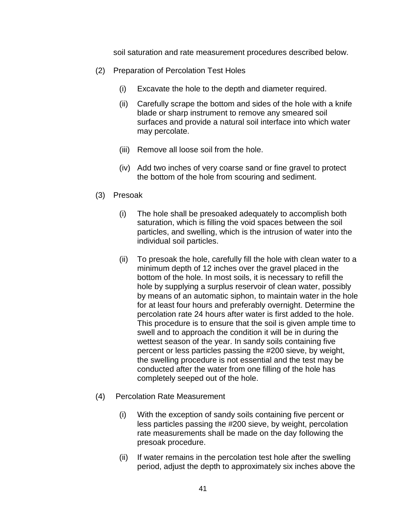soil saturation and rate measurement procedures described below.

- (2) Preparation of Percolation Test Holes
	- (i) Excavate the hole to the depth and diameter required.
	- (ii) Carefully scrape the bottom and sides of the hole with a knife blade or sharp instrument to remove any smeared soil surfaces and provide a natural soil interface into which water may percolate.
	- (iii) Remove all loose soil from the hole.
	- (iv) Add two inches of very coarse sand or fine gravel to protect the bottom of the hole from scouring and sediment.
- (3) Presoak
	- (i) The hole shall be presoaked adequately to accomplish both saturation, which is filling the void spaces between the soil particles, and swelling, which is the intrusion of water into the individual soil particles.
	- (ii) To presoak the hole, carefully fill the hole with clean water to a minimum depth of 12 inches over the gravel placed in the bottom of the hole. In most soils, it is necessary to refill the hole by supplying a surplus reservoir of clean water, possibly by means of an automatic siphon, to maintain water in the hole for at least four hours and preferably overnight. Determine the percolation rate 24 hours after water is first added to the hole. This procedure is to ensure that the soil is given ample time to swell and to approach the condition it will be in during the wettest season of the year. In sandy soils containing five percent or less particles passing the #200 sieve, by weight, the swelling procedure is not essential and the test may be conducted after the water from one filling of the hole has completely seeped out of the hole.
- (4) Percolation Rate Measurement
	- (i) With the exception of sandy soils containing five percent or less particles passing the #200 sieve, by weight, percolation rate measurements shall be made on the day following the presoak procedure.
	- (ii) If water remains in the percolation test hole after the swelling period, adjust the depth to approximately six inches above the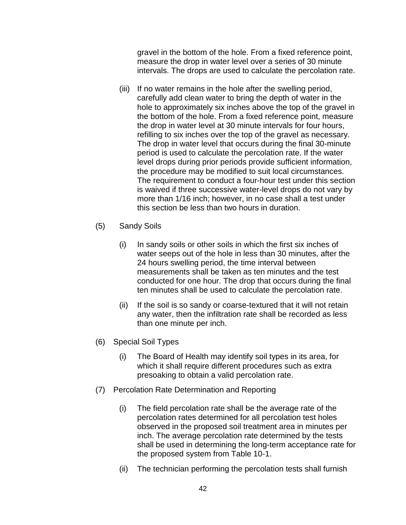gravel in the bottom of the hole. From a fixed reference point, measure the drop in water level over a series of 30 minute intervals. The drops are used to calculate the percolation rate.

- (iii) If no water remains in the hole after the swelling period, carefully add clean water to bring the depth of water in the hole to approximately six inches above the top of the gravel in the bottom of the hole. From a fixed reference point, measure the drop in water level at 30 minute intervals for four hours, refilling to six inches over the top of the gravel as necessary. The drop in water level that occurs during the final 30-minute period is used to calculate the percolation rate. If the water level drops during prior periods provide sufficient information, the procedure may be modified to suit local circumstances. The requirement to conduct a four-hour test under this section is waived if three successive water-level drops do not vary by more than 1/16 inch; however, in no case shall a test under this section be less than two hours in duration.
- (5) Sandy Soils
	- (i) In sandy soils or other soils in which the first six inches of water seeps out of the hole in less than 30 minutes, after the 24 hours swelling period, the time interval between measurements shall be taken as ten minutes and the test conducted for one hour. The drop that occurs during the final ten minutes shall be used to calculate the percolation rate.
	- (ii) If the soil is so sandy or coarse-textured that it will not retain any water, then the infiltration rate shall be recorded as less than one minute per inch.
- (6) Special Soil Types
	- (i) The Board of Health may identify soil types in its area, for which it shall require different procedures such as extra presoaking to obtain a valid percolation rate.
- (7) Percolation Rate Determination and Reporting
	- (i) The field percolation rate shall be the average rate of the percolation rates determined for all percolation test holes observed in the proposed soil treatment area in minutes per inch. The average percolation rate determined by the tests shall be used in determining the long-term acceptance rate for the proposed system from Table 10-1.
	- (ii) The technician performing the percolation tests shall furnish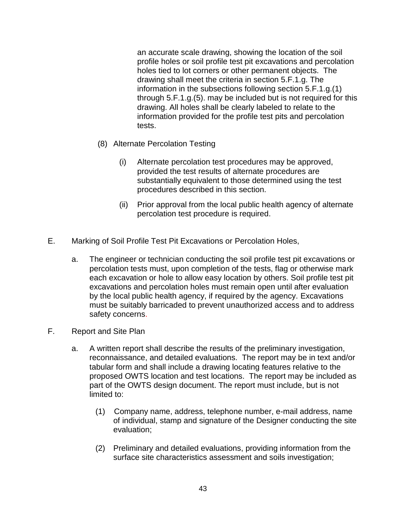an accurate scale drawing, showing the location of the soil profile holes or soil profile test pit excavations and percolation holes tied to lot corners or other permanent objects. The drawing shall meet the criteria in section 5.F.1.g. The information in the subsections following section 5.F.1.g.(1) through 5.F.1.g.(5). may be included but is not required for this drawing. All holes shall be clearly labeled to relate to the information provided for the profile test pits and percolation tests.

- (8) Alternate Percolation Testing
	- (i) Alternate percolation test procedures may be approved, provided the test results of alternate procedures are substantially equivalent to those determined using the test procedures described in this section.
	- (ii) Prior approval from the local public health agency of alternate percolation test procedure is required.
- E. Marking of Soil Profile Test Pit Excavations or Percolation Holes,
	- a. The engineer or technician conducting the soil profile test pit excavations or percolation tests must, upon completion of the tests, flag or otherwise mark each excavation or hole to allow easy location by others. Soil profile test pit excavations and percolation holes must remain open until after evaluation by the local public health agency, if required by the agency. Excavations must be suitably barricaded to prevent unauthorized access and to address safety concerns.
- F. Report and Site Plan
	- a. A written report shall describe the results of the preliminary investigation, reconnaissance, and detailed evaluations. The report may be in text and/or tabular form and shall include a drawing locating features relative to the proposed OWTS location and test locations. The report may be included as part of the OWTS design document. The report must include, but is not limited to:
		- (1) Company name, address, telephone number, e-mail address, name of individual, stamp and signature of the Designer conducting the site evaluation;
		- (2) Preliminary and detailed evaluations, providing information from the surface site characteristics assessment and soils investigation;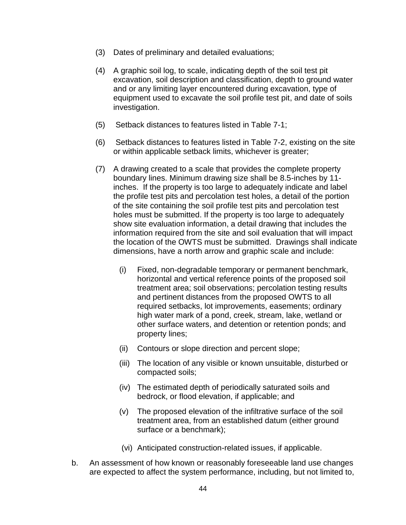- (3) Dates of preliminary and detailed evaluations;
- (4) A graphic soil log, to scale, indicating depth of the soil test pit excavation, soil description and classification, depth to ground water and or any limiting layer encountered during excavation, type of equipment used to excavate the soil profile test pit, and date of soils investigation.
- (5) Setback distances to features listed in Table 7-1;
- (6) Setback distances to features listed in Table 7-2, existing on the site or within applicable setback limits, whichever is greater;
- (7) A drawing created to a scale that provides the complete property boundary lines. Minimum drawing size shall be 8.5-inches by 11 inches. If the property is too large to adequately indicate and label the profile test pits and percolation test holes, a detail of the portion of the site containing the soil profile test pits and percolation test holes must be submitted. If the property is too large to adequately show site evaluation information, a detail drawing that includes the information required from the site and soil evaluation that will impact the location of the OWTS must be submitted. Drawings shall indicate dimensions, have a north arrow and graphic scale and include:
	- (i) Fixed, non-degradable temporary or permanent benchmark, horizontal and vertical reference points of the proposed soil treatment area; soil observations; percolation testing results and pertinent distances from the proposed OWTS to all required setbacks, lot improvements, easements; ordinary high water mark of a pond, creek, stream, lake, wetland or other surface waters, and detention or retention ponds; and property lines;
	- (ii) Contours or slope direction and percent slope;
	- (iii) The location of any visible or known unsuitable, disturbed or compacted soils;
	- (iv) The estimated depth of periodically saturated soils and bedrock, or flood elevation, if applicable; and
	- (v) The proposed elevation of the infiltrative surface of the soil treatment area, from an established datum (either ground surface or a benchmark);
	- (vi) Anticipated construction-related issues, if applicable.
- b. An assessment of how known or reasonably foreseeable land use changes are expected to affect the system performance, including, but not limited to,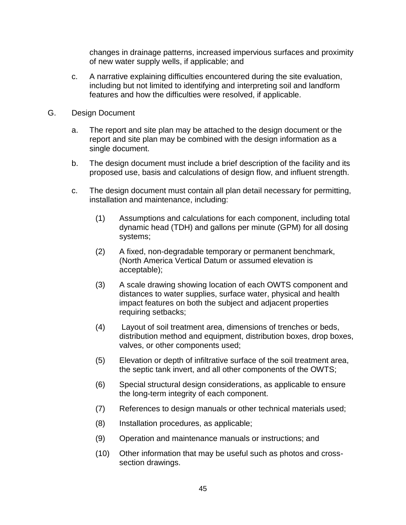changes in drainage patterns, increased impervious surfaces and proximity of new water supply wells, if applicable; and

- c. A narrative explaining difficulties encountered during the site evaluation, including but not limited to identifying and interpreting soil and landform features and how the difficulties were resolved, if applicable.
- G. Design Document
	- a. The report and site plan may be attached to the design document or the report and site plan may be combined with the design information as a single document.
	- b. The design document must include a brief description of the facility and its proposed use, basis and calculations of design flow, and influent strength.
	- c. The design document must contain all plan detail necessary for permitting, installation and maintenance, including:
		- (1) Assumptions and calculations for each component, including total dynamic head (TDH) and gallons per minute (GPM) for all dosing systems;
		- (2) A fixed, non-degradable temporary or permanent benchmark, (North America Vertical Datum or assumed elevation is acceptable);
		- (3) A scale drawing showing location of each OWTS component and distances to water supplies, surface water, physical and health impact features on both the subject and adjacent properties requiring setbacks;
		- (4) Layout of soil treatment area, dimensions of trenches or beds, distribution method and equipment, distribution boxes, drop boxes, valves, or other components used;
		- (5) Elevation or depth of infiltrative surface of the soil treatment area, the septic tank invert, and all other components of the OWTS;
		- (6) Special structural design considerations, as applicable to ensure the long-term integrity of each component.
		- (7) References to design manuals or other technical materials used;
		- (8) Installation procedures, as applicable;
		- (9) Operation and maintenance manuals or instructions; and
		- (10) Other information that may be useful such as photos and crosssection drawings.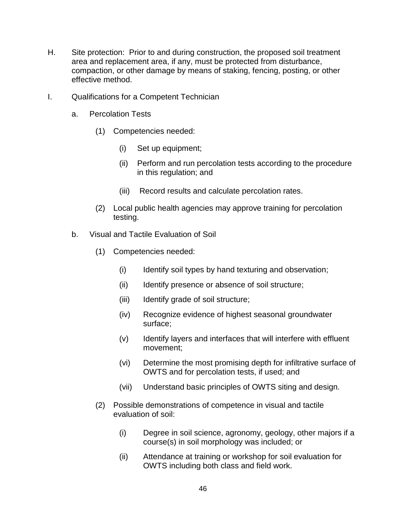- H. Site protection: Prior to and during construction, the proposed soil treatment area and replacement area, if any, must be protected from disturbance, compaction, or other damage by means of staking, fencing, posting, or other effective method.
- I. Qualifications for a Competent Technician
	- a. Percolation Tests
		- (1) Competencies needed:
			- (i) Set up equipment;
			- (ii) Perform and run percolation tests according to the procedure in this regulation; and
			- (iii) Record results and calculate percolation rates.
		- (2) Local public health agencies may approve training for percolation testing.
	- b. Visual and Tactile Evaluation of Soil
		- (1) Competencies needed:
			- (i) Identify soil types by hand texturing and observation;
			- (ii) Identify presence or absence of soil structure;
			- (iii) Identify grade of soil structure;
			- (iv) Recognize evidence of highest seasonal groundwater surface;
			- (v) Identify layers and interfaces that will interfere with effluent movement;
			- (vi) Determine the most promising depth for infiltrative surface of OWTS and for percolation tests, if used; and
			- (vii) Understand basic principles of OWTS siting and design.
		- (2) Possible demonstrations of competence in visual and tactile evaluation of soil:
			- (i) Degree in soil science, agronomy, geology, other majors if a course(s) in soil morphology was included; or
			- (ii) Attendance at training or workshop for soil evaluation for OWTS including both class and field work.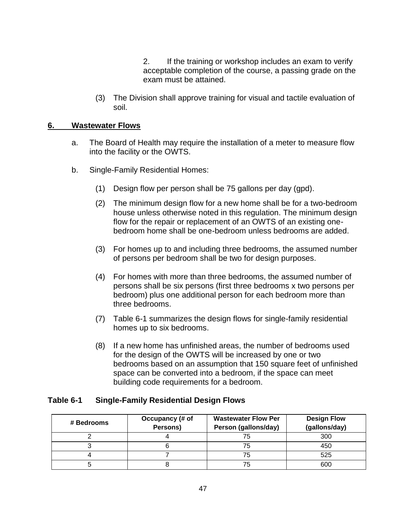2. If the training or workshop includes an exam to verify acceptable completion of the course, a passing grade on the exam must be attained.

(3) The Division shall approve training for visual and tactile evaluation of soil.

## **6. Wastewater Flows**

- a. The Board of Health may require the installation of a meter to measure flow into the facility or the OWTS.
- b. Single-Family Residential Homes:
	- (1) Design flow per person shall be 75 gallons per day (gpd).
	- (2) The minimum design flow for a new home shall be for a two-bedroom house unless otherwise noted in this regulation. The minimum design flow for the repair or replacement of an OWTS of an existing onebedroom home shall be one-bedroom unless bedrooms are added.
	- (3) For homes up to and including three bedrooms, the assumed number of persons per bedroom shall be two for design purposes.
	- (4) For homes with more than three bedrooms, the assumed number of persons shall be six persons (first three bedrooms x two persons per bedroom) plus one additional person for each bedroom more than three bedrooms.
	- (7) Table 6-1 summarizes the design flows for single-family residential homes up to six bedrooms.
	- (8) If a new home has unfinished areas, the number of bedrooms used for the design of the OWTS will be increased by one or two bedrooms based on an assumption that 150 square feet of unfinished space can be converted into a bedroom, if the space can meet building code requirements for a bedroom.

## **Table 6-1 Single-Family Residential Design Flows**

| # Bedrooms | Occupancy (# of<br>Persons) |    | <b>Design Flow</b><br>(gallons/day) |  |
|------------|-----------------------------|----|-------------------------------------|--|
|            |                             | 75 | 300                                 |  |
|            |                             | 75 | 450                                 |  |
|            |                             | 75 | 525                                 |  |
|            |                             |    | 600                                 |  |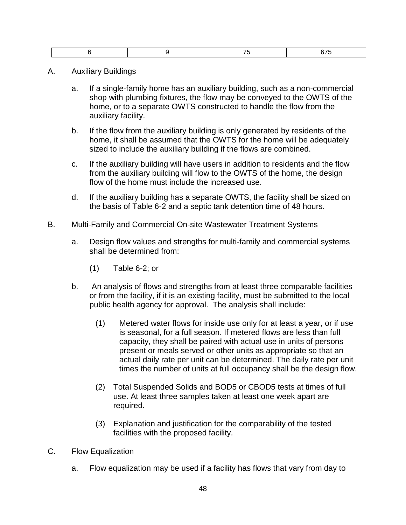- A. Auxiliary Buildings
	- a. If a single-family home has an auxiliary building, such as a non-commercial shop with plumbing fixtures, the flow may be conveyed to the OWTS of the home, or to a separate OWTS constructed to handle the flow from the auxiliary facility.
	- b. If the flow from the auxiliary building is only generated by residents of the home, it shall be assumed that the OWTS for the home will be adequately sized to include the auxiliary building if the flows are combined.
	- c. If the auxiliary building will have users in addition to residents and the flow from the auxiliary building will flow to the OWTS of the home, the design flow of the home must include the increased use.
	- d. If the auxiliary building has a separate OWTS, the facility shall be sized on the basis of Table 6-2 and a septic tank detention time of 48 hours.
- B. Multi-Family and Commercial On-site Wastewater Treatment Systems
	- a. Design flow values and strengths for multi-family and commercial systems shall be determined from:
		- (1) Table 6-2; or
	- b. An analysis of flows and strengths from at least three comparable facilities or from the facility, if it is an existing facility, must be submitted to the local public health agency for approval. The analysis shall include:
		- (1) Metered water flows for inside use only for at least a year, or if use is seasonal, for a full season. If metered flows are less than full capacity, they shall be paired with actual use in units of persons present or meals served or other units as appropriate so that an actual daily rate per unit can be determined. The daily rate per unit times the number of units at full occupancy shall be the design flow.
		- (2) Total Suspended Solids and BOD5 or CBOD5 tests at times of full use. At least three samples taken at least one week apart are required.
		- (3) Explanation and justification for the comparability of the tested facilities with the proposed facility.
- C. Flow Equalization
	- a. Flow equalization may be used if a facility has flows that vary from day to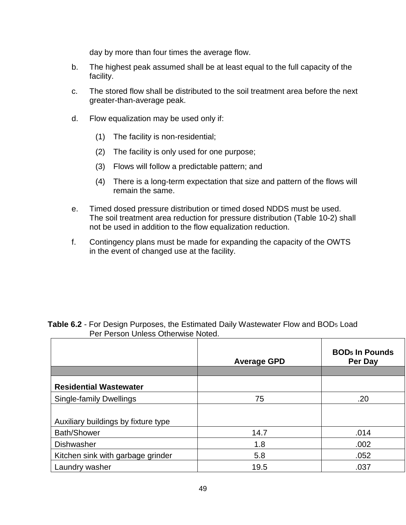day by more than four times the average flow.

- b. The highest peak assumed shall be at least equal to the full capacity of the facility.
- c. The stored flow shall be distributed to the soil treatment area before the next greater-than-average peak.
- d. Flow equalization may be used only if:
	- (1) The facility is non-residential;
	- (2) The facility is only used for one purpose;
	- (3) Flows will follow a predictable pattern; and
	- (4) There is a long-term expectation that size and pattern of the flows will remain the same.
- e. Timed dosed pressure distribution or timed dosed NDDS must be used. The soil treatment area reduction for pressure distribution (Table 10-2) shall not be used in addition to the flow equalization reduction.
- f. Contingency plans must be made for expanding the capacity of the OWTS in the event of changed use at the facility.

|                                     | <b>Average GPD</b> | <b>BOD<sub>5</sub></b> In Pounds<br>Per Day |  |  |
|-------------------------------------|--------------------|---------------------------------------------|--|--|
|                                     |                    |                                             |  |  |
| <b>Residential Wastewater</b>       |                    |                                             |  |  |
| <b>Single-family Dwellings</b>      | 75                 | .20                                         |  |  |
|                                     |                    |                                             |  |  |
| Auxiliary buildings by fixture type |                    |                                             |  |  |
| <b>Bath/Shower</b>                  | 14.7               | .014                                        |  |  |
| <b>Dishwasher</b>                   | 1.8                | .002                                        |  |  |
| Kitchen sink with garbage grinder   | 5.8                | .052                                        |  |  |
| Laundry washer                      | 19.5               | .037                                        |  |  |

| Table 6.2 - For Design Purposes, the Estimated Daily Wastewater Flow and BOD <sub>5</sub> Load |
|------------------------------------------------------------------------------------------------|
| Per Person Unless Otherwise Noted.                                                             |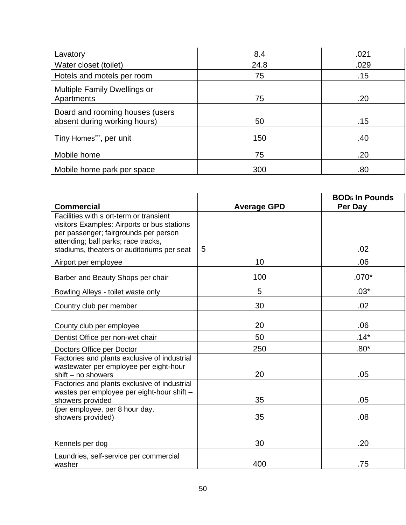| Lavatory                                                        | 8.4  | .021 |
|-----------------------------------------------------------------|------|------|
| Water closet (toilet)                                           | 24.8 | .029 |
| Hotels and motels per room                                      | 75   | .15  |
| Multiple Family Dwellings or<br>Apartments                      | 75   | .20  |
| Board and rooming houses (users<br>absent during working hours) | 50   | .15  |
| Tiny Homes***, per unit                                         | 150  | .40  |
| Mobile home                                                     | 75   | .20  |
| Mobile home park per space                                      | 300  | .80  |

| <b>Commercial</b>                                                                                                               | <b>Average GPD</b> | <b>BOD<sub>5</sub></b> In Pounds<br>Per Day |
|---------------------------------------------------------------------------------------------------------------------------------|--------------------|---------------------------------------------|
| Facilities with s ort-term or transient<br>visitors Examples: Airports or bus stations<br>per passenger; fairgrounds per person |                    |                                             |
| attending; ball parks; race tracks,<br>stadiums, theaters or auditoriums per seat                                               | 5                  | .02                                         |
| Airport per employee                                                                                                            | 10                 | .06                                         |
| Barber and Beauty Shops per chair                                                                                               | 100                | $.070*$                                     |
| Bowling Alleys - toilet waste only                                                                                              | 5                  | $.03*$                                      |
| Country club per member                                                                                                         | 30                 | .02                                         |
| County club per employee                                                                                                        | 20                 | .06                                         |
| Dentist Office per non-wet chair                                                                                                | 50                 | $.14*$                                      |
| Doctors Office per Doctor                                                                                                       | 250                | $.80*$                                      |
| Factories and plants exclusive of industrial<br>wastewater per employee per eight-hour<br>$shift - no$ showers                  | 20                 | .05                                         |
| Factories and plants exclusive of industrial<br>wastes per employee per eight-hour shift -<br>showers provided                  | 35                 | .05                                         |
| (per employee, per 8 hour day,<br>showers provided)                                                                             | 35                 | .08                                         |
|                                                                                                                                 |                    |                                             |
| Kennels per dog                                                                                                                 | 30                 | .20                                         |
| Laundries, self-service per commercial<br>washer                                                                                | 400                | .75                                         |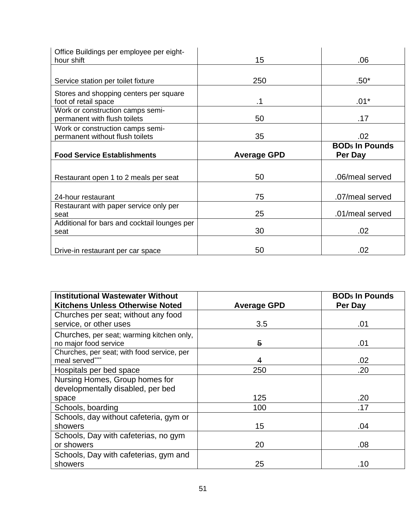| Office Buildings per employee per eight-<br>hour shift | 15                 | .06                              |
|--------------------------------------------------------|--------------------|----------------------------------|
|                                                        |                    |                                  |
| Service station per toilet fixture                     | 250                | $.50*$                           |
| Stores and shopping centers per square                 |                    |                                  |
| foot of retail space                                   | .1                 | $.01*$                           |
| Work or construction camps semi-                       |                    |                                  |
| permanent with flush toilets                           | 50                 | .17                              |
| Work or construction camps semi-                       |                    |                                  |
| permanent without flush toilets                        | 35                 | .02                              |
|                                                        |                    | <b>BOD<sub>5</sub></b> In Pounds |
| <b>Food Service Establishments</b>                     | <b>Average GPD</b> | Per Day                          |
|                                                        |                    |                                  |
| Restaurant open 1 to 2 meals per seat                  | 50                 | .06/meal served                  |
|                                                        |                    |                                  |
| 24-hour restaurant                                     | 75                 | .07/meal served                  |
| Restaurant with paper service only per                 |                    |                                  |
| seat                                                   | 25                 | .01/meal served                  |
| Additional for bars and cocktail lounges per           |                    |                                  |
| seat                                                   | 30                 | .02                              |
|                                                        |                    |                                  |
| Drive-in restaurant per car space                      | 50                 | .02                              |

| <b>Institutional Wastewater Without</b><br><b>Kitchens Unless Otherwise Noted</b> | <b>Average GPD</b> | <b>BOD<sub>5</sub></b> In Pounds<br>Per Day |
|-----------------------------------------------------------------------------------|--------------------|---------------------------------------------|
| Churches per seat; without any food                                               |                    |                                             |
| service, or other uses                                                            | 3.5                | .01                                         |
| Churches, per seat; warming kitchen only,<br>no major food service                | 5                  | .01                                         |
| Churches, per seat; with food service, per<br>meal served"                        | 4                  | .02                                         |
| Hospitals per bed space                                                           | 250                | .20                                         |
| Nursing Homes, Group homes for<br>developmentally disabled, per bed               |                    |                                             |
| space                                                                             | 125                | .20                                         |
| Schools, boarding                                                                 | 100                | .17                                         |
| Schools, day without cafeteria, gym or                                            |                    |                                             |
| showers                                                                           | 15                 | .04                                         |
| Schools, Day with cafeterias, no gym                                              |                    |                                             |
| or showers                                                                        | 20                 | .08                                         |
| Schools, Day with cafeterias, gym and<br>showers                                  | 25                 | .10                                         |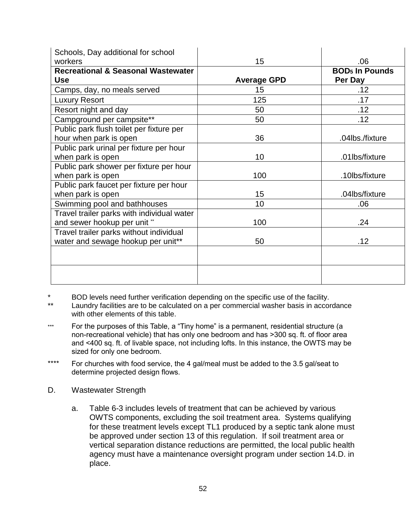| Schools, Day additional for school            |                    |                                  |
|-----------------------------------------------|--------------------|----------------------------------|
| workers                                       | 15                 | .06                              |
| <b>Recreational &amp; Seasonal Wastewater</b> |                    | <b>BOD<sub>5</sub></b> In Pounds |
| <b>Use</b>                                    | <b>Average GPD</b> | Per Day                          |
| Camps, day, no meals served                   | 15                 | .12                              |
| <b>Luxury Resort</b>                          | 125                | .17                              |
| Resort night and day                          | 50                 | .12                              |
| Campground per campsite**                     | 50                 | .12                              |
| Public park flush toilet per fixture per      |                    |                                  |
| hour when park is open                        | 36                 | .04lbs./fixture                  |
| Public park urinal per fixture per hour       |                    |                                  |
| when park is open                             | 10                 | .01lbs/fixture                   |
| Public park shower per fixture per hour       |                    |                                  |
| when park is open                             | 100                | .10lbs/fixture                   |
| Public park faucet per fixture per hour       |                    |                                  |
| when park is open                             | 15                 | .04lbs/fixture                   |
| Swimming pool and bathhouses                  | 10                 | .06                              |
| Travel trailer parks with individual water    |                    |                                  |
| and sewer hookup per unit **                  | 100                | .24                              |
| Travel trailer parks without individual       |                    |                                  |
| water and sewage hookup per unit**            | 50                 | .12                              |
|                                               |                    |                                  |
|                                               |                    |                                  |
|                                               |                    |                                  |
|                                               |                    |                                  |

\* BOD levels need further verification depending on the specific use of the facility.

Laundry facilities are to be calculated on a per commercial washer basis in accordance with other elements of this table.

- \*\*\* For the purposes of this Table, a "Tiny home" is a permanent, residential structure (a non-recreational vehicle) that has only one bedroom and has >300 sq. ft. of floor area and <400 sq. ft. of livable space, not including lofts. In this instance, the OWTS may be sized for only one bedroom.
- \*\*\*\* For churches with food service, the 4 gal/meal must be added to the 3.5 gal/seat to determine projected design flows.
- D. Wastewater Strength
	- a. Table 6-3 includes levels of treatment that can be achieved by various OWTS components, excluding the soil treatment area. Systems qualifying for these treatment levels except TL1 produced by a septic tank alone must be approved under section 13 of this regulation. If soil treatment area or vertical separation distance reductions are permitted, the local public health agency must have a maintenance oversight program under section 14.D. in place.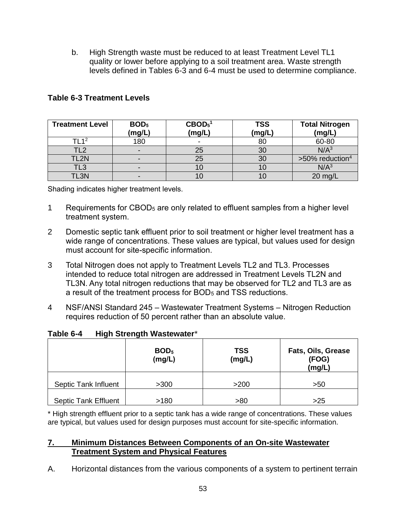b. High Strength waste must be reduced to at least Treatment Level TL1 quality or lower before applying to a soil treatment area. Waste strength levels defined in Tables 6-3 and 6-4 must be used to determine compliance.

| <b>Treatment Level</b> | BOD <sub>5</sub><br>(mg/L) | $\mathbf{CBOD_5}^1$<br><b>TSS</b><br>(mg/L)<br>(mg/L) |    | <b>Total Nitrogen</b><br>(mg/L) |
|------------------------|----------------------------|-------------------------------------------------------|----|---------------------------------|
| TI 1 <sup>2</sup>      | 180                        | -                                                     | 80 | 60-80                           |
| ר ו־                   |                            | 25                                                    | 30 | N/A <sup>3</sup>                |
| TL2N                   |                            | 25                                                    | 30 | $>50\%$ reduction <sup>4</sup>  |
| TL3                    |                            |                                                       |    | N/A <sup>3</sup>                |
| TL3N                   |                            |                                                       |    | 20 mg/L                         |

# **Table 6-3 Treatment Levels**

Shading indicates higher treatment levels.

- 1 Requirements for CBOD<sup>5</sup> are only related to effluent samples from a higher level treatment system.
- 2 Domestic septic tank effluent prior to soil treatment or higher level treatment has a wide range of concentrations. These values are typical, but values used for design must account for site-specific information.
- 3 Total Nitrogen does not apply to Treatment Levels TL2 and TL3. Processes intended to reduce total nitrogen are addressed in Treatment Levels TL2N and TL3N. Any total nitrogen reductions that may be observed for TL2 and TL3 are as a result of the treatment process for BOD<sub>5</sub> and TSS reductions.
- 4 NSF/ANSI Standard 245 Wastewater Treatment Systems Nitrogen Reduction requires reduction of 50 percent rather than an absolute value.

|                             | BOD <sub>5</sub><br>(mg/L) | <b>TSS</b><br>(mg/L) | Fats, Oils, Grease<br>(FOG)<br>(mg/L) |  |
|-----------------------------|----------------------------|----------------------|---------------------------------------|--|
| Septic Tank Influent        | >300                       | >200                 | >50                                   |  |
| <b>Septic Tank Effluent</b> | >180                       | >80                  | $>25$                                 |  |

## **Table 6-4 High Strength Wastewater**\*

\* High strength effluent prior to a septic tank has a wide range of concentrations. These values are typical, but values used for design purposes must account for site-specific information.

## **7. Minimum Distances Between Components of an On-site Wastewater Treatment System and Physical Features**

A. Horizontal distances from the various components of a system to pertinent terrain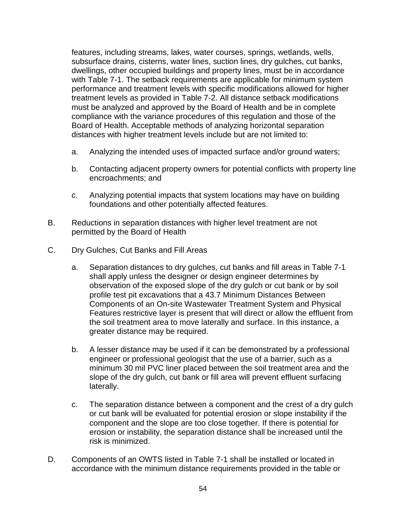features, including streams, lakes, water courses, springs, wetlands, wells, subsurface drains, cisterns, water lines, suction lines, dry gulches, cut banks, dwellings, other occupied buildings and property lines, must be in accordance with Table 7-1. The setback requirements are applicable for minimum system performance and treatment levels with specific modifications allowed for higher treatment levels as provided in Table 7-2. All distance setback modifications must be analyzed and approved by the Board of Health and be in complete compliance with the variance procedures of this regulation and those of the Board of Health. Acceptable methods of analyzing horizontal separation distances with higher treatment levels include but are not limited to:

- a. Analyzing the intended uses of impacted surface and/or ground waters;
- b. Contacting adjacent property owners for potential conflicts with property line encroachments; and
- c. Analyzing potential impacts that system locations may have on building foundations and other potentially affected features.
- B. Reductions in separation distances with higher level treatment are not permitted by the Board of Health
- C. Dry Gulches, Cut Banks and Fill Areas
	- a. Separation distances to dry gulches, cut banks and fill areas in Table 7-1 shall apply unless the designer or design engineer determines by observation of the exposed slope of the dry gulch or cut bank or by soil profile test pit excavations that a 43.7 Minimum Distances Between Components of an On-site Wastewater Treatment System and Physical Features restrictive layer is present that will direct or allow the effluent from the soil treatment area to move laterally and surface. In this instance, a greater distance may be required.
	- b. A lesser distance may be used if it can be demonstrated by a professional engineer or professional geologist that the use of a barrier, such as a minimum 30 mil PVC liner placed between the soil treatment area and the slope of the dry gulch, cut bank or fill area will prevent effluent surfacing laterally.
	- c. The separation distance between a component and the crest of a dry gulch or cut bank will be evaluated for potential erosion or slope instability if the component and the slope are too close together. If there is potential for erosion or instability, the separation distance shall be increased until the risk is minimized.
- D. Components of an OWTS listed in Table 7-1 shall be installed or located in accordance with the minimum distance requirements provided in the table or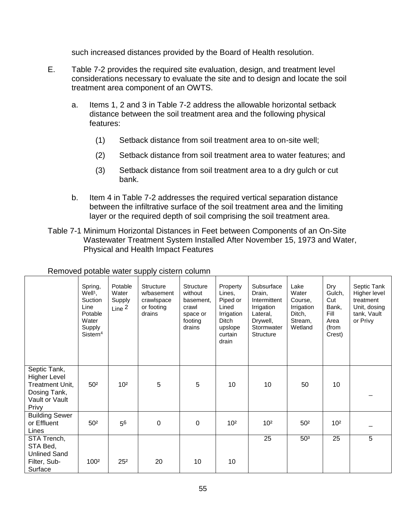such increased distances provided by the Board of Health resolution.

- E. Table 7-2 provides the required site evaluation, design, and treatment level considerations necessary to evaluate the site and to design and locate the soil treatment area component of an OWTS.
	- a. Items 1, 2 and 3 in Table 7-2 address the allowable horizontal setback distance between the soil treatment area and the following physical features:
		- (1) Setback distance from soil treatment area to on-site well;
		- (2) Setback distance from soil treatment area to water features; and
		- (3) Setback distance from soil treatment area to a dry gulch or cut bank.
	- b. Item 4 in Table 7-2 addresses the required vertical separation distance between the infiltrative surface of the soil treatment area and the limiting layer or the required depth of soil comprising the soil treatment area.
- Table 7-1 Minimum Horizontal Distances in Feet between Components of an On-Site Wastewater Treatment System Installed After November 15, 1973 and Water, Physical and Health Impact Features

|                                                                                                   | Spring,<br>Well <sup>1</sup> ,<br>Suction<br>Line<br>Potable<br>Water<br>Supply<br>Sistern <sup>4</sup> | Potable<br>Water<br>Supply<br>Line $2$ | <b>Structure</b><br>w/basement<br>crawlspace<br>or footing<br>drains | <b>Structure</b><br>without<br>basement.<br>crawl<br>space or<br>footing<br>drains | Property<br>Lines,<br>Piped or<br>Lined<br>Irrigation<br>Ditch<br>upslope<br>curtain<br>drain | Subsurface<br>Drain,<br>Intermittent<br>Irrigation<br>Lateral,<br>Drywell,<br>Stormwater<br><b>Structure</b> | Lake<br>Water<br>Course,<br>Irrigation<br>Ditch,<br>Stream,<br>Wetland | Dry<br>Gulch,<br>Cut<br>Bank,<br>Fill<br>Area<br>(from<br>Crest) | Septic Tank<br>Higher level<br>treatment<br>Unit, dosing<br>tank, Vault<br>or Privy |
|---------------------------------------------------------------------------------------------------|---------------------------------------------------------------------------------------------------------|----------------------------------------|----------------------------------------------------------------------|------------------------------------------------------------------------------------|-----------------------------------------------------------------------------------------------|--------------------------------------------------------------------------------------------------------------|------------------------------------------------------------------------|------------------------------------------------------------------|-------------------------------------------------------------------------------------|
| Septic Tank,<br><b>Higher Level</b><br>Treatment Unit,<br>Dosing Tank,<br>Vault or Vault<br>Privy | 50 <sup>2</sup>                                                                                         | 10 <sup>2</sup>                        | 5                                                                    | 5                                                                                  | 10                                                                                            | 10                                                                                                           | 50                                                                     | 10                                                               |                                                                                     |
| <b>Building Sewer</b><br>or Effluent<br>Lines                                                     | 50 <sup>2</sup>                                                                                         | 56                                     | $\boldsymbol{0}$                                                     | $\pmb{0}$                                                                          | 10 <sup>2</sup>                                                                               | 10 <sup>2</sup>                                                                                              | 50 <sup>2</sup>                                                        | 10 <sup>2</sup>                                                  |                                                                                     |
| STA Trench,<br>STA Bed,<br><b>Unlined Sand</b><br>Filter, Sub-<br>Surface                         | 1002                                                                                                    | 25 <sup>2</sup>                        | 20                                                                   | 10                                                                                 | 10                                                                                            | 25                                                                                                           | 50 <sup>3</sup>                                                        | 25                                                               | 5                                                                                   |

## Removed potable water supply cistern column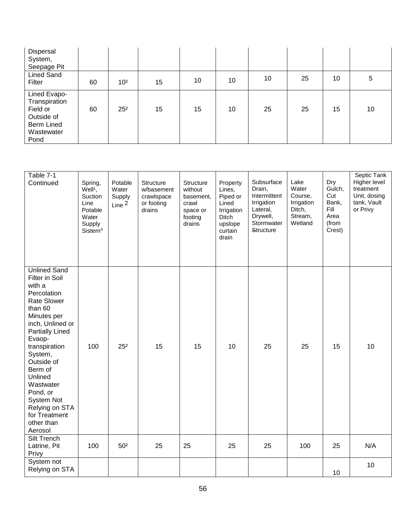| Dispersal<br>System,<br>Seepage Pit                                                                |    |                 |    |    |    |    |    |    |    |
|----------------------------------------------------------------------------------------------------|----|-----------------|----|----|----|----|----|----|----|
| <b>Lined Sand</b><br>Filter                                                                        | 60 | 10 <sup>2</sup> | 15 | 10 | 10 | 10 | 25 | 10 | 5  |
| Lined Evapo-<br>Transpiration<br>Field or<br>Outside of<br><b>Berm Lined</b><br>Wastewater<br>Pond | 60 | 25 <sup>2</sup> | 15 | 15 | 10 | 25 | 25 | 15 | 10 |

| Table 7-1<br>Continued                                                                                                                                                                                                                                                                                                             | Spring,<br>Well <sup>1</sup> ,<br>Suction<br>Line<br>Potable<br>Water<br>Supply<br>Sistern <sup>4</sup> | Potable<br>Water<br>Supply<br>Line $2$ | Structure<br>w/basement<br>crawlspace<br>or footing<br>drains | Structure<br>without<br>basement,<br>crawl<br>space or<br>footing<br>drains | Property<br>Lines,<br>Piped or<br>Lined<br>Irrigation<br>Ditch<br>upslope<br>curtain<br>drain | Subsurface<br>Drain,<br>Intermittent<br>Irrigation<br>Lateral,<br>Drywell,<br>Stormwater<br><b>Structure</b> | Lake<br>Water<br>Course,<br>Irrigation<br>Ditch,<br>Stream,<br>Wetland | Dry<br>Gulch,<br>Cut<br>Bank,<br>Fill<br>Area<br>(from<br>Crest) | Septic Tank<br>Higher level<br>treatment<br>Unit, dosing<br>tank, Vault<br>or Privy |
|------------------------------------------------------------------------------------------------------------------------------------------------------------------------------------------------------------------------------------------------------------------------------------------------------------------------------------|---------------------------------------------------------------------------------------------------------|----------------------------------------|---------------------------------------------------------------|-----------------------------------------------------------------------------|-----------------------------------------------------------------------------------------------|--------------------------------------------------------------------------------------------------------------|------------------------------------------------------------------------|------------------------------------------------------------------|-------------------------------------------------------------------------------------|
| <b>Unlined Sand</b><br>Filter in Soil<br>with a<br>Percolation<br>Rate Slower<br>than 60<br>Minutes per<br>inch, Unlined or<br><b>Partially Lined</b><br>Evaop-<br>transpiration<br>System,<br>Outside of<br>Berm of<br>Unlined<br>Wastwater<br>Pond, or<br>System Not<br>Relying on STA<br>for Treatment<br>other than<br>Aerosol | 100                                                                                                     | 25 <sup>2</sup>                        | 15                                                            | 15                                                                          | 10                                                                                            | 25                                                                                                           | 25                                                                     | 15                                                               | 10                                                                                  |
| Silt Trench<br>Latrine, Pit<br>Privy                                                                                                                                                                                                                                                                                               | 100                                                                                                     | 50 <sup>2</sup>                        | 25                                                            | 25                                                                          | 25                                                                                            | 25                                                                                                           | 100                                                                    | 25                                                               | N/A                                                                                 |
| System not<br>Relying on STA                                                                                                                                                                                                                                                                                                       |                                                                                                         |                                        |                                                               |                                                                             |                                                                                               |                                                                                                              |                                                                        | 10 <sup>°</sup>                                                  | 10                                                                                  |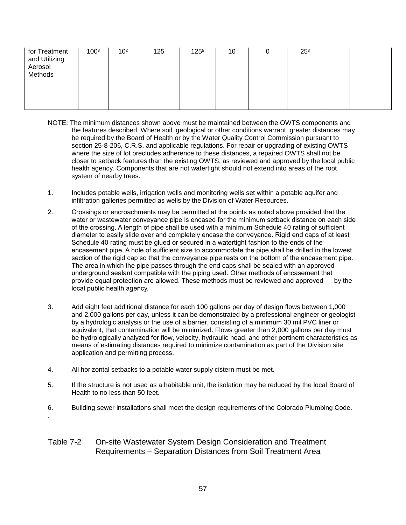| for Treatment<br>and Utilizing<br>Aerosol<br>Methods | 1003 | 10 <sup>2</sup> | 125 | 1255 | 10 | 25 <sup>3</sup> |  |
|------------------------------------------------------|------|-----------------|-----|------|----|-----------------|--|
|                                                      |      |                 |     |      |    |                 |  |

- NOTE: The minimum distances shown above must be maintained between the OWTS components and the features described. Where soil, geological or other conditions warrant, greater distances may be required by the Board of Health or by the Water Quality Control Commission pursuant to section 25-8-206, C.R.S. and applicable regulations. For repair or upgrading of existing OWTS where the size of lot precludes adherence to these distances, a repaired OWTS shall not be closer to setback features than the existing OWTS, as reviewed and approved by the local public health agency. Components that are not watertight should not extend into areas of the root system of nearby trees.
- 1. Includes potable wells, irrigation wells and monitoring wells set within a potable aquifer and infiltration galleries permitted as wells by the Division of Water Resources.
- 2. Crossings or encroachments may be permitted at the points as noted above provided that the water or wastewater conveyance pipe is encased for the minimum setback distance on each side of the crossing. A length of pipe shall be used with a minimum Schedule 40 rating of sufficient diameter to easily slide over and completely encase the conveyance. Rigid end caps of at least Schedule 40 rating must be glued or secured in a watertight fashion to the ends of the encasement pipe. A hole of sufficient size to accommodate the pipe shall be drilled in the lowest section of the rigid cap so that the conveyance pipe rests on the bottom of the encasement pipe. The area in which the pipe passes through the end caps shall be sealed with an approved underground sealant compatible with the piping used. Other methods of encasement that provide equal protection are allowed. These methods must be reviewed and approved by the local public health agency.
- 3. Add eight feet additional distance for each 100 gallons per day of design flows between 1,000 and 2,000 gallons per day, unless it can be demonstrated by a professional engineer or geologist by a hydrologic analysis or the use of a barrier, consisting of a minimum 30 mil PVC liner or equivalent, that contamination will be minimized. Flows greater than 2,000 gallons per day must be hydrologically analyzed for flow, velocity, hydraulic head, and other pertinent characteristics as means of estimating distances required to minimize contamination as part of the Division site application and permitting process.
- 4. All horizontal setbacks to a potable water supply cistern must be met.
- 5. If the structure is not used as a habitable unit, the isolation may be reduced by the local Board of Health to no less than 50 feet.
- 6. Building sewer installations shall meet the design requirements of the Colorado Plumbing Code. .

#### Table 7-2 On-site Wastewater System Design Consideration and Treatment Requirements – Separation Distances from Soil Treatment Area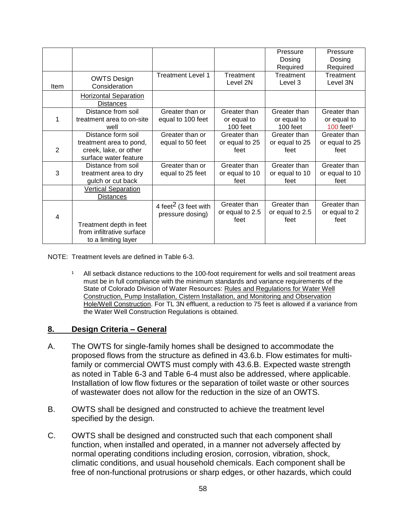|                |                              |                                  |                 | Pressure        | Pressure                |
|----------------|------------------------------|----------------------------------|-----------------|-----------------|-------------------------|
|                |                              |                                  |                 | Dosing          | Dosing                  |
|                |                              |                                  |                 | Required        | Required                |
|                | <b>OWTS Design</b>           | <b>Treatment Level 1</b>         | Treatment       | Treatment       | Treatment               |
| Item           | Consideration                |                                  | Level 2N        | Level 3         | Level 3N                |
|                | <b>Horizontal Separation</b> |                                  |                 |                 |                         |
|                | Distances                    |                                  |                 |                 |                         |
|                | Distance from soil           | Greater than or                  | Greater than    | Greater than    | Greater than            |
|                | treatment area to on-site    | equal to 100 feet                | or equal to     | or equal to     | or equal to             |
|                | well                         |                                  | 100 feet        | $100$ feet      | $100$ feet <sup>1</sup> |
|                | Distance form soil           | Greater than or                  | Greater than    | Greater than    | Greater than            |
|                | treatment area to pond,      | equal to 50 feet                 | or equal to 25  | or equal to 25  | or equal to 25          |
| $\overline{2}$ | creek, lake, or other        |                                  | feet            | feet            | feet                    |
|                | surface water feature        |                                  |                 |                 |                         |
|                | Distance from soil           | Greater than or                  | Greater than    | Greater than    | Greater than            |
| 3              | treatment area to dry        | equal to 25 feet                 | or equal to 10  | or equal to 10  | or equal to 10          |
|                | gulch or cut back            |                                  | feet            | feet            | feet                    |
|                | <b>Vertical Separation</b>   |                                  |                 |                 |                         |
|                | <b>Distances</b>             |                                  |                 |                 |                         |
|                |                              | 4 feet <sup>2</sup> (3 feet with | Greater than    | Greater than    | Greater than            |
| $\overline{4}$ |                              | pressure dosing)                 | or equal to 2.5 | or equal to 2.5 | or equal to 2           |
|                |                              |                                  | feet            | feet            | feet                    |
|                | Treatment depth in feet      |                                  |                 |                 |                         |
|                | from infiltrative surface    |                                  |                 |                 |                         |
|                | to a limiting layer          |                                  |                 |                 |                         |

NOTE: Treatment levels are defined in Table 6-3.

<sup>1</sup> All setback distance reductions to the 100-foot requirement for wells and soil treatment areas must be in full compliance with the minimum standards and variance requirements of the State of Colorado Division of Water Resources: Rules and Regulations for Water Well Construction, Pump Installation, Cistern Installation, and Monitoring and Observation Hole/Well Construction. For TL 3N effluent, a reduction to 75 feet is allowed if a variance from the Water Well Construction Regulations is obtained.

## **8. Design Criteria – General**

- A. The OWTS for single-family homes shall be designed to accommodate the proposed flows from the structure as defined in 43.6.b. Flow estimates for multifamily or commercial OWTS must comply with 43.6.B. Expected waste strength as noted in Table 6-3 and Table 6-4 must also be addressed, where applicable. Installation of low flow fixtures or the separation of toilet waste or other sources of wastewater does not allow for the reduction in the size of an OWTS.
- B. OWTS shall be designed and constructed to achieve the treatment level specified by the design.
- C. OWTS shall be designed and constructed such that each component shall function, when installed and operated, in a manner not adversely affected by normal operating conditions including erosion, corrosion, vibration, shock, climatic conditions, and usual household chemicals. Each component shall be free of non-functional protrusions or sharp edges, or other hazards, which could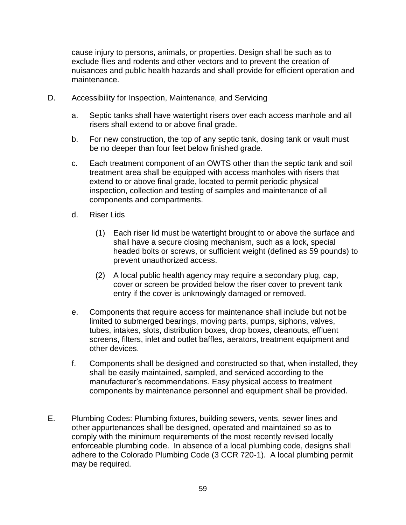cause injury to persons, animals, or properties. Design shall be such as to exclude flies and rodents and other vectors and to prevent the creation of nuisances and public health hazards and shall provide for efficient operation and maintenance.

- D. Accessibility for Inspection, Maintenance, and Servicing
	- a. Septic tanks shall have watertight risers over each access manhole and all risers shall extend to or above final grade.
	- b. For new construction, the top of any septic tank, dosing tank or vault must be no deeper than four feet below finished grade.
	- c. Each treatment component of an OWTS other than the septic tank and soil treatment area shall be equipped with access manholes with risers that extend to or above final grade, located to permit periodic physical inspection, collection and testing of samples and maintenance of all components and compartments.
	- d. Riser Lids
		- (1) Each riser lid must be watertight brought to or above the surface and shall have a secure closing mechanism, such as a lock, special headed bolts or screws, or sufficient weight (defined as 59 pounds) to prevent unauthorized access.
		- (2) A local public health agency may require a secondary plug, cap, cover or screen be provided below the riser cover to prevent tank entry if the cover is unknowingly damaged or removed.
	- e. Components that require access for maintenance shall include but not be limited to submerged bearings, moving parts, pumps, siphons, valves, tubes, intakes, slots, distribution boxes, drop boxes, cleanouts, effluent screens, filters, inlet and outlet baffles, aerators, treatment equipment and other devices.
	- f. Components shall be designed and constructed so that, when installed, they shall be easily maintained, sampled, and serviced according to the manufacturer's recommendations. Easy physical access to treatment components by maintenance personnel and equipment shall be provided.
- E. Plumbing Codes: Plumbing fixtures, building sewers, vents, sewer lines and other appurtenances shall be designed, operated and maintained so as to comply with the minimum requirements of the most recently revised locally enforceable plumbing code. In absence of a local plumbing code, designs shall adhere to the Colorado Plumbing Code (3 CCR 720-1). A local plumbing permit may be required.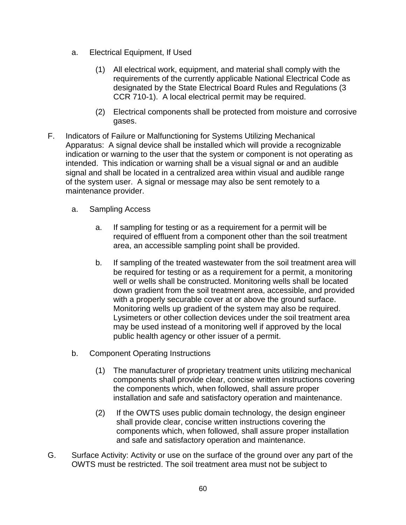- a. Electrical Equipment, If Used
	- (1) All electrical work, equipment, and material shall comply with the requirements of the currently applicable National Electrical Code as designated by the State Electrical Board Rules and Regulations (3 CCR 710-1). A local electrical permit may be required.
	- (2) Electrical components shall be protected from moisture and corrosive gases.
- F. Indicators of Failure or Malfunctioning for Systems Utilizing Mechanical Apparatus: A signal device shall be installed which will provide a recognizable indication or warning to the user that the system or component is not operating as intended. This indication or warning shall be a visual signal or and an audible signal and shall be located in a centralized area within visual and audible range of the system user. A signal or message may also be sent remotely to a maintenance provider.
	- a. Sampling Access
		- a. If sampling for testing or as a requirement for a permit will be required of effluent from a component other than the soil treatment area, an accessible sampling point shall be provided.
		- b. If sampling of the treated wastewater from the soil treatment area will be required for testing or as a requirement for a permit, a monitoring well or wells shall be constructed. Monitoring wells shall be located down gradient from the soil treatment area, accessible, and provided with a properly securable cover at or above the ground surface. Monitoring wells up gradient of the system may also be required. Lysimeters or other collection devices under the soil treatment area may be used instead of a monitoring well if approved by the local public health agency or other issuer of a permit.
	- b. Component Operating Instructions
		- (1) The manufacturer of proprietary treatment units utilizing mechanical components shall provide clear, concise written instructions covering the components which, when followed, shall assure proper installation and safe and satisfactory operation and maintenance.
		- (2) If the OWTS uses public domain technology, the design engineer shall provide clear, concise written instructions covering the components which, when followed, shall assure proper installation and safe and satisfactory operation and maintenance.
- G. Surface Activity: Activity or use on the surface of the ground over any part of the OWTS must be restricted. The soil treatment area must not be subject to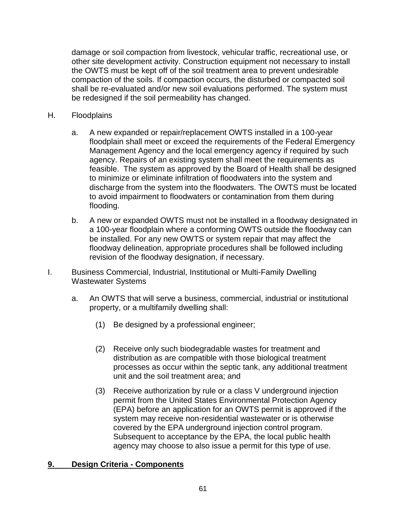damage or soil compaction from livestock, vehicular traffic, recreational use, or other site development activity. Construction equipment not necessary to install the OWTS must be kept off of the soil treatment area to prevent undesirable compaction of the soils. If compaction occurs, the disturbed or compacted soil shall be re-evaluated and/or new soil evaluations performed. The system must be redesigned if the soil permeability has changed.

- H. Floodplains
	- a. A new expanded or repair/replacement OWTS installed in a 100-year floodplain shall meet or exceed the requirements of the Federal Emergency Management Agency and the local emergency agency if required by such agency. Repairs of an existing system shall meet the requirements as feasible. The system as approved by the Board of Health shall be designed to minimize or eliminate infiltration of floodwaters into the system and discharge from the system into the floodwaters. The OWTS must be located to avoid impairment to floodwaters or contamination from them during flooding.
	- b. A new or expanded OWTS must not be installed in a floodway designated in a 100-year floodplain where a conforming OWTS outside the floodway can be installed. For any new OWTS or system repair that may affect the floodway delineation, appropriate procedures shall be followed including revision of the floodway designation, if necessary.
- I. Business Commercial, Industrial, Institutional or Multi-Family Dwelling Wastewater Systems
	- a. An OWTS that will serve a business, commercial, industrial or institutional property, or a multifamily dwelling shall:
		- (1) Be designed by a professional engineer;
		- (2) Receive only such biodegradable wastes for treatment and distribution as are compatible with those biological treatment processes as occur within the septic tank, any additional treatment unit and the soil treatment area; and
		- (3) Receive authorization by rule or a class V underground injection permit from the United States Environmental Protection Agency (EPA) before an application for an OWTS permit is approved if the system may receive non-residential wastewater or is otherwise covered by the EPA underground injection control program. Subsequent to acceptance by the EPA, the local public health agency may choose to also issue a permit for this type of use.

# **9. Design Criteria - Components**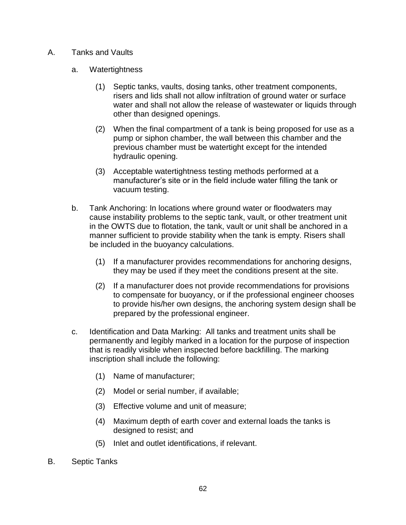- A. Tanks and Vaults
	- a. Watertightness
		- (1) Septic tanks, vaults, dosing tanks, other treatment components, risers and lids shall not allow infiltration of ground water or surface water and shall not allow the release of wastewater or liquids through other than designed openings.
		- (2) When the final compartment of a tank is being proposed for use as a pump or siphon chamber, the wall between this chamber and the previous chamber must be watertight except for the intended hydraulic opening.
		- (3) Acceptable watertightness testing methods performed at a manufacturer's site or in the field include water filling the tank or vacuum testing.
	- b. Tank Anchoring: In locations where ground water or floodwaters may cause instability problems to the septic tank, vault, or other treatment unit in the OWTS due to flotation, the tank, vault or unit shall be anchored in a manner sufficient to provide stability when the tank is empty. Risers shall be included in the buoyancy calculations.
		- (1) If a manufacturer provides recommendations for anchoring designs, they may be used if they meet the conditions present at the site.
		- (2) If a manufacturer does not provide recommendations for provisions to compensate for buoyancy, or if the professional engineer chooses to provide his/her own designs, the anchoring system design shall be prepared by the professional engineer.
	- c. Identification and Data Marking: All tanks and treatment units shall be permanently and legibly marked in a location for the purpose of inspection that is readily visible when inspected before backfilling. The marking inscription shall include the following:
		- (1) Name of manufacturer;
		- (2) Model or serial number, if available;
		- (3) Effective volume and unit of measure;
		- (4) Maximum depth of earth cover and external loads the tanks is designed to resist; and
		- (5) Inlet and outlet identifications, if relevant.
- B. Septic Tanks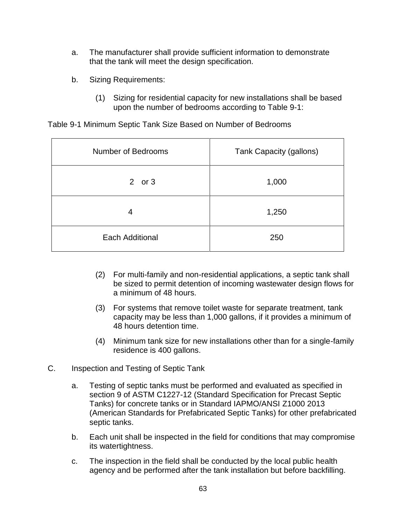- a. The manufacturer shall provide sufficient information to demonstrate that the tank will meet the design specification.
- b. Sizing Requirements:
	- (1) Sizing for residential capacity for new installations shall be based upon the number of bedrooms according to Table 9-1:

Table 9-1 Minimum Septic Tank Size Based on Number of Bedrooms

| Number of Bedrooms | Tank Capacity (gallons) |
|--------------------|-------------------------|
| 2 or $3$           | 1,000                   |
| 4                  | 1,250                   |
| Each Additional    | 250                     |

- (2) For multi-family and non-residential applications, a septic tank shall be sized to permit detention of incoming wastewater design flows for a minimum of 48 hours.
- (3) For systems that remove toilet waste for separate treatment, tank capacity may be less than 1,000 gallons, if it provides a minimum of 48 hours detention time.
- (4) Minimum tank size for new installations other than for a single-family residence is 400 gallons.
- C. Inspection and Testing of Septic Tank
	- a. Testing of septic tanks must be performed and evaluated as specified in section 9 of ASTM C1227-12 (Standard Specification for Precast Septic Tanks) for concrete tanks or in Standard IAPMO/ANSI Z1000 2013 (American Standards for Prefabricated Septic Tanks) for other prefabricated septic tanks.
	- b. Each unit shall be inspected in the field for conditions that may compromise its watertightness.
	- c. The inspection in the field shall be conducted by the local public health agency and be performed after the tank installation but before backfilling.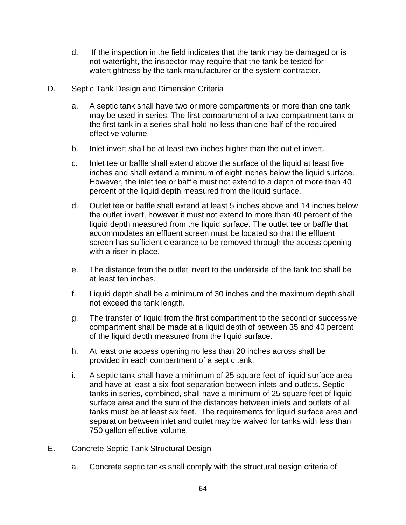- d. If the inspection in the field indicates that the tank may be damaged or is not watertight, the inspector may require that the tank be tested for watertightness by the tank manufacturer or the system contractor.
- D. Septic Tank Design and Dimension Criteria
	- a. A septic tank shall have two or more compartments or more than one tank may be used in series. The first compartment of a two-compartment tank or the first tank in a series shall hold no less than one-half of the required effective volume.
	- b. Inlet invert shall be at least two inches higher than the outlet invert.
	- c. Inlet tee or baffle shall extend above the surface of the liquid at least five inches and shall extend a minimum of eight inches below the liquid surface. However, the inlet tee or baffle must not extend to a depth of more than 40 percent of the liquid depth measured from the liquid surface.
	- d. Outlet tee or baffle shall extend at least 5 inches above and 14 inches below the outlet invert, however it must not extend to more than 40 percent of the liquid depth measured from the liquid surface. The outlet tee or baffle that accommodates an effluent screen must be located so that the effluent screen has sufficient clearance to be removed through the access opening with a riser in place.
	- e. The distance from the outlet invert to the underside of the tank top shall be at least ten inches.
	- f. Liquid depth shall be a minimum of 30 inches and the maximum depth shall not exceed the tank length.
	- g. The transfer of liquid from the first compartment to the second or successive compartment shall be made at a liquid depth of between 35 and 40 percent of the liquid depth measured from the liquid surface.
	- h. At least one access opening no less than 20 inches across shall be provided in each compartment of a septic tank.
	- i. A septic tank shall have a minimum of 25 square feet of liquid surface area and have at least a six-foot separation between inlets and outlets. Septic tanks in series, combined, shall have a minimum of 25 square feet of liquid surface area and the sum of the distances between inlets and outlets of all tanks must be at least six feet. The requirements for liquid surface area and separation between inlet and outlet may be waived for tanks with less than 750 gallon effective volume.
- E. Concrete Septic Tank Structural Design
	- a. Concrete septic tanks shall comply with the structural design criteria of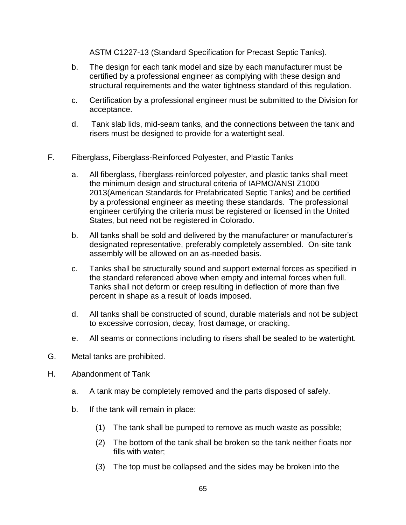ASTM C1227-13 (Standard Specification for Precast Septic Tanks).

- b. The design for each tank model and size by each manufacturer must be certified by a professional engineer as complying with these design and structural requirements and the water tightness standard of this regulation.
- c. Certification by a professional engineer must be submitted to the Division for acceptance.
- d. Tank slab lids, mid-seam tanks, and the connections between the tank and risers must be designed to provide for a watertight seal.
- F. Fiberglass, Fiberglass-Reinforced Polyester, and Plastic Tanks
	- a. All fiberglass, fiberglass-reinforced polyester, and plastic tanks shall meet the minimum design and structural criteria of IAPMO/ANSI Z1000 2013(American Standards for Prefabricated Septic Tanks) and be certified by a professional engineer as meeting these standards. The professional engineer certifying the criteria must be registered or licensed in the United States, but need not be registered in Colorado.
	- b. All tanks shall be sold and delivered by the manufacturer or manufacturer's designated representative, preferably completely assembled. On-site tank assembly will be allowed on an as-needed basis.
	- c. Tanks shall be structurally sound and support external forces as specified in the standard referenced above when empty and internal forces when full. Tanks shall not deform or creep resulting in deflection of more than five percent in shape as a result of loads imposed.
	- d. All tanks shall be constructed of sound, durable materials and not be subject to excessive corrosion, decay, frost damage, or cracking.
	- e. All seams or connections including to risers shall be sealed to be watertight.
- G. Metal tanks are prohibited.
- H. Abandonment of Tank
	- a. A tank may be completely removed and the parts disposed of safely.
	- b. If the tank will remain in place:
		- (1) The tank shall be pumped to remove as much waste as possible;
		- (2) The bottom of the tank shall be broken so the tank neither floats nor fills with water;
		- (3) The top must be collapsed and the sides may be broken into the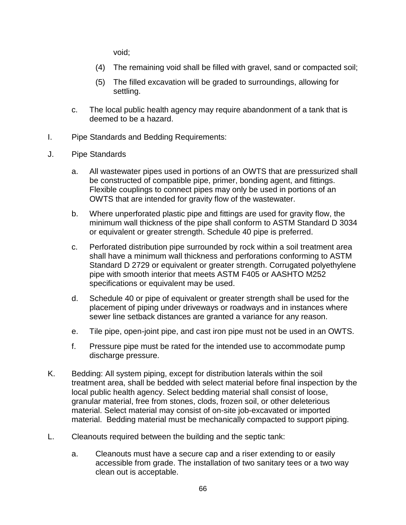void;

- (4) The remaining void shall be filled with gravel, sand or compacted soil;
- (5) The filled excavation will be graded to surroundings, allowing for settling.
- c. The local public health agency may require abandonment of a tank that is deemed to be a hazard.
- I. Pipe Standards and Bedding Requirements:
- J. Pipe Standards
	- a. All wastewater pipes used in portions of an OWTS that are pressurized shall be constructed of compatible pipe, primer, bonding agent, and fittings. Flexible couplings to connect pipes may only be used in portions of an OWTS that are intended for gravity flow of the wastewater.
	- b. Where unperforated plastic pipe and fittings are used for gravity flow, the minimum wall thickness of the pipe shall conform to ASTM Standard D 3034 or equivalent or greater strength. Schedule 40 pipe is preferred.
	- c. Perforated distribution pipe surrounded by rock within a soil treatment area shall have a minimum wall thickness and perforations conforming to ASTM Standard D 2729 or equivalent or greater strength. Corrugated polyethylene pipe with smooth interior that meets ASTM F405 or AASHTO M252 specifications or equivalent may be used.
	- d. Schedule 40 or pipe of equivalent or greater strength shall be used for the placement of piping under driveways or roadways and in instances where sewer line setback distances are granted a variance for any reason.
	- e. Tile pipe, open-joint pipe, and cast iron pipe must not be used in an OWTS.
	- f. Pressure pipe must be rated for the intended use to accommodate pump discharge pressure.
- K. Bedding: All system piping, except for distribution laterals within the soil treatment area, shall be bedded with select material before final inspection by the local public health agency. Select bedding material shall consist of loose, granular material, free from stones, clods, frozen soil, or other deleterious material. Select material may consist of on-site job-excavated or imported material. Bedding material must be mechanically compacted to support piping.
- L. Cleanouts required between the building and the septic tank:
	- a. Cleanouts must have a secure cap and a riser extending to or easily accessible from grade. The installation of two sanitary tees or a two way clean out is acceptable.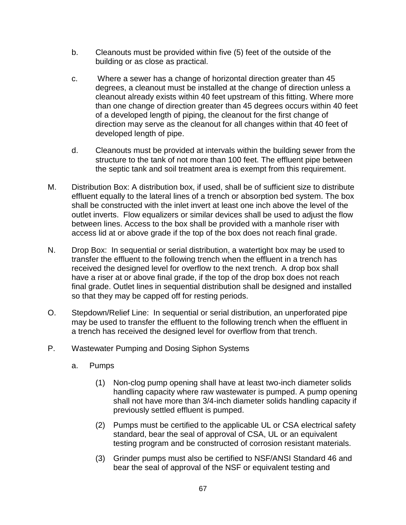- b. Cleanouts must be provided within five (5) feet of the outside of the building or as close as practical.
- c. Where a sewer has a change of horizontal direction greater than 45 degrees, a cleanout must be installed at the change of direction unless a cleanout already exists within 40 feet upstream of this fitting. Where more than one change of direction greater than 45 degrees occurs within 40 feet of a developed length of piping, the cleanout for the first change of direction may serve as the cleanout for all changes within that 40 feet of developed length of pipe.
- d. Cleanouts must be provided at intervals within the building sewer from the structure to the tank of not more than 100 feet. The effluent pipe between the septic tank and soil treatment area is exempt from this requirement.
- M. Distribution Box: A distribution box, if used, shall be of sufficient size to distribute effluent equally to the lateral lines of a trench or absorption bed system. The box shall be constructed with the inlet invert at least one inch above the level of the outlet inverts. Flow equalizers or similar devices shall be used to adjust the flow between lines. Access to the box shall be provided with a manhole riser with access lid at or above grade if the top of the box does not reach final grade.
- N. Drop Box: In sequential or serial distribution, a watertight box may be used to transfer the effluent to the following trench when the effluent in a trench has received the designed level for overflow to the next trench. A drop box shall have a riser at or above final grade, if the top of the drop box does not reach final grade. Outlet lines in sequential distribution shall be designed and installed so that they may be capped off for resting periods.
- O. Stepdown/Relief Line: In sequential or serial distribution, an unperforated pipe may be used to transfer the effluent to the following trench when the effluent in a trench has received the designed level for overflow from that trench.
- P. Wastewater Pumping and Dosing Siphon Systems
	- a. Pumps
		- (1) Non-clog pump opening shall have at least two-inch diameter solids handling capacity where raw wastewater is pumped. A pump opening shall not have more than 3/4-inch diameter solids handling capacity if previously settled effluent is pumped.
		- (2) Pumps must be certified to the applicable UL or CSA electrical safety standard, bear the seal of approval of CSA, UL or an equivalent testing program and be constructed of corrosion resistant materials.
		- (3) Grinder pumps must also be certified to NSF/ANSI Standard 46 and bear the seal of approval of the NSF or equivalent testing and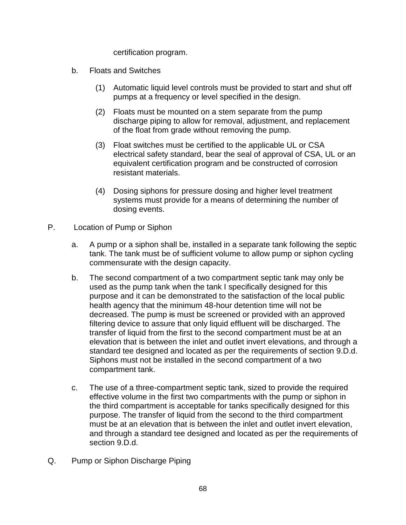certification program.

- b. Floats and Switches
	- (1) Automatic liquid level controls must be provided to start and shut off pumps at a frequency or level specified in the design.
	- (2) Floats must be mounted on a stem separate from the pump discharge piping to allow for removal, adjustment, and replacement of the float from grade without removing the pump.
	- (3) Float switches must be certified to the applicable UL or CSA electrical safety standard, bear the seal of approval of CSA, UL or an equivalent certification program and be constructed of corrosion resistant materials.
	- (4) Dosing siphons for pressure dosing and higher level treatment systems must provide for a means of determining the number of dosing events.
- P. Location of Pump or Siphon
	- a. A pump or a siphon shall be, installed in a separate tank following the septic tank. The tank must be of sufficient volume to allow pump or siphon cycling commensurate with the design capacity.
	- b. The second compartment of a two compartment septic tank may only be used as the pump tank when the tank I specifically designed for this purpose and it can be demonstrated to the satisfaction of the local public health agency that the minimum 48-hour detention time will not be decreased. The pump is must be screened or provided with an approved filtering device to assure that only liquid effluent will be discharged. The transfer of liquid from the first to the second compartment must be at an elevation that is between the inlet and outlet invert elevations, and through a standard tee designed and located as per the requirements of section 9.D.d. Siphons must not be installed in the second compartment of a two compartment tank.
	- c. The use of a three-compartment septic tank, sized to provide the required effective volume in the first two compartments with the pump or siphon in the third compartment is acceptable for tanks specifically designed for this purpose. The transfer of liquid from the second to the third compartment must be at an elevation that is between the inlet and outlet invert elevation, and through a standard tee designed and located as per the requirements of section 9.D.d.
- Q. Pump or Siphon Discharge Piping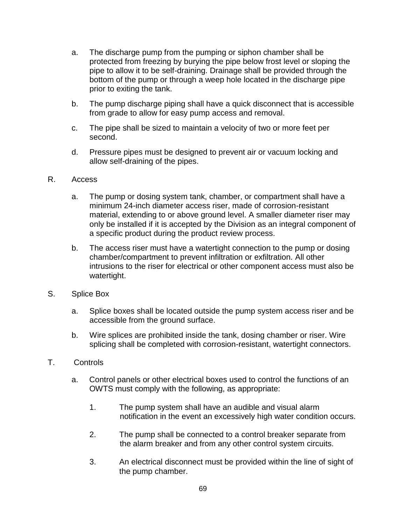- a. The discharge pump from the pumping or siphon chamber shall be protected from freezing by burying the pipe below frost level or sloping the pipe to allow it to be self-draining. Drainage shall be provided through the bottom of the pump or through a weep hole located in the discharge pipe prior to exiting the tank.
- b. The pump discharge piping shall have a quick disconnect that is accessible from grade to allow for easy pump access and removal.
- c. The pipe shall be sized to maintain a velocity of two or more feet per second.
- d. Pressure pipes must be designed to prevent air or vacuum locking and allow self-draining of the pipes.

## R. Access

- a. The pump or dosing system tank, chamber, or compartment shall have a minimum 24-inch diameter access riser, made of corrosion-resistant material, extending to or above ground level. A smaller diameter riser may only be installed if it is accepted by the Division as an integral component of a specific product during the product review process.
- b. The access riser must have a watertight connection to the pump or dosing chamber/compartment to prevent infiltration or exfiltration. All other intrusions to the riser for electrical or other component access must also be watertight.
- S. Splice Box
	- a. Splice boxes shall be located outside the pump system access riser and be accessible from the ground surface.
	- b. Wire splices are prohibited inside the tank, dosing chamber or riser. Wire splicing shall be completed with corrosion-resistant, watertight connectors.
- T. Controls
	- a. Control panels or other electrical boxes used to control the functions of an OWTS must comply with the following, as appropriate:
		- 1. The pump system shall have an audible and visual alarm notification in the event an excessively high water condition occurs.
		- 2. The pump shall be connected to a control breaker separate from the alarm breaker and from any other control system circuits.
		- 3. An electrical disconnect must be provided within the line of sight of the pump chamber.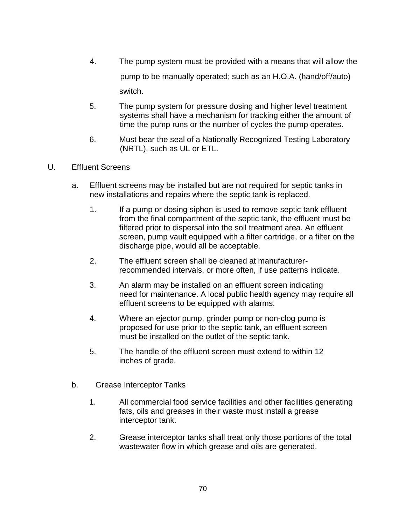- 4. The pump system must be provided with a means that will allow the pump to be manually operated; such as an H.O.A. (hand/off/auto) switch.
- 5. The pump system for pressure dosing and higher level treatment systems shall have a mechanism for tracking either the amount of time the pump runs or the number of cycles the pump operates.
- 6. Must bear the seal of a Nationally Recognized Testing Laboratory (NRTL), such as UL or ETL.
- U. Effluent Screens
	- a. Effluent screens may be installed but are not required for septic tanks in new installations and repairs where the septic tank is replaced.
		- 1. If a pump or dosing siphon is used to remove septic tank effluent from the final compartment of the septic tank, the effluent must be filtered prior to dispersal into the soil treatment area. An effluent screen, pump vault equipped with a filter cartridge, or a filter on the discharge pipe, would all be acceptable.
		- 2. The effluent screen shall be cleaned at manufacturerrecommended intervals, or more often, if use patterns indicate.
		- 3. An alarm may be installed on an effluent screen indicating need for maintenance. A local public health agency may require all effluent screens to be equipped with alarms.
		- 4. Where an ejector pump, grinder pump or non-clog pump is proposed for use prior to the septic tank, an effluent screen must be installed on the outlet of the septic tank.
		- 5. The handle of the effluent screen must extend to within 12 inches of grade.
	- b. Grease Interceptor Tanks
		- 1. All commercial food service facilities and other facilities generating fats, oils and greases in their waste must install a grease interceptor tank.
		- 2. Grease interceptor tanks shall treat only those portions of the total wastewater flow in which grease and oils are generated.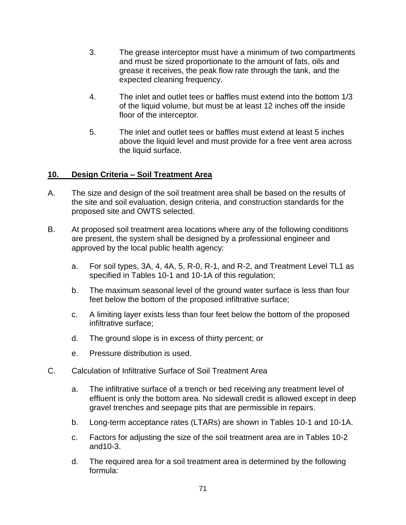- 3. The grease interceptor must have a minimum of two compartments and must be sized proportionate to the amount of fats, oils and grease it receives, the peak flow rate through the tank, and the expected cleaning frequency.
- 4. The inlet and outlet tees or baffles must extend into the bottom 1/3 of the liquid volume, but must be at least 12 inches off the inside floor of the interceptor.
- 5. The inlet and outlet tees or baffles must extend at least 5 inches above the liquid level and must provide for a free vent area across the liquid surface.

# **10. Design Criteria – Soil Treatment Area**

- A. The size and design of the soil treatment area shall be based on the results of the site and soil evaluation, design criteria, and construction standards for the proposed site and OWTS selected.
- B. At proposed soil treatment area locations where any of the following conditions are present, the system shall be designed by a professional engineer and approved by the local public health agency:
	- a. For soil types, 3A, 4, 4A, 5, R-0, R-1, and R-2, and Treatment Level TL1 as specified in Tables 10-1 and 10-1A of this regulation;
	- b. The maximum seasonal level of the ground water surface is less than four feet below the bottom of the proposed infiltrative surface;
	- c. A limiting layer exists less than four feet below the bottom of the proposed infiltrative surface;
	- d. The ground slope is in excess of thirty percent; or
	- e. Pressure distribution is used.
- C. Calculation of Infiltrative Surface of Soil Treatment Area
	- a. The infiltrative surface of a trench or bed receiving any treatment level of effluent is only the bottom area. No sidewall credit is allowed except in deep gravel trenches and seepage pits that are permissible in repairs.
	- b. Long-term acceptance rates (LTARs) are shown in Tables 10-1 and 10-1A.
	- c. Factors for adjusting the size of the soil treatment area are in Tables 10-2 and10-3.
	- d. The required area for a soil treatment area is determined by the following formula: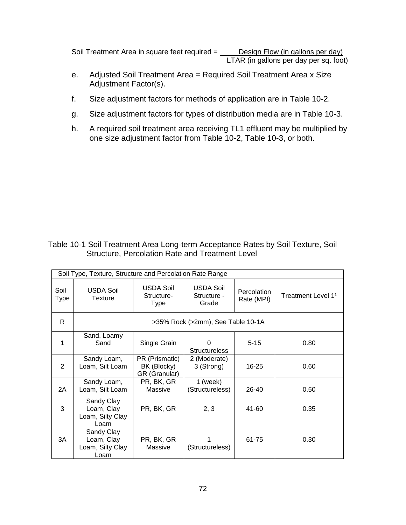Soil Treatment Area in square feet required = **Design Flow (in gallons per day)** LTAR (in gallons per day per sq. foot)

- e. Adjusted Soil Treatment Area = Required Soil Treatment Area x Size Adjustment Factor(s).
- f. Size adjustment factors for methods of application are in Table 10-2.
- g. Size adjustment factors for types of distribution media are in Table 10-3.
- h. A required soil treatment area receiving TL1 effluent may be multiplied by one size adjustment factor from Table 10-2, Table 10-3, or both.

## Table 10-1 Soil Treatment Area Long-term Acceptance Rates by Soil Texture, Soil Structure, Percolation Rate and Treatment Level

|                     | Soil Type, Texture, Structure and Percolation Rate Range |                                                |                                          |                           |                                |  |  |  |  |
|---------------------|----------------------------------------------------------|------------------------------------------------|------------------------------------------|---------------------------|--------------------------------|--|--|--|--|
| Soil<br><b>Type</b> | <b>USDA Soil</b><br>Texture                              | <b>USDA Soil</b><br>Structure-<br><b>Type</b>  | <b>USDA Soil</b><br>Structure -<br>Grade | Percolation<br>Rate (MPI) | Treatment Level 1 <sup>1</sup> |  |  |  |  |
| R.                  | >35% Rock (>2mm); See Table 10-1A                        |                                                |                                          |                           |                                |  |  |  |  |
| 1                   | Sand, Loamy<br>Sand                                      | Single Grain                                   | U<br><b>Structureless</b>                | $5 - 15$                  | 0.80                           |  |  |  |  |
| 2                   | Sandy Loam,<br>Loam, Silt Loam                           | PR (Prismatic)<br>BK (Blocky)<br>GR (Granular) | 2 (Moderate)<br>3 (Strong)               | $16 - 25$                 | 0.60                           |  |  |  |  |
| 2A                  | Sandy Loam,<br>Loam, Silt Loam                           | PR, BK, GR<br>Massive                          | $1$ (week)<br>(Structureless)            | $26-40$                   | 0.50                           |  |  |  |  |
| 3                   | Sandy Clay<br>Loam, Clay<br>Loam, Silty Clay<br>Loam     | PR, BK, GR                                     | 2, 3                                     | 41-60                     | 0.35                           |  |  |  |  |
| 3A                  | Sandy Clay<br>Loam, Clay<br>Loam, Silty Clay<br>Loam     | PR, BK, GR<br>Massive                          | (Structureless)                          | 61-75                     | 0.30                           |  |  |  |  |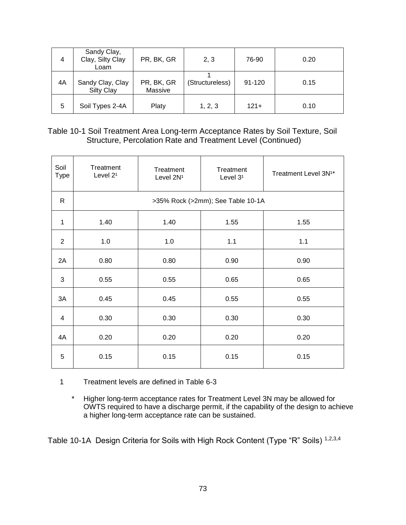| 4  | Sandy Clay,<br>Clay, Silty Clay<br>Loam | PR, BK, GR            | 2, 3            | 76-90      | 0.20 |
|----|-----------------------------------------|-----------------------|-----------------|------------|------|
| 4A | Sandy Clay, Clay<br>Silty Clay          | PR, BK, GR<br>Massive | (Structureless) | $91 - 120$ | 0.15 |
| 5  | Soil Types 2-4A                         | Platy                 | 1, 2, 3         | $121 +$    | 0.10 |

## Table 10-1 Soil Treatment Area Long-term Acceptance Rates by Soil Texture, Soil Structure, Percolation Rate and Treatment Level (Continued)

| Soil<br><b>Type</b> | Treatment<br>Level 2 <sup>1</sup> | Treatment<br>Level 2N <sup>1</sup> | Treatment<br>Level 3 <sup>1</sup> | Treatment Level 3N <sup>1*</sup> |
|---------------------|-----------------------------------|------------------------------------|-----------------------------------|----------------------------------|
| $\mathsf{R}$        |                                   |                                    | >35% Rock (>2mm); See Table 10-1A |                                  |
| 1                   | 1.40                              | 1.40                               | 1.55                              | 1.55                             |
| $\overline{2}$      | 1.0                               | 1.0                                | 1.1                               | 1.1                              |
| 2A                  | 0.80                              | 0.80                               | 0.90                              | 0.90                             |
| $\mathbf{3}$        | 0.55                              | 0.55                               | 0.65                              | 0.65                             |
| 3A                  | 0.45                              | 0.45                               | 0.55                              | 0.55                             |
| $\overline{4}$      | 0.30                              | 0.30                               | 0.30                              | 0.30                             |
| 4A                  | 0.20                              | 0.20                               | 0.20                              | 0.20                             |
| 5                   | 0.15                              | 0.15                               | 0.15                              | 0.15                             |

#### 1 Treatment levels are defined in Table 6-3

\* Higher long-term acceptance rates for Treatment Level 3N may be allowed for OWTS required to have a discharge permit, if the capability of the design to achieve a higher long-term acceptance rate can be sustained.

Table 10-1A Design Criteria for Soils with High Rock Content (Type "R" Soils) 1,2,3,4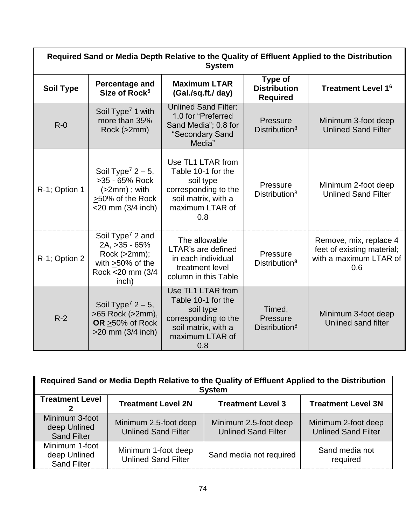| Required Sand or Media Depth Relative to the Quality of Effluent Applied to the Distribution<br><b>System</b> |                                                                                                                       |                                                                                                                               |                                                   |                                                                                       |
|---------------------------------------------------------------------------------------------------------------|-----------------------------------------------------------------------------------------------------------------------|-------------------------------------------------------------------------------------------------------------------------------|---------------------------------------------------|---------------------------------------------------------------------------------------|
| <b>Soil Type</b>                                                                                              | Percentage and<br>Size of Rock <sup>5</sup>                                                                           | <b>Maximum LTAR</b><br>(Gal./sq.ft./ day)                                                                                     | Type of<br><b>Distribution</b><br><b>Required</b> | <b>Treatment Level 16</b>                                                             |
| $R - 0$                                                                                                       | Soil Type <sup>7</sup> 1 with<br>more than 35%<br>Rock (>2mm)                                                         | <b>Unlined Sand Filter:</b><br>1.0 for "Preferred<br>Sand Media"; 0.8 for<br>"Secondary Sand<br>Media"                        | Pressure<br>Distribution <sup>8</sup>             | Minimum 3-foot deep<br><b>Unlined Sand Filter</b>                                     |
| R-1; Option 1                                                                                                 | Soil Type <sup>7</sup> $2 - 5$ ,<br>>35 - 65% Rock<br>$(>2mm)$ ; with<br>>50% of the Rock<br>$<$ 20 mm (3/4 inch)     | Use TL1 LTAR from<br>Table 10-1 for the<br>soil type<br>corresponding to the<br>soil matrix, with a<br>maximum LTAR of<br>0.8 | Pressure<br>Distribution <sup>8</sup>             | Minimum 2-foot deep<br><b>Unlined Sand Filter</b>                                     |
| R-1; Option 2                                                                                                 | Soil Type <sup>7</sup> 2 and<br>2A, >35 - 65%<br>Rock (>2mm);<br>with $\geq$ 50% of the<br>Rock < 20 mm (3/4<br>inch) | The allowable<br><b>LTAR's are defined</b><br>in each individual<br>treatment level<br>column in this Table                   | Pressure<br>Distribution <sup>8</sup>             | Remove, mix, replace 4<br>feet of existing material;<br>with a maximum LTAR of<br>0.6 |
| $R-2$                                                                                                         | Soil Type <sup>7</sup> $2 - 5$ ,<br>>65 Rock (>2mm),<br>OR >50% of Rock<br>$>20$ mm (3/4 inch)                        | Use TL1 LTAR from<br>Table 10-1 for the<br>soil type<br>corresponding to the<br>soil matrix, with a<br>maximum LTAR of<br>0.8 | Timed,<br>Pressure<br>Distribution <sup>8</sup>   | Minimum 3-foot deep<br>Unlined sand filter                                            |

| Required Sand or Media Depth Relative to the Quality of Effluent Applied to the Distribution<br><b>System</b> |                                                     |                                                     |                                                   |  |
|---------------------------------------------------------------------------------------------------------------|-----------------------------------------------------|-----------------------------------------------------|---------------------------------------------------|--|
| <b>Treatment Level</b><br><b>Treatment Level 2N</b><br><b>Treatment Level 3N</b><br><b>Treatment Level 3</b>  |                                                     |                                                     |                                                   |  |
| Minimum 3-foot<br>deep Unlined<br><b>Sand Filter</b>                                                          | Minimum 2.5-foot deep<br><b>Unlined Sand Filter</b> | Minimum 2.5-foot deep<br><b>Unlined Sand Filter</b> | Minimum 2-foot deep<br><b>Unlined Sand Filter</b> |  |
| Minimum 1-foot<br>deep Unlined<br><b>Sand Filter</b>                                                          | Minimum 1-foot deep<br><b>Unlined Sand Filter</b>   | Sand media not required                             | Sand media not<br>required                        |  |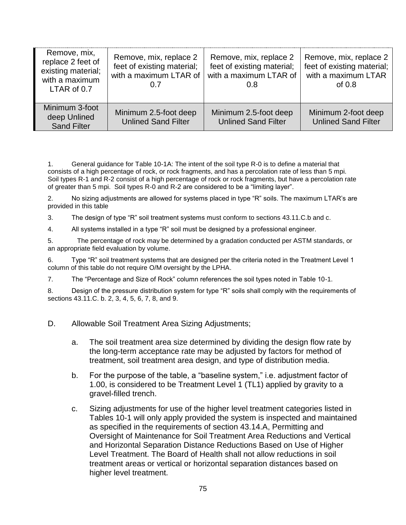| Remove, mix,<br>replace 2 feet of<br>existing material;<br>with a maximum<br>LTAR of 0.7 | Remove, mix, replace 2<br>feet of existing material;<br>with a maximum LTAR of<br>0.7 | Remove, mix, replace 2<br>feet of existing material;<br>with a maximum LTAR of<br>0.8 | Remove, mix, replace 2<br>feet of existing material;<br>with a maximum LTAR<br>of $0.8$ |
|------------------------------------------------------------------------------------------|---------------------------------------------------------------------------------------|---------------------------------------------------------------------------------------|-----------------------------------------------------------------------------------------|
| Minimum 3-foot<br>deep Unlined<br><b>Sand Filter</b>                                     | Minimum 2.5-foot deep<br><b>Unlined Sand Filter</b>                                   | Minimum 2.5-foot deep<br><b>Unlined Sand Filter</b>                                   | Minimum 2-foot deep<br><b>Unlined Sand Filter</b>                                       |

1. General guidance for Table 10-1A: The intent of the soil type R-0 is to define a material that consists of a high percentage of rock, or rock fragments, and has a percolation rate of less than 5 mpi. Soil types R-1 and R-2 consist of a high percentage of rock or rock fragments, but have a percolation rate of greater than 5 mpi. Soil types R-0 and R-2 are considered to be a "limiting layer".

2. No sizing adjustments are allowed for systems placed in type "R" soils. The maximum LTAR's are provided in this table

3. The design of type "R" soil treatment systems must conform to sections 43.11.C.b and c.

4. All systems installed in a type "R" soil must be designed by a professional engineer.

5. The percentage of rock may be determined by a gradation conducted per ASTM standards, or an appropriate field evaluation by volume.

6. Type "R" soil treatment systems that are designed per the criteria noted in the Treatment Level 1 column of this table do not require O/M oversight by the LPHA.

7. The "Percentage and Size of Rock" column references the soil types noted in Table 10-1.

8. Design of the pressure distribution system for type "R" soils shall comply with the requirements of sections 43.11.C. b. 2, 3, 4, 5, 6, 7, 8, and 9.

D. Allowable Soil Treatment Area Sizing Adjustments;

- a. The soil treatment area size determined by dividing the design flow rate by the long-term acceptance rate may be adjusted by factors for method of treatment, soil treatment area design, and type of distribution media.
- b. For the purpose of the table, a "baseline system," i.e. adjustment factor of 1.00, is considered to be Treatment Level 1 (TL1) applied by gravity to a gravel-filled trench.
- c. Sizing adjustments for use of the higher level treatment categories listed in Tables 10-1 will only apply provided the system is inspected and maintained as specified in the requirements of section 43.14.A, Permitting and Oversight of Maintenance for Soil Treatment Area Reductions and Vertical and Horizontal Separation Distance Reductions Based on Use of Higher Level Treatment. The Board of Health shall not allow reductions in soil treatment areas or vertical or horizontal separation distances based on higher level treatment.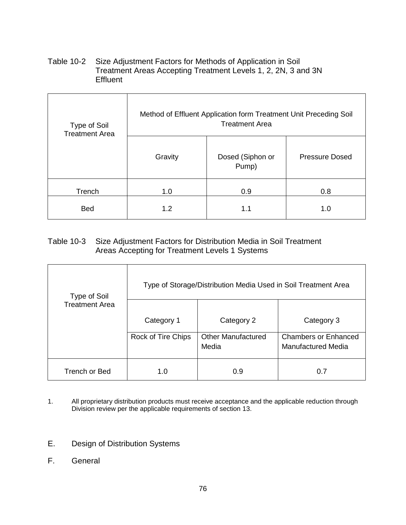Table 10-2 Size Adjustment Factors for Methods of Application in Soil Treatment Areas Accepting Treatment Levels 1, 2, 2N, 3 and 3N **Effluent** 

| Type of Soil<br><b>Treatment Area</b> | Method of Effluent Application form Treatment Unit Preceding Soil<br><b>Treatment Area</b> |                           |                       |  |
|---------------------------------------|--------------------------------------------------------------------------------------------|---------------------------|-----------------------|--|
|                                       | Gravity                                                                                    | Dosed (Siphon or<br>Pump) | <b>Pressure Dosed</b> |  |
| Trench                                | 1.0                                                                                        | 0.9                       | 0.8                   |  |
| <b>Bed</b>                            | 1.2                                                                                        | 1.1                       | 1.0                   |  |

# Table 10-3 Size Adjustment Factors for Distribution Media in Soil Treatment Areas Accepting for Treatment Levels 1 Systems

| Type of Soil          | Type of Storage/Distribution Media Used in Soil Treatment Area |                           |                             |  |
|-----------------------|----------------------------------------------------------------|---------------------------|-----------------------------|--|
| <b>Treatment Area</b> |                                                                |                           |                             |  |
|                       | Category 1                                                     | Category 2                | Category 3                  |  |
|                       | Rock of Tire Chips                                             | <b>Other Manufactured</b> | <b>Chambers or Enhanced</b> |  |
|                       |                                                                | Media                     | Manufactured Media          |  |
| Trench or Bed         | 1.0                                                            | 0.9                       | 0.7                         |  |

- 1. All proprietary distribution products must receive acceptance and the applicable reduction through Division review per the applicable requirements of section 13.
- E. Design of Distribution Systems
- F. General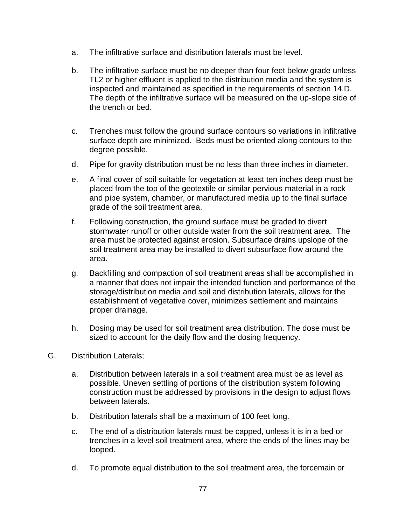- a. The infiltrative surface and distribution laterals must be level.
- b. The infiltrative surface must be no deeper than four feet below grade unless TL2 or higher effluent is applied to the distribution media and the system is inspected and maintained as specified in the requirements of section 14.D. The depth of the infiltrative surface will be measured on the up-slope side of the trench or bed.
- c. Trenches must follow the ground surface contours so variations in infiltrative surface depth are minimized. Beds must be oriented along contours to the degree possible.
- d. Pipe for gravity distribution must be no less than three inches in diameter.
- e. A final cover of soil suitable for vegetation at least ten inches deep must be placed from the top of the geotextile or similar pervious material in a rock and pipe system, chamber, or manufactured media up to the final surface grade of the soil treatment area.
- f. Following construction, the ground surface must be graded to divert stormwater runoff or other outside water from the soil treatment area. The area must be protected against erosion. Subsurface drains upslope of the soil treatment area may be installed to divert subsurface flow around the area.
- g. Backfilling and compaction of soil treatment areas shall be accomplished in a manner that does not impair the intended function and performance of the storage/distribution media and soil and distribution laterals, allows for the establishment of vegetative cover, minimizes settlement and maintains proper drainage.
- h. Dosing may be used for soil treatment area distribution. The dose must be sized to account for the daily flow and the dosing frequency.
- G. Distribution Laterals;
	- a. Distribution between laterals in a soil treatment area must be as level as possible. Uneven settling of portions of the distribution system following construction must be addressed by provisions in the design to adjust flows between laterals.
	- b. Distribution laterals shall be a maximum of 100 feet long.
	- c. The end of a distribution laterals must be capped, unless it is in a bed or trenches in a level soil treatment area, where the ends of the lines may be looped.
	- d. To promote equal distribution to the soil treatment area, the forcemain or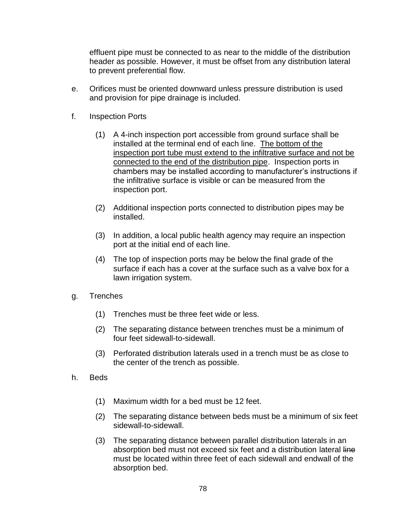effluent pipe must be connected to as near to the middle of the distribution header as possible. However, it must be offset from any distribution lateral to prevent preferential flow.

- e. Orifices must be oriented downward unless pressure distribution is used and provision for pipe drainage is included.
- f. Inspection Ports
	- (1) A 4-inch inspection port accessible from ground surface shall be installed at the terminal end of each line. The bottom of the inspection port tube must extend to the infiltrative surface and not be connected to the end of the distribution pipe. Inspection ports in chambers may be installed according to manufacturer's instructions if the infiltrative surface is visible or can be measured from the inspection port.
	- (2) Additional inspection ports connected to distribution pipes may be installed.
	- (3) In addition, a local public health agency may require an inspection port at the initial end of each line.
	- (4) The top of inspection ports may be below the final grade of the surface if each has a cover at the surface such as a valve box for a lawn irrigation system.
- g. Trenches
	- (1) Trenches must be three feet wide or less.
	- (2) The separating distance between trenches must be a minimum of four feet sidewall-to-sidewall.
	- (3) Perforated distribution laterals used in a trench must be as close to the center of the trench as possible.
- h. Beds
	- (1) Maximum width for a bed must be 12 feet.
	- (2) The separating distance between beds must be a minimum of six feet sidewall-to-sidewall.
	- (3) The separating distance between parallel distribution laterals in an absorption bed must not exceed six feet and a distribution lateral line must be located within three feet of each sidewall and endwall of the absorption bed.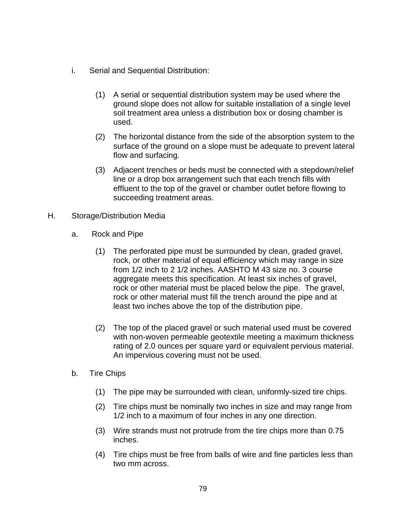- i. Serial and Sequential Distribution:
	- (1) A serial or sequential distribution system may be used where the ground slope does not allow for suitable installation of a single level soil treatment area unless a distribution box or dosing chamber is used.
	- (2) The horizontal distance from the side of the absorption system to the surface of the ground on a slope must be adequate to prevent lateral flow and surfacing.
	- (3) Adjacent trenches or beds must be connected with a stepdown/relief line or a drop box arrangement such that each trench fills with effluent to the top of the gravel or chamber outlet before flowing to succeeding treatment areas.
- H. Storage/Distribution Media
	- a. Rock and Pipe
		- (1) The perforated pipe must be surrounded by clean, graded gravel, rock, or other material of equal efficiency which may range in size from 1/2 inch to 2 1/2 inches. AASHTO M 43 size no. 3 course aggregate meets this specification. At least six inches of gravel, rock or other material must be placed below the pipe. The gravel, rock or other material must fill the trench around the pipe and at least two inches above the top of the distribution pipe.
		- (2) The top of the placed gravel or such material used must be covered with non-woven permeable geotextile meeting a maximum thickness rating of 2.0 ounces per square yard or equivalent pervious material. An impervious covering must not be used.
	- b. Tire Chips
		- (1) The pipe may be surrounded with clean, uniformly-sized tire chips.
		- (2) Tire chips must be nominally two inches in size and may range from 1/2 inch to a maximum of four inches in any one direction.
		- (3) Wire strands must not protrude from the tire chips more than 0.75 inches.
		- (4) Tire chips must be free from balls of wire and fine particles less than two mm across.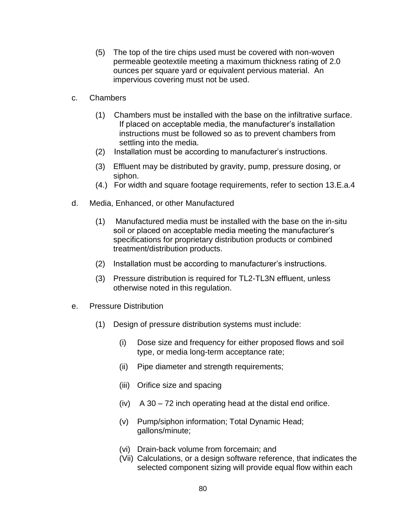- (5) The top of the tire chips used must be covered with non-woven permeable geotextile meeting a maximum thickness rating of 2.0 ounces per square yard or equivalent pervious material. An impervious covering must not be used.
- c. Chambers
	- (1) Chambers must be installed with the base on the infiltrative surface. If placed on acceptable media, the manufacturer's installation instructions must be followed so as to prevent chambers from settling into the media.
	- (2) Installation must be according to manufacturer's instructions.
	- (3) Effluent may be distributed by gravity, pump, pressure dosing, or siphon.
	- (4.) For width and square footage requirements, refer to section 13.E.a.4
- d. Media, Enhanced, or other Manufactured
	- (1) Manufactured media must be installed with the base on the in-situ soil or placed on acceptable media meeting the manufacturer's specifications for proprietary distribution products or combined treatment/distribution products.
	- (2) Installation must be according to manufacturer's instructions.
	- (3) Pressure distribution is required for TL2-TL3N effluent, unless otherwise noted in this regulation.
- e. Pressure Distribution
	- (1) Design of pressure distribution systems must include:
		- (i) Dose size and frequency for either proposed flows and soil type, or media long-term acceptance rate;
		- (ii) Pipe diameter and strength requirements;
		- (iii) Orifice size and spacing
		- $(iv)$  A 30 72 inch operating head at the distal end orifice.
		- (v) Pump/siphon information; Total Dynamic Head; gallons/minute;
		- (vi) Drain-back volume from forcemain; and
		- (Vii) Calculations, or a design software reference, that indicates the selected component sizing will provide equal flow within each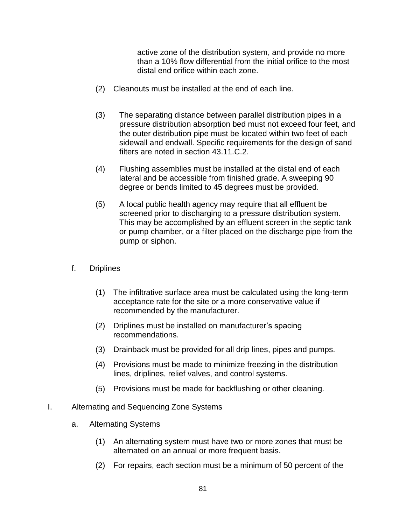active zone of the distribution system, and provide no more than a 10% flow differential from the initial orifice to the most distal end orifice within each zone.

- (2) Cleanouts must be installed at the end of each line.
- (3) The separating distance between parallel distribution pipes in a pressure distribution absorption bed must not exceed four feet, and the outer distribution pipe must be located within two feet of each sidewall and endwall. Specific requirements for the design of sand filters are noted in section 43.11.C.2.
- (4) Flushing assemblies must be installed at the distal end of each lateral and be accessible from finished grade. A sweeping 90 degree or bends limited to 45 degrees must be provided.
- (5) A local public health agency may require that all effluent be screened prior to discharging to a pressure distribution system. This may be accomplished by an effluent screen in the septic tank or pump chamber, or a filter placed on the discharge pipe from the pump or siphon.
- f. Driplines
	- (1) The infiltrative surface area must be calculated using the long-term acceptance rate for the site or a more conservative value if recommended by the manufacturer.
	- (2) Driplines must be installed on manufacturer's spacing recommendations.
	- (3) Drainback must be provided for all drip lines, pipes and pumps.
	- (4) Provisions must be made to minimize freezing in the distribution lines, driplines, relief valves, and control systems.
	- (5) Provisions must be made for backflushing or other cleaning.
- I. Alternating and Sequencing Zone Systems
	- a. Alternating Systems
		- (1) An alternating system must have two or more zones that must be alternated on an annual or more frequent basis.
		- (2) For repairs, each section must be a minimum of 50 percent of the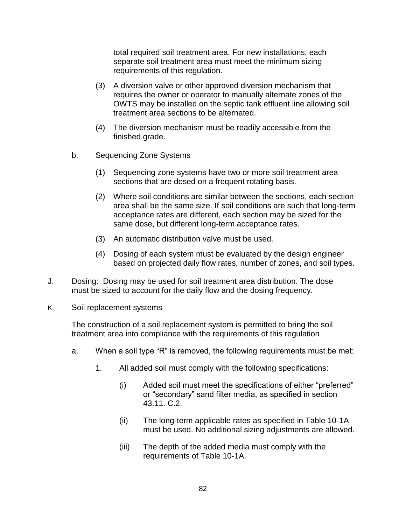total required soil treatment area. For new installations, each separate soil treatment area must meet the minimum sizing requirements of this regulation.

- (3) A diversion valve or other approved diversion mechanism that requires the owner or operator to manually alternate zones of the OWTS may be installed on the septic tank effluent line allowing soil treatment area sections to be alternated.
- (4) The diversion mechanism must be readily accessible from the finished grade.
- b. Sequencing Zone Systems
	- (1) Sequencing zone systems have two or more soil treatment area sections that are dosed on a frequent rotating basis.
	- (2) Where soil conditions are similar between the sections, each section area shall be the same size. If soil conditions are such that long-term acceptance rates are different, each section may be sized for the same dose, but different long-term acceptance rates.
	- (3) An automatic distribution valve must be used.
	- (4) Dosing of each system must be evaluated by the design engineer based on projected daily flow rates, number of zones, and soil types.
- J. Dosing: Dosing may be used for soil treatment area distribution. The dose must be sized to account for the daily flow and the dosing frequency.
- K. Soil replacement systems

The construction of a soil replacement system is permitted to bring the soil treatment area into compliance with the requirements of this regulation

- a. When a soil type "R" is removed, the following requirements must be met:
	- 1. All added soil must comply with the following specifications:
		- (i) Added soil must meet the specifications of either "preferred" or "secondary" sand filter media, as specified in section 43.11. C.2.
		- (ii) The long-term applicable rates as specified in Table 10-1A must be used. No additional sizing adjustments are allowed.
		- (iii) The depth of the added media must comply with the requirements of Table 10-1A.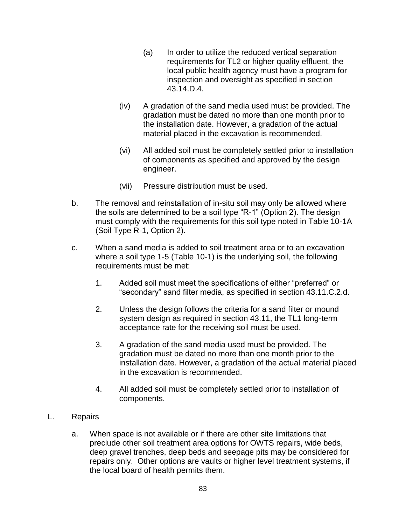- (a) In order to utilize the reduced vertical separation requirements for TL2 or higher quality effluent, the local public health agency must have a program for inspection and oversight as specified in section 43.14.D.4.
- (iv) A gradation of the sand media used must be provided. The gradation must be dated no more than one month prior to the installation date. However, a gradation of the actual material placed in the excavation is recommended.
- (vi) All added soil must be completely settled prior to installation of components as specified and approved by the design engineer.
- (vii) Pressure distribution must be used.
- b. The removal and reinstallation of in-situ soil may only be allowed where the soils are determined to be a soil type "R-1" (Option 2). The design must comply with the requirements for this soil type noted in Table 10-1A (Soil Type R-1, Option 2).
- c. When a sand media is added to soil treatment area or to an excavation where a soil type 1-5 (Table 10-1) is the underlying soil, the following requirements must be met:
	- 1. Added soil must meet the specifications of either "preferred" or "secondary" sand filter media, as specified in section 43.11.C.2.d.
	- 2. Unless the design follows the criteria for a sand filter or mound system design as required in section 43.11, the TL1 long-term acceptance rate for the receiving soil must be used.
	- 3. A gradation of the sand media used must be provided. The gradation must be dated no more than one month prior to the installation date. However, a gradation of the actual material placed in the excavation is recommended.
	- 4. All added soil must be completely settled prior to installation of components.
- L. Repairs
	- a. When space is not available or if there are other site limitations that preclude other soil treatment area options for OWTS repairs, wide beds, deep gravel trenches, deep beds and seepage pits may be considered for repairs only. Other options are vaults or higher level treatment systems, if the local board of health permits them.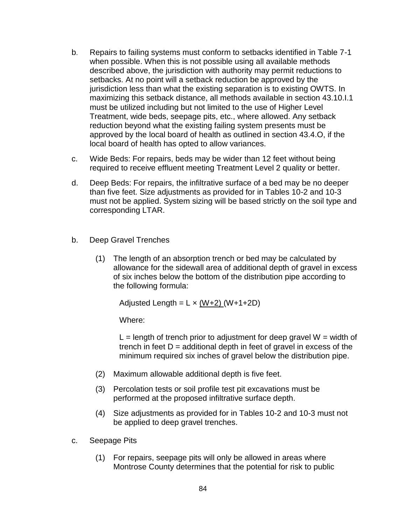- b. Repairs to failing systems must conform to setbacks identified in Table 7-1 when possible. When this is not possible using all available methods described above, the jurisdiction with authority may permit reductions to setbacks. At no point will a setback reduction be approved by the jurisdiction less than what the existing separation is to existing OWTS. In maximizing this setback distance, all methods available in section 43.10.I.1 must be utilized including but not limited to the use of Higher Level Treatment, wide beds, seepage pits, etc., where allowed. Any setback reduction beyond what the existing failing system presents must be approved by the local board of health as outlined in section 43.4.O, if the local board of health has opted to allow variances.
- c. Wide Beds: For repairs, beds may be wider than 12 feet without being required to receive effluent meeting Treatment Level 2 quality or better.
- d. Deep Beds: For repairs, the infiltrative surface of a bed may be no deeper than five feet. Size adjustments as provided for in Tables 10-2 and 10-3 must not be applied. System sizing will be based strictly on the soil type and corresponding LTAR.
- b. Deep Gravel Trenches
	- (1) The length of an absorption trench or bed may be calculated by allowance for the sidewall area of additional depth of gravel in excess of six inches below the bottom of the distribution pipe according to the following formula:

Adjusted Length =  $L \times (W+2)$  (W+1+2D)

Where:

 $L =$  length of trench prior to adjustment for deep gravel  $W =$  width of trench in feet  $D =$  additional depth in feet of gravel in excess of the minimum required six inches of gravel below the distribution pipe.

- (2) Maximum allowable additional depth is five feet.
- (3) Percolation tests or soil profile test pit excavations must be performed at the proposed infiltrative surface depth.
- (4) Size adjustments as provided for in Tables 10-2 and 10-3 must not be applied to deep gravel trenches.
- c. Seepage Pits
	- (1) For repairs, seepage pits will only be allowed in areas where Montrose County determines that the potential for risk to public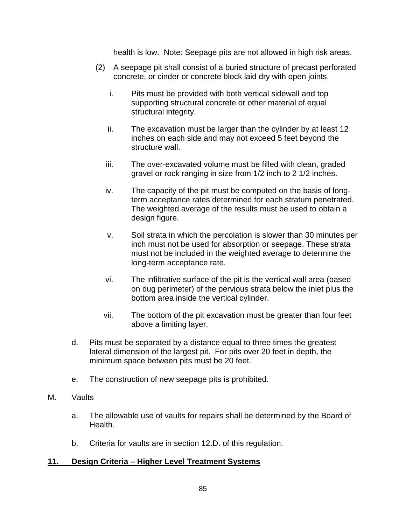health is low. Note: Seepage pits are not allowed in high risk areas.

- (2) A seepage pit shall consist of a buried structure of precast perforated concrete, or cinder or concrete block laid dry with open joints.
	- i. Pits must be provided with both vertical sidewall and top supporting structural concrete or other material of equal structural integrity.
	- ii. The excavation must be larger than the cylinder by at least 12 inches on each side and may not exceed 5 feet beyond the structure wall.
	- iii. The over-excavated volume must be filled with clean, graded gravel or rock ranging in size from 1/2 inch to 2 1/2 inches.
	- iv. The capacity of the pit must be computed on the basis of longterm acceptance rates determined for each stratum penetrated. The weighted average of the results must be used to obtain a design figure.
	- v. Soil strata in which the percolation is slower than 30 minutes per inch must not be used for absorption or seepage. These strata must not be included in the weighted average to determine the long-term acceptance rate.
	- vi. The infiltrative surface of the pit is the vertical wall area (based on dug perimeter) of the pervious strata below the inlet plus the bottom area inside the vertical cylinder.
	- vii. The bottom of the pit excavation must be greater than four feet above a limiting layer.
- d. Pits must be separated by a distance equal to three times the greatest lateral dimension of the largest pit. For pits over 20 feet in depth, the minimum space between pits must be 20 feet.
- e. The construction of new seepage pits is prohibited.
- M. Vaults
	- a. The allowable use of vaults for repairs shall be determined by the Board of Health.
	- b. Criteria for vaults are in section 12.D. of this regulation.

### **11. Design Criteria – Higher Level Treatment Systems**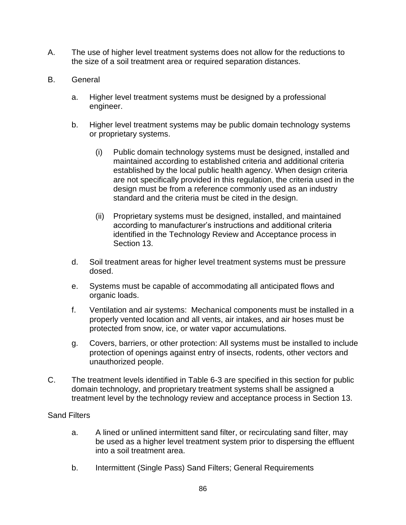- A. The use of higher level treatment systems does not allow for the reductions to the size of a soil treatment area or required separation distances.
- B. General
	- a. Higher level treatment systems must be designed by a professional engineer.
	- b. Higher level treatment systems may be public domain technology systems or proprietary systems.
		- (i) Public domain technology systems must be designed, installed and maintained according to established criteria and additional criteria established by the local public health agency. When design criteria are not specifically provided in this regulation, the criteria used in the design must be from a reference commonly used as an industry standard and the criteria must be cited in the design.
		- (ii) Proprietary systems must be designed, installed, and maintained according to manufacturer's instructions and additional criteria identified in the Technology Review and Acceptance process in Section 13.
	- d. Soil treatment areas for higher level treatment systems must be pressure dosed.
	- e. Systems must be capable of accommodating all anticipated flows and organic loads.
	- f. Ventilation and air systems: Mechanical components must be installed in a properly vented location and all vents, air intakes, and air hoses must be protected from snow, ice, or water vapor accumulations.
	- g. Covers, barriers, or other protection: All systems must be installed to include protection of openings against entry of insects, rodents, other vectors and unauthorized people.
- C. The treatment levels identified in Table 6-3 are specified in this section for public domain technology, and proprietary treatment systems shall be assigned a treatment level by the technology review and acceptance process in Section 13.

### Sand Filters

- a. A lined or unlined intermittent sand filter, or recirculating sand filter, may be used as a higher level treatment system prior to dispersing the effluent into a soil treatment area.
- b. Intermittent (Single Pass) Sand Filters; General Requirements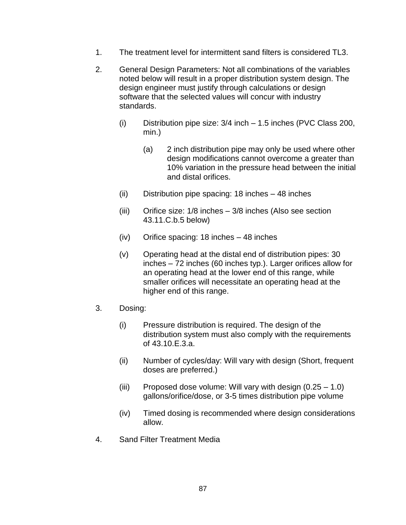- 1. The treatment level for intermittent sand filters is considered TL3.
- 2. General Design Parameters: Not all combinations of the variables noted below will result in a proper distribution system design. The design engineer must justify through calculations or design software that the selected values will concur with industry standards.
	- (i) Distribution pipe size: 3/4 inch 1.5 inches (PVC Class 200, min.)
		- (a) 2 inch distribution pipe may only be used where other design modifications cannot overcome a greater than 10% variation in the pressure head between the initial and distal orifices.
	- (ii) Distribution pipe spacing: 18 inches 48 inches
	- (iii) Orifice size: 1/8 inches 3/8 inches (Also see section 43.11.C.b.5 below)
	- (iv) Orifice spacing: 18 inches 48 inches
	- (v) Operating head at the distal end of distribution pipes: 30 inches – 72 inches (60 inches typ.). Larger orifices allow for an operating head at the lower end of this range, while smaller orifices will necessitate an operating head at the higher end of this range.
- 3. Dosing:
	- (i) Pressure distribution is required. The design of the distribution system must also comply with the requirements of 43.10.E.3.a.
	- (ii) Number of cycles/day: Will vary with design (Short, frequent doses are preferred.)
	- (iii) Proposed dose volume: Will vary with design  $(0.25 1.0)$ gallons/orifice/dose, or 3-5 times distribution pipe volume
	- (iv) Timed dosing is recommended where design considerations allow.
- 4. Sand Filter Treatment Media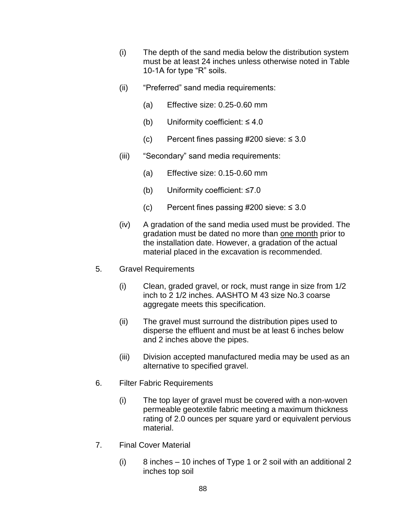- (i) The depth of the sand media below the distribution system must be at least 24 inches unless otherwise noted in Table 10-1A for type "R" soils.
- (ii) "Preferred" sand media requirements:
	- (a) Effective size: 0.25-0.60 mm
	- (b) Uniformity coefficient:  $\leq 4.0$
	- (c) Percent fines passing #200 sieve:  $\leq 3.0$
- (iii) "Secondary" sand media requirements:
	- (a) Effective size: 0.15-0.60 mm
	- (b) Uniformity coefficient: ≤7.0
	- (c) Percent fines passing #200 sieve:  $\leq 3.0$
- (iv) A gradation of the sand media used must be provided. The gradation must be dated no more than one month prior to the installation date. However, a gradation of the actual material placed in the excavation is recommended.
- 5. Gravel Requirements
	- (i) Clean, graded gravel, or rock, must range in size from 1/2 inch to 2 1/2 inches. AASHTO M 43 size No.3 coarse aggregate meets this specification.
	- (ii) The gravel must surround the distribution pipes used to disperse the effluent and must be at least 6 inches below and 2 inches above the pipes.
	- (iii) Division accepted manufactured media may be used as an alternative to specified gravel.
- 6. Filter Fabric Requirements
	- (i) The top layer of gravel must be covered with a non-woven permeable geotextile fabric meeting a maximum thickness rating of 2.0 ounces per square yard or equivalent pervious material.
- 7. Final Cover Material
	- (i) 8 inches 10 inches of Type 1 or 2 soil with an additional 2 inches top soil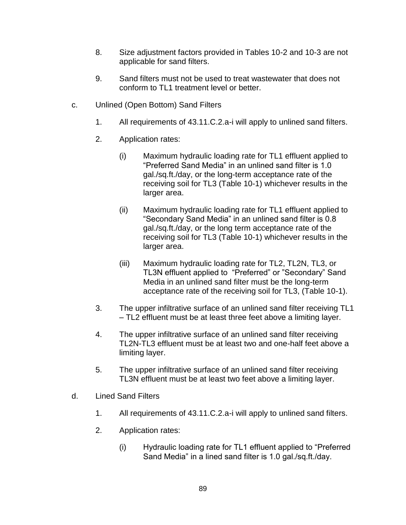- 8. Size adjustment factors provided in Tables 10-2 and 10-3 are not applicable for sand filters.
- 9. Sand filters must not be used to treat wastewater that does not conform to TL1 treatment level or better.
- c. Unlined (Open Bottom) Sand Filters
	- 1. All requirements of 43.11.C.2.a-i will apply to unlined sand filters.
	- 2. Application rates:
		- (i) Maximum hydraulic loading rate for TL1 effluent applied to "Preferred Sand Media" in an unlined sand filter is 1.0 gal./sq.ft./day, or the long-term acceptance rate of the receiving soil for TL3 (Table 10-1) whichever results in the larger area.
		- (ii) Maximum hydraulic loading rate for TL1 effluent applied to "Secondary Sand Media" in an unlined sand filter is 0.8 gal./sq.ft./day, or the long term acceptance rate of the receiving soil for TL3 (Table 10-1) whichever results in the larger area.
		- (iii) Maximum hydraulic loading rate for TL2, TL2N, TL3, or TL3N effluent applied to "Preferred" or "Secondary" Sand Media in an unlined sand filter must be the long-term acceptance rate of the receiving soil for TL3, (Table 10-1).
	- 3. The upper infiltrative surface of an unlined sand filter receiving TL1 – TL2 effluent must be at least three feet above a limiting layer.
	- 4. The upper infiltrative surface of an unlined sand filter receiving TL2N-TL3 effluent must be at least two and one-half feet above a limiting layer.
	- 5. The upper infiltrative surface of an unlined sand filter receiving TL3N effluent must be at least two feet above a limiting layer.
- d. Lined Sand Filters
	- 1. All requirements of 43.11.C.2.a-i will apply to unlined sand filters.
	- 2. Application rates:
		- (i) Hydraulic loading rate for TL1 effluent applied to "Preferred Sand Media" in a lined sand filter is 1.0 gal./sq.ft./day.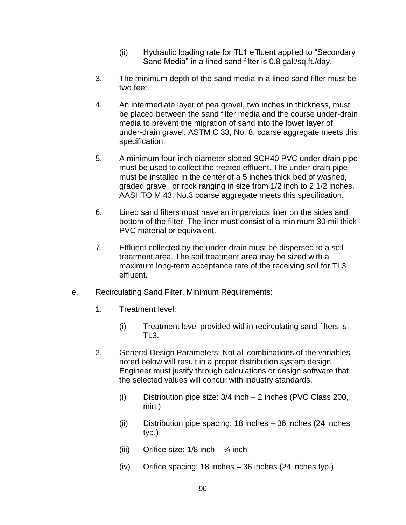- (ii) Hydraulic loading rate for TL1 effluent applied to "Secondary Sand Media" in a lined sand filter is 0.8 gal./sq.ft./day.
- 3. The minimum depth of the sand media in a lined sand filter must be two feet.
- 4. An intermediate layer of pea gravel, two inches in thickness, must be placed between the sand filter media and the course under-drain media to prevent the migration of sand into the lower layer of under-drain gravel. ASTM C 33, No. 8, coarse aggregate meets this specification.
- 5. A minimum four-inch diameter slotted SCH40 PVC under-drain pipe must be used to collect the treated effluent. The under-drain pipe must be installed in the center of a 5 inches thick bed of washed, graded gravel, or rock ranging in size from 1/2 inch to 2 1/2 inches. AASHTO M 43, No.3 coarse aggregate meets this specification.
- 6. Lined sand filters must have an impervious liner on the sides and bottom of the filter. The liner must consist of a minimum 30 mil thick PVC material or equivalent.
- 7. Effluent collected by the under-drain must be dispersed to a soil treatment area. The soil treatment area may be sized with a maximum long-term acceptance rate of the receiving soil for TL3 effluent.
- e. Recirculating Sand Filter, Minimum Requirements:
	- 1. Treatment level:
		- (i) Treatment level provided within recirculating sand filters is TL3.
	- 2. General Design Parameters: Not all combinations of the variables noted below will result in a proper distribution system design. Engineer must justify through calculations or design software that the selected values will concur with industry standards.
		- (i) Distribution pipe size: 3/4 inch 2 inches (PVC Class 200, min.)
		- (ii) Distribution pipe spacing: 18 inches 36 inches (24 inches typ.)
		- (iii) Orifice size:  $1/8$  inch  $\frac{1}{4}$  inch
		- (iv) Orifice spacing: 18 inches 36 inches (24 inches typ.)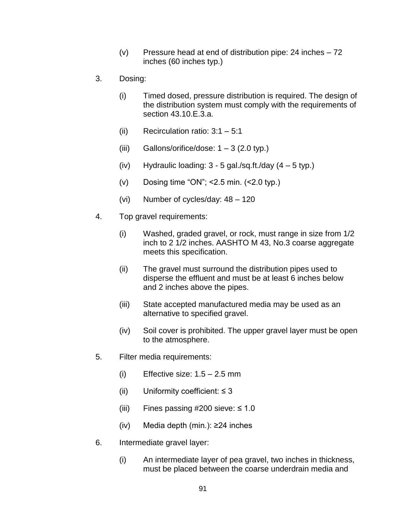- (v) Pressure head at end of distribution pipe: 24 inches  $-72$ inches (60 inches typ.)
- 3. Dosing:
	- (i) Timed dosed, pressure distribution is required. The design of the distribution system must comply with the requirements of section 43.10.E.3.a.
	- (ii) Recirculation ratio: 3:1 5:1
	- (iii) Gallons/orifice/dose:  $1 3$  (2.0 typ.)
	- (iv) Hydraulic loading:  $3 5$  gal./sq.ft./day  $(4 5$  typ.)
	- (v) Dosing time "ON";  $\leq$  2.5 min.  $(\leq$  2.0 typ.)
	- (vi) Number of cycles/day: 48 120
- 4. Top gravel requirements:
	- (i) Washed, graded gravel, or rock, must range in size from 1/2 inch to 2 1/2 inches. AASHTO M 43, No.3 coarse aggregate meets this specification.
	- (ii) The gravel must surround the distribution pipes used to disperse the effluent and must be at least 6 inches below and 2 inches above the pipes.
	- (iii) State accepted manufactured media may be used as an alternative to specified gravel.
	- (iv) Soil cover is prohibited. The upper gravel layer must be open to the atmosphere.
- 5. Filter media requirements:
	- (i) Effective size:  $1.5 2.5$  mm
	- (ii) Uniformity coefficient:  $\leq$  3
	- (iii) Fines passing  $\#200$  sieve:  $\leq 1.0$
	- (iv) Media depth (min.): ≥24 inches
- 6. Intermediate gravel layer:
	- (i) An intermediate layer of pea gravel, two inches in thickness, must be placed between the coarse underdrain media and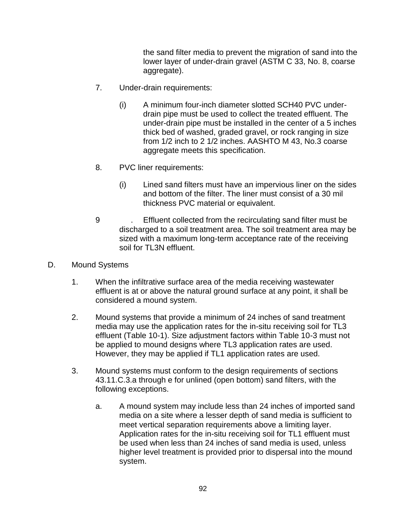the sand filter media to prevent the migration of sand into the lower layer of under-drain gravel (ASTM C 33, No. 8, coarse aggregate).

- 7. Under-drain requirements:
	- (i) A minimum four-inch diameter slotted SCH40 PVC underdrain pipe must be used to collect the treated effluent. The under-drain pipe must be installed in the center of a 5 inches thick bed of washed, graded gravel, or rock ranging in size from 1/2 inch to 2 1/2 inches. AASHTO M 43, No.3 coarse aggregate meets this specification.
- 8. PVC liner requirements:
	- (i) Lined sand filters must have an impervious liner on the sides and bottom of the filter. The liner must consist of a 30 mil thickness PVC material or equivalent.
- 9 . Effluent collected from the recirculating sand filter must be discharged to a soil treatment area. The soil treatment area may be sized with a maximum long-term acceptance rate of the receiving soil for TL3N effluent.
- D. Mound Systems
	- 1. When the infiltrative surface area of the media receiving wastewater effluent is at or above the natural ground surface at any point, it shall be considered a mound system.
	- 2. Mound systems that provide a minimum of 24 inches of sand treatment media may use the application rates for the in-situ receiving soil for TL3 effluent (Table 10-1). Size adjustment factors within Table 10-3 must not be applied to mound designs where TL3 application rates are used. However, they may be applied if TL1 application rates are used.
	- 3. Mound systems must conform to the design requirements of sections 43.11.C.3.a through e for unlined (open bottom) sand filters, with the following exceptions.
		- a. A mound system may include less than 24 inches of imported sand media on a site where a lesser depth of sand media is sufficient to meet vertical separation requirements above a limiting layer. Application rates for the in-situ receiving soil for TL1 effluent must be used when less than 24 inches of sand media is used, unless higher level treatment is provided prior to dispersal into the mound system.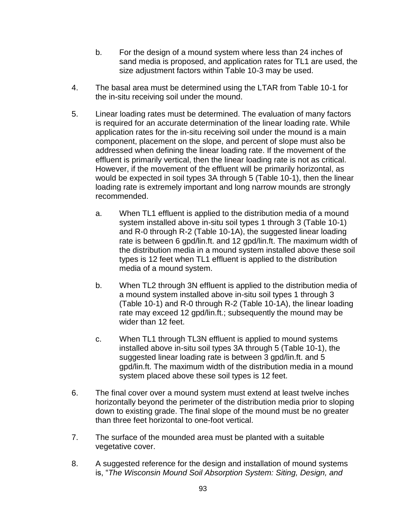- b. For the design of a mound system where less than 24 inches of sand media is proposed, and application rates for TL1 are used, the size adjustment factors within Table 10-3 may be used.
- 4. The basal area must be determined using the LTAR from Table 10-1 for the in-situ receiving soil under the mound.
- 5. Linear loading rates must be determined. The evaluation of many factors is required for an accurate determination of the linear loading rate. While application rates for the in-situ receiving soil under the mound is a main component, placement on the slope, and percent of slope must also be addressed when defining the linear loading rate. If the movement of the effluent is primarily vertical, then the linear loading rate is not as critical. However, if the movement of the effluent will be primarily horizontal, as would be expected in soil types 3A through 5 (Table 10-1), then the linear loading rate is extremely important and long narrow mounds are strongly recommended.
	- a. When TL1 effluent is applied to the distribution media of a mound system installed above in-situ soil types 1 through 3 (Table 10-1) and R-0 through R-2 (Table 10-1A), the suggested linear loading rate is between 6 gpd/lin.ft. and 12 gpd/lin.ft. The maximum width of the distribution media in a mound system installed above these soil types is 12 feet when TL1 effluent is applied to the distribution media of a mound system.
	- b. When TL2 through 3N effluent is applied to the distribution media of a mound system installed above in-situ soil types 1 through 3 (Table 10-1) and R-0 through R-2 (Table 10-1A), the linear loading rate may exceed 12 gpd/lin.ft.; subsequently the mound may be wider than 12 feet.
	- c. When TL1 through TL3N effluent is applied to mound systems installed above in-situ soil types 3A through 5 (Table 10-1), the suggested linear loading rate is between 3 gpd/lin.ft. and 5 gpd/lin.ft. The maximum width of the distribution media in a mound system placed above these soil types is 12 feet.
- 6. The final cover over a mound system must extend at least twelve inches horizontally beyond the perimeter of the distribution media prior to sloping down to existing grade. The final slope of the mound must be no greater than three feet horizontal to one-foot vertical.
- 7. The surface of the mounded area must be planted with a suitable vegetative cover.
- 8. A suggested reference for the design and installation of mound systems is, "*The Wisconsin Mound Soil Absorption System: Siting, Design, and*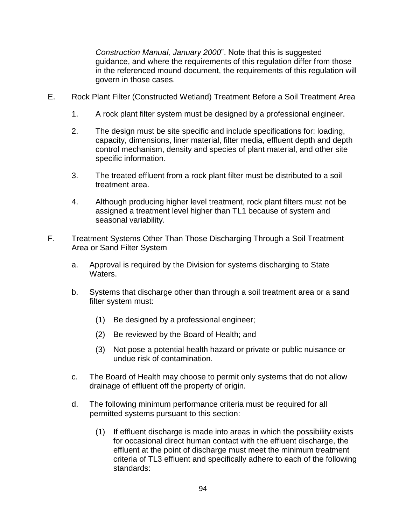*Construction Manual, January 2000*". Note that this is suggested guidance, and where the requirements of this regulation differ from those in the referenced mound document, the requirements of this regulation will govern in those cases.

- E. Rock Plant Filter (Constructed Wetland) Treatment Before a Soil Treatment Area
	- 1. A rock plant filter system must be designed by a professional engineer.
	- 2. The design must be site specific and include specifications for: loading, capacity, dimensions, liner material, filter media, effluent depth and depth control mechanism, density and species of plant material, and other site specific information.
	- 3. The treated effluent from a rock plant filter must be distributed to a soil treatment area.
	- 4. Although producing higher level treatment, rock plant filters must not be assigned a treatment level higher than TL1 because of system and seasonal variability.
- F. Treatment Systems Other Than Those Discharging Through a Soil Treatment Area or Sand Filter System
	- a. Approval is required by the Division for systems discharging to State Waters.
	- b. Systems that discharge other than through a soil treatment area or a sand filter system must:
		- (1) Be designed by a professional engineer;
		- (2) Be reviewed by the Board of Health; and
		- (3) Not pose a potential health hazard or private or public nuisance or undue risk of contamination.
	- c. The Board of Health may choose to permit only systems that do not allow drainage of effluent off the property of origin.
	- d. The following minimum performance criteria must be required for all permitted systems pursuant to this section:
		- (1) If effluent discharge is made into areas in which the possibility exists for occasional direct human contact with the effluent discharge, the effluent at the point of discharge must meet the minimum treatment criteria of TL3 effluent and specifically adhere to each of the following standards: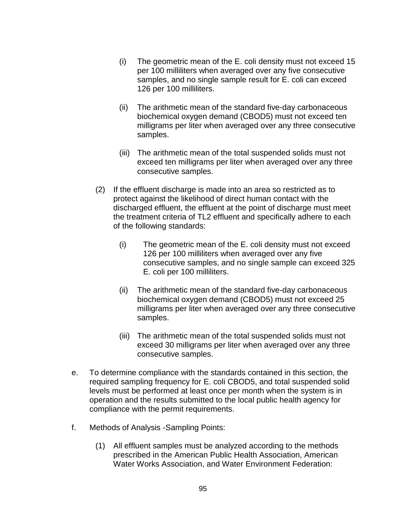- (i) The geometric mean of the E. coli density must not exceed 15 per 100 milliliters when averaged over any five consecutive samples, and no single sample result for E. coli can exceed 126 per 100 milliliters.
- (ii) The arithmetic mean of the standard five-day carbonaceous biochemical oxygen demand (CBOD5) must not exceed ten milligrams per liter when averaged over any three consecutive samples.
- (iii) The arithmetic mean of the total suspended solids must not exceed ten milligrams per liter when averaged over any three consecutive samples.
- (2) If the effluent discharge is made into an area so restricted as to protect against the likelihood of direct human contact with the discharged effluent, the effluent at the point of discharge must meet the treatment criteria of TL2 effluent and specifically adhere to each of the following standards:
	- (i) The geometric mean of the E. coli density must not exceed 126 per 100 milliliters when averaged over any five consecutive samples, and no single sample can exceed 325 E. coli per 100 milliliters.
	- (ii) The arithmetic mean of the standard five-day carbonaceous biochemical oxygen demand (CBOD5) must not exceed 25 milligrams per liter when averaged over any three consecutive samples.
	- (iii) The arithmetic mean of the total suspended solids must not exceed 30 milligrams per liter when averaged over any three consecutive samples.
- e. To determine compliance with the standards contained in this section, the required sampling frequency for E. coli CBOD5, and total suspended solid levels must be performed at least once per month when the system is in operation and the results submitted to the local public health agency for compliance with the permit requirements.
- f. Methods of Analysis -Sampling Points:
	- (1) All effluent samples must be analyzed according to the methods prescribed in the American Public Health Association, American Water Works Association, and Water Environment Federation: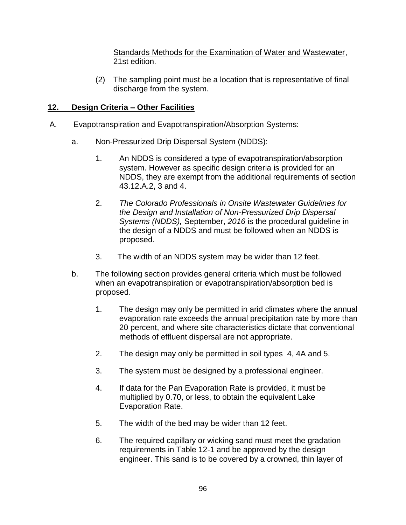Standards Methods for the Examination of Water and Wastewater, 21st edition.

(2) The sampling point must be a location that is representative of final discharge from the system.

# **12. Design Criteria – Other Facilities**

- A. Evapotranspiration and Evapotranspiration/Absorption Systems:
	- a. Non-Pressurized Drip Dispersal System (NDDS):
		- 1. An NDDS is considered a type of evapotranspiration/absorption system. However as specific design criteria is provided for an NDDS, they are exempt from the additional requirements of section 43.12.A.2, 3 and 4.
		- 2. *The Colorado Professionals in Onsite Wastewater Guidelines for the Design and Installation of Non-Pressurized Drip Dispersal Systems (NDDS),* September, *2016* is the procedural guideline in the design of a NDDS and must be followed when an NDDS is proposed.
		- 3. The width of an NDDS system may be wider than 12 feet.
	- b. The following section provides general criteria which must be followed when an evapotranspiration or evapotranspiration/absorption bed is proposed.
		- 1. The design may only be permitted in arid climates where the annual evaporation rate exceeds the annual precipitation rate by more than 20 percent, and where site characteristics dictate that conventional methods of effluent dispersal are not appropriate.
		- 2. The design may only be permitted in soil types 4, 4A and 5.
		- 3. The system must be designed by a professional engineer.
		- 4. If data for the Pan Evaporation Rate is provided, it must be multiplied by 0.70, or less, to obtain the equivalent Lake Evaporation Rate.
		- 5. The width of the bed may be wider than 12 feet.
		- 6. The required capillary or wicking sand must meet the gradation requirements in Table 12-1 and be approved by the design engineer. This sand is to be covered by a crowned, thin layer of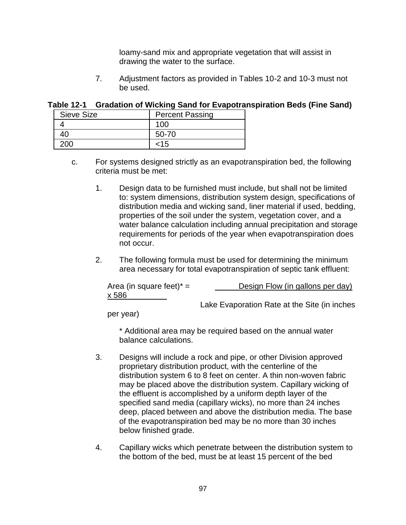loamy-sand mix and appropriate vegetation that will assist in drawing the water to the surface.

7. Adjustment factors as provided in Tables 10-2 and 10-3 must not be used.

| Table 12-1 Gradation of Wicking Sand for Evapotranspiration Beds (Fine Sand) |  |  |
|------------------------------------------------------------------------------|--|--|
|                                                                              |  |  |

| Sieve Size | <b>Percent Passing</b> |
|------------|------------------------|
|            | 100                    |
|            | 50-70                  |
|            | 15>                    |

- c. For systems designed strictly as an evapotranspiration bed, the following criteria must be met:
	- 1. Design data to be furnished must include, but shall not be limited to: system dimensions, distribution system design, specifications of distribution media and wicking sand, liner material if used, bedding, properties of the soil under the system, vegetation cover, and a water balance calculation including annual precipitation and storage requirements for periods of the year when evapotranspiration does not occur.
	- 2. The following formula must be used for determining the minimum area necessary for total evapotranspiration of septic tank effluent:

| Area (in square feet) $* =$ | Design Flow (in gallons per day)             |
|-----------------------------|----------------------------------------------|
| x 586                       |                                              |
|                             | Lake Evaporation Rate at the Site (in inches |

per year)

\* Additional area may be required based on the annual water balance calculations.

- 3. Designs will include a rock and pipe, or other Division approved proprietary distribution product, with the centerline of the distribution system 6 to 8 feet on center. A thin non-woven fabric may be placed above the distribution system. Capillary wicking of the effluent is accomplished by a uniform depth layer of the specified sand media (capillary wicks), no more than 24 inches deep, placed between and above the distribution media. The base of the evapotranspiration bed may be no more than 30 inches below finished grade.
- 4. Capillary wicks which penetrate between the distribution system to the bottom of the bed, must be at least 15 percent of the bed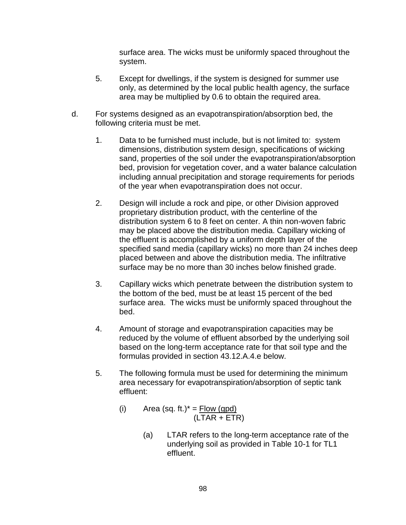surface area. The wicks must be uniformly spaced throughout the system.

- 5. Except for dwellings, if the system is designed for summer use only, as determined by the local public health agency, the surface area may be multiplied by 0.6 to obtain the required area.
- d. For systems designed as an evapotranspiration/absorption bed, the following criteria must be met.
	- 1. Data to be furnished must include, but is not limited to: system dimensions, distribution system design, specifications of wicking sand, properties of the soil under the evapotranspiration/absorption bed, provision for vegetation cover, and a water balance calculation including annual precipitation and storage requirements for periods of the year when evapotranspiration does not occur.
	- 2. Design will include a rock and pipe, or other Division approved proprietary distribution product, with the centerline of the distribution system 6 to 8 feet on center. A thin non-woven fabric may be placed above the distribution media. Capillary wicking of the effluent is accomplished by a uniform depth layer of the specified sand media (capillary wicks) no more than 24 inches deep placed between and above the distribution media. The infiltrative surface may be no more than 30 inches below finished grade.
	- 3. Capillary wicks which penetrate between the distribution system to the bottom of the bed, must be at least 15 percent of the bed surface area. The wicks must be uniformly spaced throughout the bed.
	- 4. Amount of storage and evapotranspiration capacities may be reduced by the volume of effluent absorbed by the underlying soil based on the long-term acceptance rate for that soil type and the formulas provided in section 43.12.A.4.e below.
	- 5. The following formula must be used for determining the minimum area necessary for evapotranspiration/absorption of septic tank effluent:
		- (i) Area (sq. ft.) $* =$  Flow (gpd) (LTAR + ETR)
			- (a) LTAR refers to the long-term acceptance rate of the underlying soil as provided in Table 10-1 for TL1 effluent.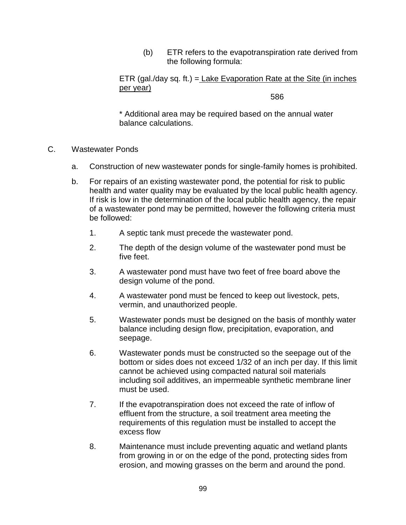(b) ETR refers to the evapotranspiration rate derived from the following formula:

ETR (gal./day sq. ft.) = Lake Evaporation Rate at the Site (in inches per year)

586

\* Additional area may be required based on the annual water balance calculations.

- C. Wastewater Ponds
	- a. Construction of new wastewater ponds for single-family homes is prohibited.
	- b. For repairs of an existing wastewater pond, the potential for risk to public health and water quality may be evaluated by the local public health agency. If risk is low in the determination of the local public health agency, the repair of a wastewater pond may be permitted, however the following criteria must be followed:
		- 1. A septic tank must precede the wastewater pond.
		- 2. The depth of the design volume of the wastewater pond must be five feet.
		- 3. A wastewater pond must have two feet of free board above the design volume of the pond.
		- 4. A wastewater pond must be fenced to keep out livestock, pets, vermin, and unauthorized people.
		- 5. Wastewater ponds must be designed on the basis of monthly water balance including design flow, precipitation, evaporation, and seepage.
		- 6. Wastewater ponds must be constructed so the seepage out of the bottom or sides does not exceed 1/32 of an inch per day. If this limit cannot be achieved using compacted natural soil materials including soil additives, an impermeable synthetic membrane liner must be used.
		- 7. If the evapotranspiration does not exceed the rate of inflow of effluent from the structure, a soil treatment area meeting the requirements of this regulation must be installed to accept the excess flow
		- 8. Maintenance must include preventing aquatic and wetland plants from growing in or on the edge of the pond, protecting sides from erosion, and mowing grasses on the berm and around the pond.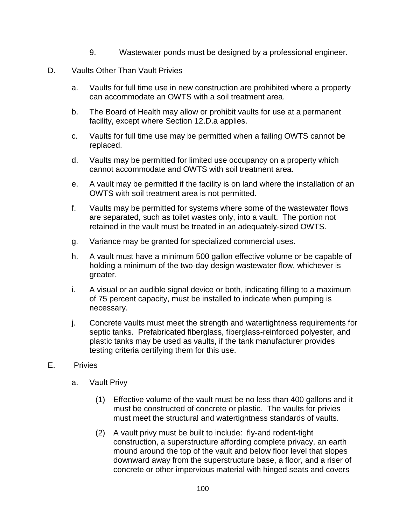- 9. Wastewater ponds must be designed by a professional engineer.
- D. Vaults Other Than Vault Privies
	- a. Vaults for full time use in new construction are prohibited where a property can accommodate an OWTS with a soil treatment area.
	- b. The Board of Health may allow or prohibit vaults for use at a permanent facility, except where Section 12.D.a applies.
	- c. Vaults for full time use may be permitted when a failing OWTS cannot be replaced.
	- d. Vaults may be permitted for limited use occupancy on a property which cannot accommodate and OWTS with soil treatment area.
	- e. A vault may be permitted if the facility is on land where the installation of an OWTS with soil treatment area is not permitted.
	- f. Vaults may be permitted for systems where some of the wastewater flows are separated, such as toilet wastes only, into a vault. The portion not retained in the vault must be treated in an adequately-sized OWTS.
	- g. Variance may be granted for specialized commercial uses.
	- h. A vault must have a minimum 500 gallon effective volume or be capable of holding a minimum of the two-day design wastewater flow, whichever is greater.
	- i. A visual or an audible signal device or both, indicating filling to a maximum of 75 percent capacity, must be installed to indicate when pumping is necessary.
	- j. Concrete vaults must meet the strength and watertightness requirements for septic tanks. Prefabricated fiberglass, fiberglass-reinforced polyester, and plastic tanks may be used as vaults, if the tank manufacturer provides testing criteria certifying them for this use.
- E. Privies
	- a. Vault Privy
		- (1) Effective volume of the vault must be no less than 400 gallons and it must be constructed of concrete or plastic. The vaults for privies must meet the structural and watertightness standards of vaults.
		- (2) A vault privy must be built to include: fly-and rodent-tight construction, a superstructure affording complete privacy, an earth mound around the top of the vault and below floor level that slopes downward away from the superstructure base, a floor, and a riser of concrete or other impervious material with hinged seats and covers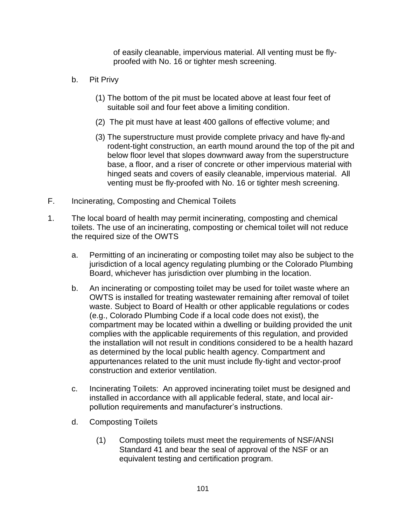of easily cleanable, impervious material. All venting must be flyproofed with No. 16 or tighter mesh screening.

- b. Pit Privy
	- (1) The bottom of the pit must be located above at least four feet of suitable soil and four feet above a limiting condition.
	- (2) The pit must have at least 400 gallons of effective volume; and
	- (3) The superstructure must provide complete privacy and have fly-and rodent-tight construction, an earth mound around the top of the pit and below floor level that slopes downward away from the superstructure base, a floor, and a riser of concrete or other impervious material with hinged seats and covers of easily cleanable, impervious material. All venting must be fly-proofed with No. 16 or tighter mesh screening.
- F. Incinerating, Composting and Chemical Toilets
- 1. The local board of health may permit incinerating, composting and chemical toilets. The use of an incinerating, composting or chemical toilet will not reduce the required size of the OWTS
	- a. Permitting of an incinerating or composting toilet may also be subject to the jurisdiction of a local agency regulating plumbing or the Colorado Plumbing Board, whichever has jurisdiction over plumbing in the location.
	- b. An incinerating or composting toilet may be used for toilet waste where an OWTS is installed for treating wastewater remaining after removal of toilet waste. Subject to Board of Health or other applicable regulations or codes (e.g., Colorado Plumbing Code if a local code does not exist), the compartment may be located within a dwelling or building provided the unit complies with the applicable requirements of this regulation, and provided the installation will not result in conditions considered to be a health hazard as determined by the local public health agency. Compartment and appurtenances related to the unit must include fly-tight and vector-proof construction and exterior ventilation.
	- c. Incinerating Toilets: An approved incinerating toilet must be designed and installed in accordance with all applicable federal, state, and local airpollution requirements and manufacturer's instructions.
	- d. Composting Toilets
		- (1) Composting toilets must meet the requirements of NSF/ANSI Standard 41 and bear the seal of approval of the NSF or an equivalent testing and certification program.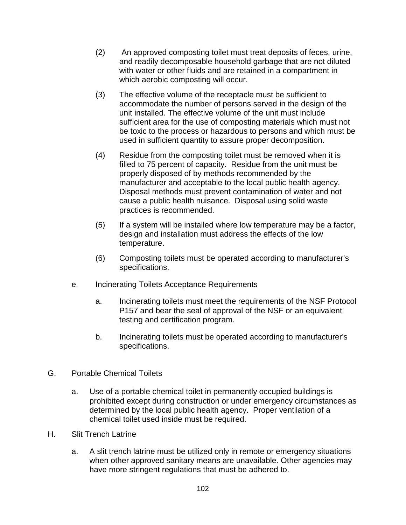- (2) An approved composting toilet must treat deposits of feces, urine, and readily decomposable household garbage that are not diluted with water or other fluids and are retained in a compartment in which aerobic composting will occur.
- (3) The effective volume of the receptacle must be sufficient to accommodate the number of persons served in the design of the unit installed. The effective volume of the unit must include sufficient area for the use of composting materials which must not be toxic to the process or hazardous to persons and which must be used in sufficient quantity to assure proper decomposition.
- (4) Residue from the composting toilet must be removed when it is filled to 75 percent of capacity. Residue from the unit must be properly disposed of by methods recommended by the manufacturer and acceptable to the local public health agency. Disposal methods must prevent contamination of water and not cause a public health nuisance. Disposal using solid waste practices is recommended.
- (5) If a system will be installed where low temperature may be a factor, design and installation must address the effects of the low temperature.
- (6) Composting toilets must be operated according to manufacturer's specifications.
- e. Incinerating Toilets Acceptance Requirements
	- a. Incinerating toilets must meet the requirements of the NSF Protocol P157 and bear the seal of approval of the NSF or an equivalent testing and certification program.
	- b. Incinerating toilets must be operated according to manufacturer's specifications.
- G. Portable Chemical Toilets
	- a. Use of a portable chemical toilet in permanently occupied buildings is prohibited except during construction or under emergency circumstances as determined by the local public health agency. Proper ventilation of a chemical toilet used inside must be required.
- H. Slit Trench Latrine
	- a. A slit trench latrine must be utilized only in remote or emergency situations when other approved sanitary means are unavailable. Other agencies may have more stringent regulations that must be adhered to.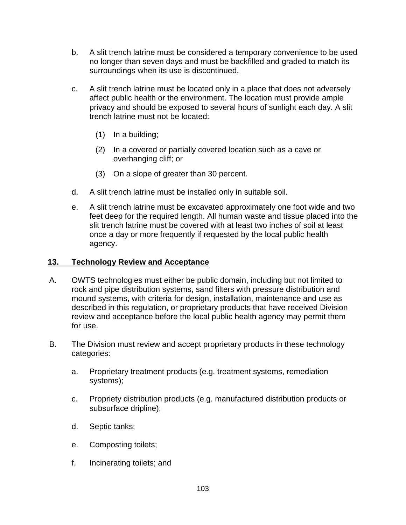- b. A slit trench latrine must be considered a temporary convenience to be used no longer than seven days and must be backfilled and graded to match its surroundings when its use is discontinued.
- c. A slit trench latrine must be located only in a place that does not adversely affect public health or the environment. The location must provide ample privacy and should be exposed to several hours of sunlight each day. A slit trench latrine must not be located:
	- (1) In a building;
	- (2) In a covered or partially covered location such as a cave or overhanging cliff; or
	- (3) On a slope of greater than 30 percent.
- d. A slit trench latrine must be installed only in suitable soil.
- e. A slit trench latrine must be excavated approximately one foot wide and two feet deep for the required length. All human waste and tissue placed into the slit trench latrine must be covered with at least two inches of soil at least once a day or more frequently if requested by the local public health agency.

# **13. Technology Review and Acceptance**

- A. OWTS technologies must either be public domain, including but not limited to rock and pipe distribution systems, sand filters with pressure distribution and mound systems, with criteria for design, installation, maintenance and use as described in this regulation, or proprietary products that have received Division review and acceptance before the local public health agency may permit them for use.
- B. The Division must review and accept proprietary products in these technology categories:
	- a. Proprietary treatment products (e.g. treatment systems, remediation systems);
	- c. Propriety distribution products (e.g. manufactured distribution products or subsurface dripline);
	- d. Septic tanks;
	- e. Composting toilets;
	- f. Incinerating toilets; and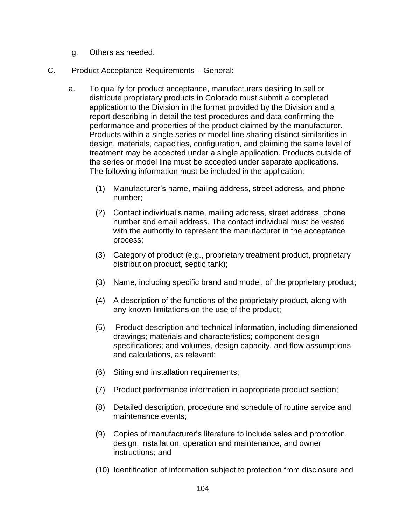- g. Others as needed.
- C. Product Acceptance Requirements General:
	- a. To qualify for product acceptance, manufacturers desiring to sell or distribute proprietary products in Colorado must submit a completed application to the Division in the format provided by the Division and a report describing in detail the test procedures and data confirming the performance and properties of the product claimed by the manufacturer. Products within a single series or model line sharing distinct similarities in design, materials, capacities, configuration, and claiming the same level of treatment may be accepted under a single application. Products outside of the series or model line must be accepted under separate applications. The following information must be included in the application:
		- (1) Manufacturer's name, mailing address, street address, and phone number;
		- (2) Contact individual's name, mailing address, street address, phone number and email address. The contact individual must be vested with the authority to represent the manufacturer in the acceptance process;
		- (3) Category of product (e.g., proprietary treatment product, proprietary distribution product, septic tank);
		- (3) Name, including specific brand and model, of the proprietary product;
		- (4) A description of the functions of the proprietary product, along with any known limitations on the use of the product;
		- (5) Product description and technical information, including dimensioned drawings; materials and characteristics; component design specifications; and volumes, design capacity, and flow assumptions and calculations, as relevant;
		- (6) Siting and installation requirements;
		- (7) Product performance information in appropriate product section;
		- (8) Detailed description, procedure and schedule of routine service and maintenance events;
		- (9) Copies of manufacturer's literature to include sales and promotion, design, installation, operation and maintenance, and owner instructions; and
		- (10) Identification of information subject to protection from disclosure and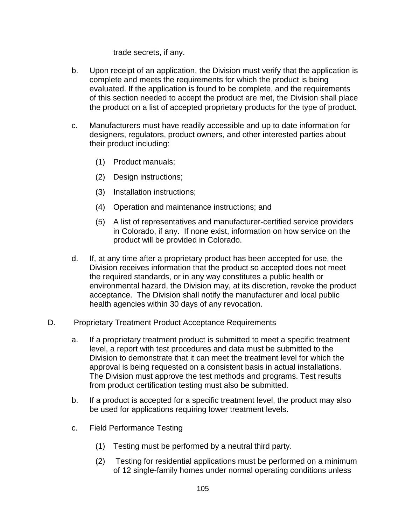trade secrets, if any.

- b. Upon receipt of an application, the Division must verify that the application is complete and meets the requirements for which the product is being evaluated. If the application is found to be complete, and the requirements of this section needed to accept the product are met, the Division shall place the product on a list of accepted proprietary products for the type of product.
- c. Manufacturers must have readily accessible and up to date information for designers, regulators, product owners, and other interested parties about their product including:
	- (1) Product manuals;
	- (2) Design instructions;
	- (3) Installation instructions;
	- (4) Operation and maintenance instructions; and
	- (5) A list of representatives and manufacturer-certified service providers in Colorado, if any. If none exist, information on how service on the product will be provided in Colorado.
- d. If, at any time after a proprietary product has been accepted for use, the Division receives information that the product so accepted does not meet the required standards, or in any way constitutes a public health or environmental hazard, the Division may, at its discretion, revoke the product acceptance. The Division shall notify the manufacturer and local public health agencies within 30 days of any revocation.
- D. Proprietary Treatment Product Acceptance Requirements
	- a. If a proprietary treatment product is submitted to meet a specific treatment level, a report with test procedures and data must be submitted to the Division to demonstrate that it can meet the treatment level for which the approval is being requested on a consistent basis in actual installations. The Division must approve the test methods and programs. Test results from product certification testing must also be submitted.
	- b. If a product is accepted for a specific treatment level, the product may also be used for applications requiring lower treatment levels.
	- c. Field Performance Testing
		- (1) Testing must be performed by a neutral third party.
		- (2) Testing for residential applications must be performed on a minimum of 12 single-family homes under normal operating conditions unless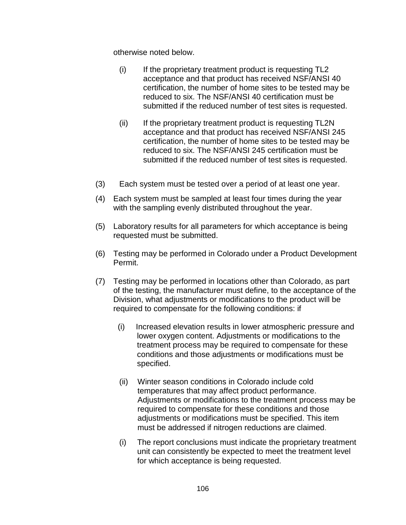otherwise noted below.

- $(i)$  If the proprietary treatment product is requesting TL2 acceptance and that product has received NSF/ANSI 40 certification, the number of home sites to be tested may be reduced to six. The NSF/ANSI 40 certification must be submitted if the reduced number of test sites is requested.
- (ii) If the proprietary treatment product is requesting TL2N acceptance and that product has received NSF/ANSI 245 certification, the number of home sites to be tested may be reduced to six. The NSF/ANSI 245 certification must be submitted if the reduced number of test sites is requested.
- (3) Each system must be tested over a period of at least one year.
- (4) Each system must be sampled at least four times during the year with the sampling evenly distributed throughout the year.
- (5) Laboratory results for all parameters for which acceptance is being requested must be submitted.
- (6) Testing may be performed in Colorado under a Product Development Permit.
- (7) Testing may be performed in locations other than Colorado, as part of the testing, the manufacturer must define, to the acceptance of the Division, what adjustments or modifications to the product will be required to compensate for the following conditions: if
	- (i) Increased elevation results in lower atmospheric pressure and lower oxygen content. Adjustments or modifications to the treatment process may be required to compensate for these conditions and those adjustments or modifications must be specified.
	- (ii) Winter season conditions in Colorado include cold temperatures that may affect product performance. Adjustments or modifications to the treatment process may be required to compensate for these conditions and those adjustments or modifications must be specified. This item must be addressed if nitrogen reductions are claimed.
	- (i) The report conclusions must indicate the proprietary treatment unit can consistently be expected to meet the treatment level for which acceptance is being requested.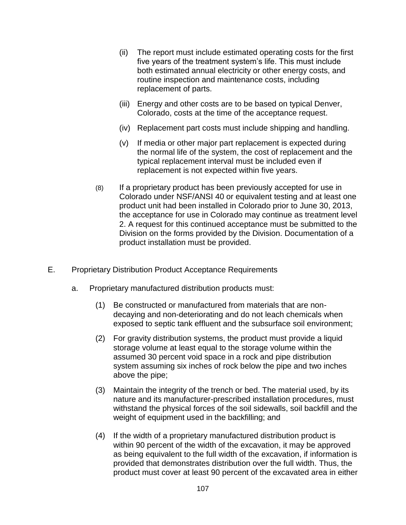- (ii) The report must include estimated operating costs for the first five years of the treatment system's life. This must include both estimated annual electricity or other energy costs, and routine inspection and maintenance costs, including replacement of parts.
- (iii) Energy and other costs are to be based on typical Denver, Colorado, costs at the time of the acceptance request.
- (iv) Replacement part costs must include shipping and handling.
- (v) If media or other major part replacement is expected during the normal life of the system, the cost of replacement and the typical replacement interval must be included even if replacement is not expected within five years.
- (8) If a proprietary product has been previously accepted for use in Colorado under NSF/ANSI 40 or equivalent testing and at least one product unit had been installed in Colorado prior to June 30, 2013, the acceptance for use in Colorado may continue as treatment level 2. A request for this continued acceptance must be submitted to the Division on the forms provided by the Division. Documentation of a product installation must be provided.
- E. Proprietary Distribution Product Acceptance Requirements
	- a. Proprietary manufactured distribution products must:
		- (1) Be constructed or manufactured from materials that are nondecaying and non-deteriorating and do not leach chemicals when exposed to septic tank effluent and the subsurface soil environment;
		- (2) For gravity distribution systems, the product must provide a liquid storage volume at least equal to the storage volume within the assumed 30 percent void space in a rock and pipe distribution system assuming six inches of rock below the pipe and two inches above the pipe;
		- (3) Maintain the integrity of the trench or bed. The material used, by its nature and its manufacturer-prescribed installation procedures, must withstand the physical forces of the soil sidewalls, soil backfill and the weight of equipment used in the backfilling; and
		- (4) If the width of a proprietary manufactured distribution product is within 90 percent of the width of the excavation, it may be approved as being equivalent to the full width of the excavation, if information is provided that demonstrates distribution over the full width. Thus, the product must cover at least 90 percent of the excavated area in either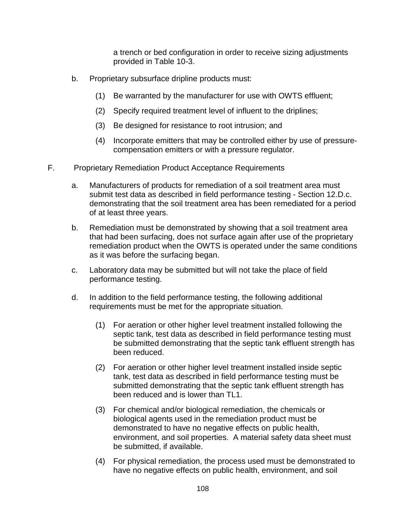a trench or bed configuration in order to receive sizing adjustments provided in Table 10-3.

- b. Proprietary subsurface dripline products must:
	- (1) Be warranted by the manufacturer for use with OWTS effluent;
	- (2) Specify required treatment level of influent to the driplines;
	- (3) Be designed for resistance to root intrusion; and
	- (4) Incorporate emitters that may be controlled either by use of pressurecompensation emitters or with a pressure regulator.
- F. Proprietary Remediation Product Acceptance Requirements
	- a. Manufacturers of products for remediation of a soil treatment area must submit test data as described in field performance testing - Section 12.D.c. demonstrating that the soil treatment area has been remediated for a period of at least three years.
	- b. Remediation must be demonstrated by showing that a soil treatment area that had been surfacing, does not surface again after use of the proprietary remediation product when the OWTS is operated under the same conditions as it was before the surfacing began.
	- c. Laboratory data may be submitted but will not take the place of field performance testing.
	- d. In addition to the field performance testing, the following additional requirements must be met for the appropriate situation.
		- (1) For aeration or other higher level treatment installed following the septic tank, test data as described in field performance testing must be submitted demonstrating that the septic tank effluent strength has been reduced.
		- (2) For aeration or other higher level treatment installed inside septic tank, test data as described in field performance testing must be submitted demonstrating that the septic tank effluent strength has been reduced and is lower than TL1.
		- (3) For chemical and/or biological remediation, the chemicals or biological agents used in the remediation product must be demonstrated to have no negative effects on public health, environment, and soil properties. A material safety data sheet must be submitted, if available.
		- (4) For physical remediation, the process used must be demonstrated to have no negative effects on public health, environment, and soil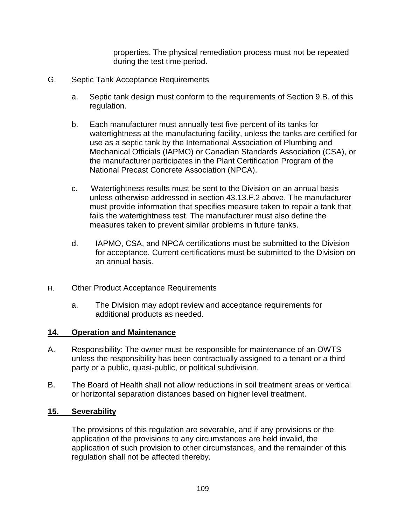properties. The physical remediation process must not be repeated during the test time period.

- G. Septic Tank Acceptance Requirements
	- a. Septic tank design must conform to the requirements of Section 9.B. of this regulation.
	- b. Each manufacturer must annually test five percent of its tanks for watertightness at the manufacturing facility, unless the tanks are certified for use as a septic tank by the International Association of Plumbing and Mechanical Officials (IAPMO) or Canadian Standards Association (CSA), or the manufacturer participates in the Plant Certification Program of the National Precast Concrete Association (NPCA).
	- c. Watertightness results must be sent to the Division on an annual basis unless otherwise addressed in section 43.13.F.2 above. The manufacturer must provide information that specifies measure taken to repair a tank that fails the watertightness test. The manufacturer must also define the measures taken to prevent similar problems in future tanks.
	- d. IAPMO, CSA, and NPCA certifications must be submitted to the Division for acceptance. Current certifications must be submitted to the Division on an annual basis.
- H. Other Product Acceptance Requirements
	- a. The Division may adopt review and acceptance requirements for additional products as needed.

## **14. Operation and Maintenance**

- A. Responsibility: The owner must be responsible for maintenance of an OWTS unless the responsibility has been contractually assigned to a tenant or a third party or a public, quasi-public, or political subdivision.
- B. The Board of Health shall not allow reductions in soil treatment areas or vertical or horizontal separation distances based on higher level treatment.

## **15. Severability**

The provisions of this regulation are severable, and if any provisions or the application of the provisions to any circumstances are held invalid, the application of such provision to other circumstances, and the remainder of this regulation shall not be affected thereby.